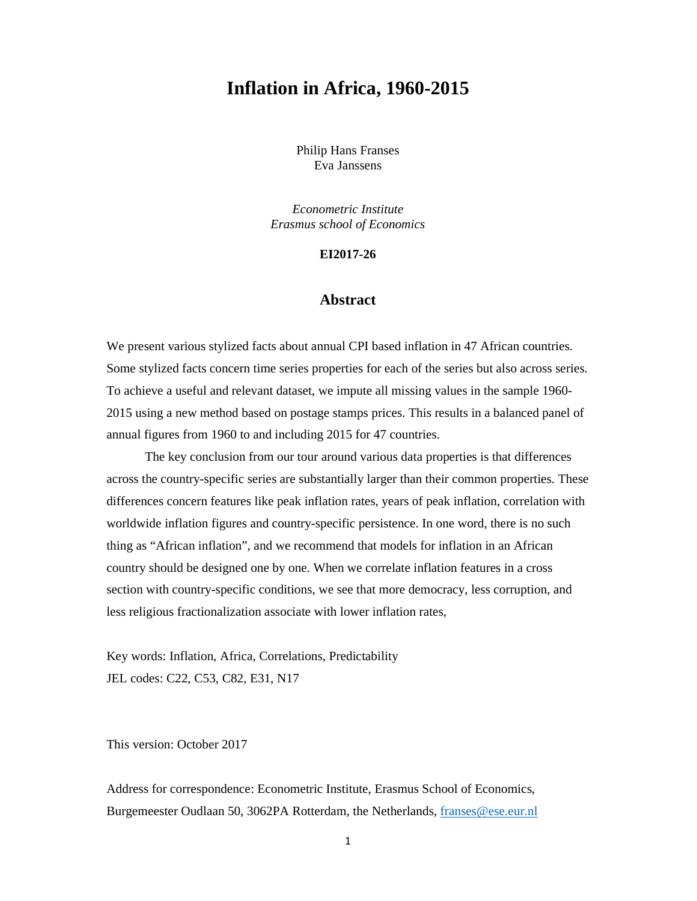## **Inflation in Africa, 1960-2015**

Philip Hans Franses Eva Janssens

*Econometric Institute Erasmus school of Economics* 

**EI2017-26** 

### **Abstract**

We present various stylized facts about annual CPI based inflation in 47 African countries. Some stylized facts concern time series properties for each of the series but also across series. To achieve a useful and relevant dataset, we impute all missing values in the sample 1960- 2015 using a new method based on postage stamps prices. This results in a balanced panel of annual figures from 1960 to and including 2015 for 47 countries.

 The key conclusion from our tour around various data properties is that differences across the country-specific series are substantially larger than their common properties. These differences concern features like peak inflation rates, years of peak inflation, correlation with worldwide inflation figures and country-specific persistence. In one word, there is no such thing as "African inflation", and we recommend that models for inflation in an African country should be designed one by one. When we correlate inflation features in a cross section with country-specific conditions, we see that more democracy, less corruption, and less religious fractionalization associate with lower inflation rates,

Key words: Inflation, Africa, Correlations, Predictability JEL codes: C22, C53, C82, E31, N17

This version: October 2017

Address for correspondence: Econometric Institute, Erasmus School of Economics, Burgemeester Oudlaan 50, 3062PA Rotterdam, the Netherlands, franses@ese.eur.nl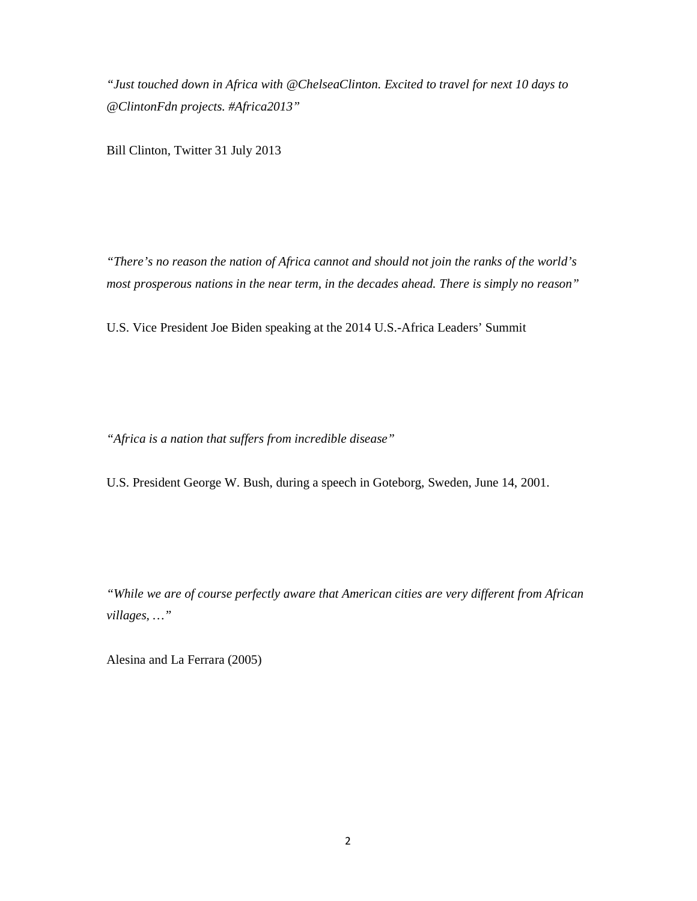*"Just touched down in Africa with @ChelseaClinton. Excited to travel for next 10 days to @ClintonFdn projects. #Africa2013"* 

Bill Clinton, Twitter 31 July 2013

*"There's no reason the nation of Africa cannot and should not join the ranks of the world's most prosperous nations in the near term, in the decades ahead. There is simply no reason"* 

U.S. Vice President Joe Biden speaking at the 2014 U.S.-Africa Leaders' Summit

*"Africa is a nation that suffers from incredible disease"* 

U.S. President George W. Bush, during a speech in Goteborg, Sweden, June 14, 2001.

*"While we are of course perfectly aware that American cities are very different from African villages, …"* 

Alesina and La Ferrara (2005)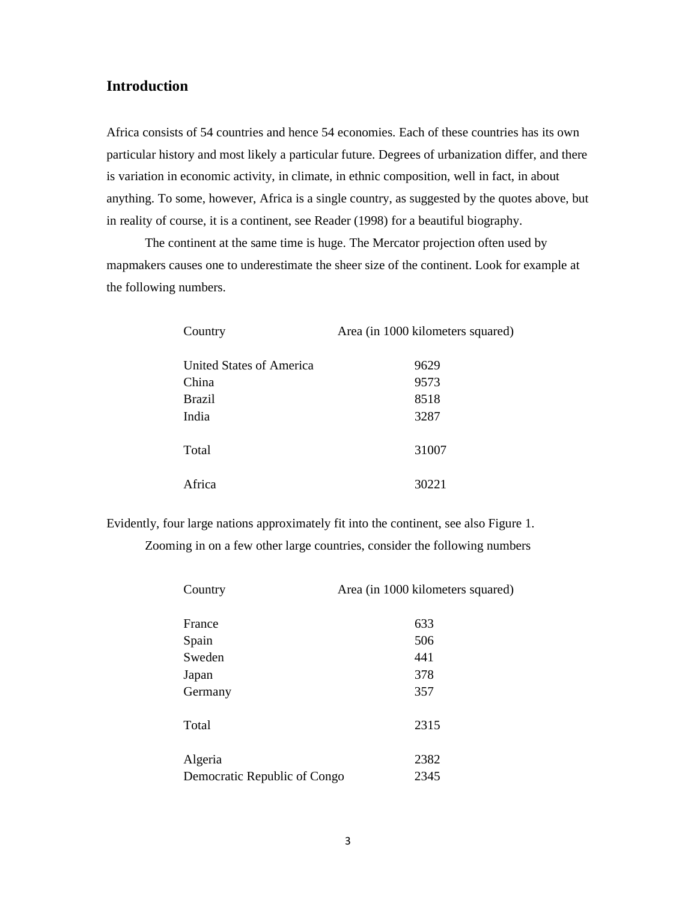### **Introduction**

Africa consists of 54 countries and hence 54 economies. Each of these countries has its own particular history and most likely a particular future. Degrees of urbanization differ, and there is variation in economic activity, in climate, in ethnic composition, well in fact, in about anything. To some, however, Africa is a single country, as suggested by the quotes above, but in reality of course, it is a continent, see Reader (1998) for a beautiful biography.

 The continent at the same time is huge. The Mercator projection often used by mapmakers causes one to underestimate the sheer size of the continent. Look for example at the following numbers.

| Country                  | Area (in 1000 kilometers squared) |
|--------------------------|-----------------------------------|
| United States of America | 9629                              |
| China                    | 9573                              |
| <b>Brazil</b>            | 8518                              |
| India                    | 3287                              |
| Total                    | 31007                             |
| Africa                   | 30221                             |

Evidently, four large nations approximately fit into the continent, see also Figure 1. Zooming in on a few other large countries, consider the following numbers

| Country | Area (in 1000 kilometers squared)    |  |
|---------|--------------------------------------|--|
| France  | 633                                  |  |
| Spain   | 506                                  |  |
| Sweden  | 441                                  |  |
| Japan   | 378                                  |  |
| Germany | 357                                  |  |
| Total   | 2315                                 |  |
| Algeria | 2382                                 |  |
|         | 2345<br>Democratic Republic of Congo |  |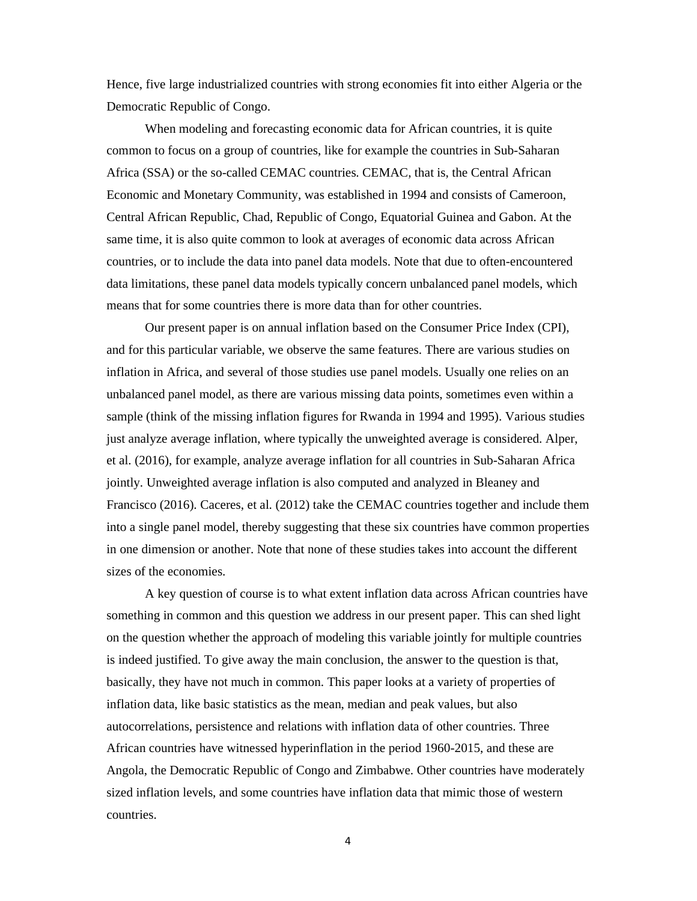Hence, five large industrialized countries with strong economies fit into either Algeria or the Democratic Republic of Congo.

 When modeling and forecasting economic data for African countries, it is quite common to focus on a group of countries, like for example the countries in Sub-Saharan Africa (SSA) or the so-called CEMAC countries. CEMAC, that is, the Central African Economic and Monetary Community, was established in 1994 and consists of Cameroon, Central African Republic, Chad, Republic of Congo, Equatorial Guinea and Gabon. At the same time, it is also quite common to look at averages of economic data across African countries, or to include the data into panel data models. Note that due to often-encountered data limitations, these panel data models typically concern unbalanced panel models, which means that for some countries there is more data than for other countries.

 Our present paper is on annual inflation based on the Consumer Price Index (CPI), and for this particular variable, we observe the same features. There are various studies on inflation in Africa, and several of those studies use panel models. Usually one relies on an unbalanced panel model, as there are various missing data points, sometimes even within a sample (think of the missing inflation figures for Rwanda in 1994 and 1995). Various studies just analyze average inflation, where typically the unweighted average is considered. Alper, et al. (2016), for example, analyze average inflation for all countries in Sub-Saharan Africa jointly. Unweighted average inflation is also computed and analyzed in Bleaney and Francisco (2016). Caceres, et al. (2012) take the CEMAC countries together and include them into a single panel model, thereby suggesting that these six countries have common properties in one dimension or another. Note that none of these studies takes into account the different sizes of the economies.

 A key question of course is to what extent inflation data across African countries have something in common and this question we address in our present paper. This can shed light on the question whether the approach of modeling this variable jointly for multiple countries is indeed justified. To give away the main conclusion, the answer to the question is that, basically, they have not much in common. This paper looks at a variety of properties of inflation data, like basic statistics as the mean, median and peak values, but also autocorrelations, persistence and relations with inflation data of other countries. Three African countries have witnessed hyperinflation in the period 1960-2015, and these are Angola, the Democratic Republic of Congo and Zimbabwe. Other countries have moderately sized inflation levels, and some countries have inflation data that mimic those of western countries.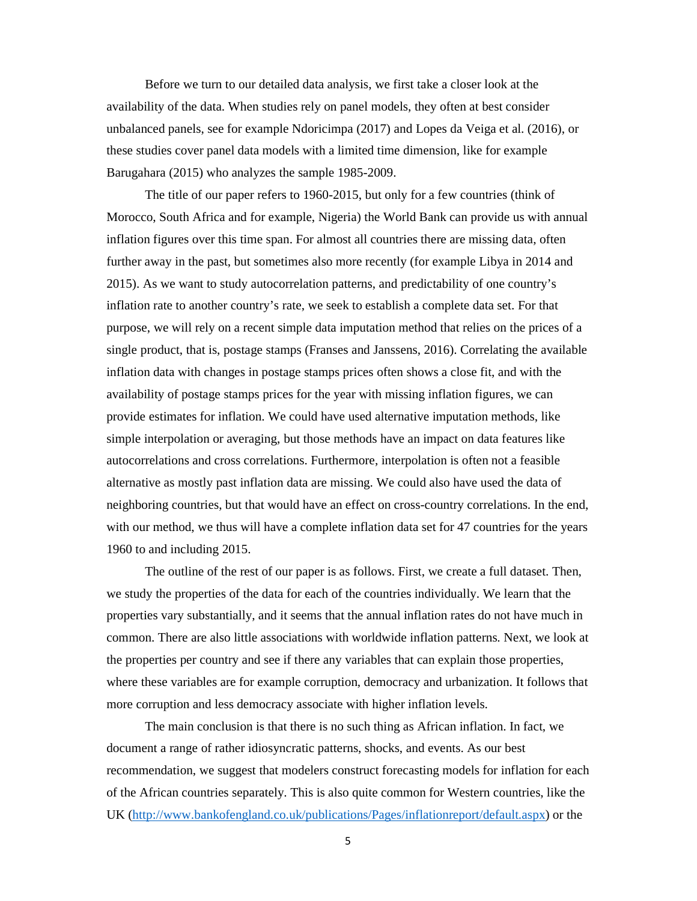Before we turn to our detailed data analysis, we first take a closer look at the availability of the data. When studies rely on panel models, they often at best consider unbalanced panels, see for example Ndoricimpa (2017) and Lopes da Veiga et al. (2016), or these studies cover panel data models with a limited time dimension, like for example Barugahara (2015) who analyzes the sample 1985-2009.

 The title of our paper refers to 1960-2015, but only for a few countries (think of Morocco, South Africa and for example, Nigeria) the World Bank can provide us with annual inflation figures over this time span. For almost all countries there are missing data, often further away in the past, but sometimes also more recently (for example Libya in 2014 and 2015). As we want to study autocorrelation patterns, and predictability of one country's inflation rate to another country's rate, we seek to establish a complete data set. For that purpose, we will rely on a recent simple data imputation method that relies on the prices of a single product, that is, postage stamps (Franses and Janssens, 2016). Correlating the available inflation data with changes in postage stamps prices often shows a close fit, and with the availability of postage stamps prices for the year with missing inflation figures, we can provide estimates for inflation. We could have used alternative imputation methods, like simple interpolation or averaging, but those methods have an impact on data features like autocorrelations and cross correlations. Furthermore, interpolation is often not a feasible alternative as mostly past inflation data are missing. We could also have used the data of neighboring countries, but that would have an effect on cross-country correlations. In the end, with our method, we thus will have a complete inflation data set for 47 countries for the years 1960 to and including 2015.

 The outline of the rest of our paper is as follows. First, we create a full dataset. Then, we study the properties of the data for each of the countries individually. We learn that the properties vary substantially, and it seems that the annual inflation rates do not have much in common. There are also little associations with worldwide inflation patterns. Next, we look at the properties per country and see if there any variables that can explain those properties, where these variables are for example corruption, democracy and urbanization. It follows that more corruption and less democracy associate with higher inflation levels.

 The main conclusion is that there is no such thing as African inflation. In fact, we document a range of rather idiosyncratic patterns, shocks, and events. As our best recommendation, we suggest that modelers construct forecasting models for inflation for each of the African countries separately. This is also quite common for Western countries, like the UK (http://www.bankofengland.co.uk/publications/Pages/inflationreport/default.aspx) or the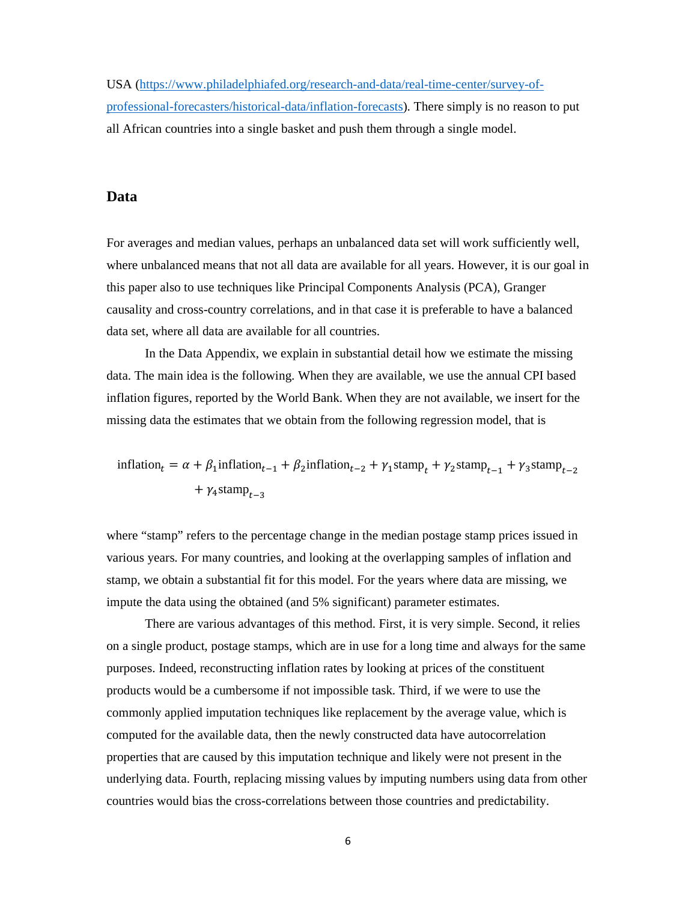USA (https://www.philadelphiafed.org/research-and-data/real-time-center/survey-ofprofessional-forecasters/historical-data/inflation-forecasts). There simply is no reason to put all African countries into a single basket and push them through a single model.

### **Data**

For averages and median values, perhaps an unbalanced data set will work sufficiently well, where unbalanced means that not all data are available for all years. However, it is our goal in this paper also to use techniques like Principal Components Analysis (PCA), Granger causality and cross-country correlations, and in that case it is preferable to have a balanced data set, where all data are available for all countries.

 In the Data Appendix, we explain in substantial detail how we estimate the missing data. The main idea is the following. When they are available, we use the annual CPI based inflation figures, reported by the World Bank. When they are not available, we insert for the missing data the estimates that we obtain from the following regression model, that is

inflation  $_t = \alpha + \beta_1$  inflation  $_{t-1} + \beta_2$  inflation  $_{t-2} + \gamma_1$  stamp  $_t + \gamma_2$  stamp  $_{t-1} + \gamma_3$  stamp  $_{t-2}$ +  $\gamma_4$ stamp<sub>t-3</sub>

where "stamp" refers to the percentage change in the median postage stamp prices issued in various years. For many countries, and looking at the overlapping samples of inflation and stamp, we obtain a substantial fit for this model. For the years where data are missing, we impute the data using the obtained (and 5% significant) parameter estimates.

 There are various advantages of this method. First, it is very simple. Second, it relies on a single product, postage stamps, which are in use for a long time and always for the same purposes. Indeed, reconstructing inflation rates by looking at prices of the constituent products would be a cumbersome if not impossible task. Third, if we were to use the commonly applied imputation techniques like replacement by the average value, which is computed for the available data, then the newly constructed data have autocorrelation properties that are caused by this imputation technique and likely were not present in the underlying data. Fourth, replacing missing values by imputing numbers using data from other countries would bias the cross-correlations between those countries and predictability.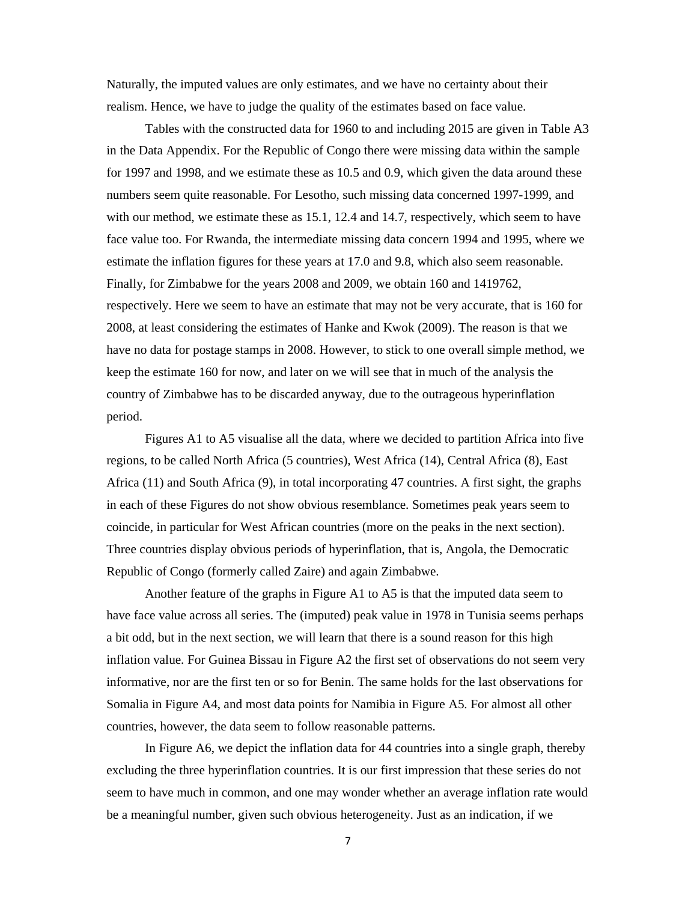Naturally, the imputed values are only estimates, and we have no certainty about their realism. Hence, we have to judge the quality of the estimates based on face value.

 Tables with the constructed data for 1960 to and including 2015 are given in Table A3 in the Data Appendix. For the Republic of Congo there were missing data within the sample for 1997 and 1998, and we estimate these as 10.5 and 0.9, which given the data around these numbers seem quite reasonable. For Lesotho, such missing data concerned 1997-1999, and with our method, we estimate these as 15.1, 12.4 and 14.7, respectively, which seem to have face value too. For Rwanda, the intermediate missing data concern 1994 and 1995, where we estimate the inflation figures for these years at 17.0 and 9.8, which also seem reasonable. Finally, for Zimbabwe for the years 2008 and 2009, we obtain 160 and 1419762, respectively. Here we seem to have an estimate that may not be very accurate, that is 160 for 2008, at least considering the estimates of Hanke and Kwok (2009). The reason is that we have no data for postage stamps in 2008. However, to stick to one overall simple method, we keep the estimate 160 for now, and later on we will see that in much of the analysis the country of Zimbabwe has to be discarded anyway, due to the outrageous hyperinflation period.

 Figures A1 to A5 visualise all the data, where we decided to partition Africa into five regions, to be called North Africa (5 countries), West Africa (14), Central Africa (8), East Africa (11) and South Africa (9), in total incorporating 47 countries. A first sight, the graphs in each of these Figures do not show obvious resemblance. Sometimes peak years seem to coincide, in particular for West African countries (more on the peaks in the next section). Three countries display obvious periods of hyperinflation, that is, Angola, the Democratic Republic of Congo (formerly called Zaire) and again Zimbabwe.

 Another feature of the graphs in Figure A1 to A5 is that the imputed data seem to have face value across all series. The (imputed) peak value in 1978 in Tunisia seems perhaps a bit odd, but in the next section, we will learn that there is a sound reason for this high inflation value. For Guinea Bissau in Figure A2 the first set of observations do not seem very informative, nor are the first ten or so for Benin. The same holds for the last observations for Somalia in Figure A4, and most data points for Namibia in Figure A5. For almost all other countries, however, the data seem to follow reasonable patterns.

 In Figure A6, we depict the inflation data for 44 countries into a single graph, thereby excluding the three hyperinflation countries. It is our first impression that these series do not seem to have much in common, and one may wonder whether an average inflation rate would be a meaningful number, given such obvious heterogeneity. Just as an indication, if we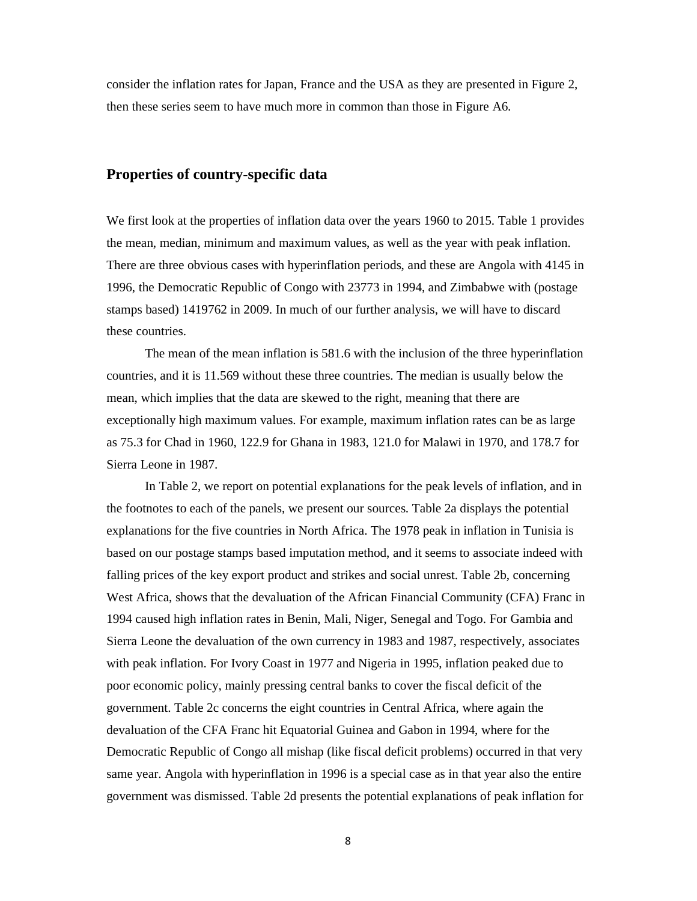consider the inflation rates for Japan, France and the USA as they are presented in Figure 2, then these series seem to have much more in common than those in Figure A6.

### **Properties of country-specific data**

We first look at the properties of inflation data over the years 1960 to 2015. Table 1 provides the mean, median, minimum and maximum values, as well as the year with peak inflation. There are three obvious cases with hyperinflation periods, and these are Angola with 4145 in 1996, the Democratic Republic of Congo with 23773 in 1994, and Zimbabwe with (postage stamps based) 1419762 in 2009. In much of our further analysis, we will have to discard these countries.

 The mean of the mean inflation is 581.6 with the inclusion of the three hyperinflation countries, and it is 11.569 without these three countries. The median is usually below the mean, which implies that the data are skewed to the right, meaning that there are exceptionally high maximum values. For example, maximum inflation rates can be as large as 75.3 for Chad in 1960, 122.9 for Ghana in 1983, 121.0 for Malawi in 1970, and 178.7 for Sierra Leone in 1987.

 In Table 2, we report on potential explanations for the peak levels of inflation, and in the footnotes to each of the panels, we present our sources. Table 2a displays the potential explanations for the five countries in North Africa. The 1978 peak in inflation in Tunisia is based on our postage stamps based imputation method, and it seems to associate indeed with falling prices of the key export product and strikes and social unrest. Table 2b, concerning West Africa, shows that the devaluation of the African Financial Community (CFA) Franc in 1994 caused high inflation rates in Benin, Mali, Niger, Senegal and Togo. For Gambia and Sierra Leone the devaluation of the own currency in 1983 and 1987, respectively, associates with peak inflation. For Ivory Coast in 1977 and Nigeria in 1995, inflation peaked due to poor economic policy, mainly pressing central banks to cover the fiscal deficit of the government. Table 2c concerns the eight countries in Central Africa, where again the devaluation of the CFA Franc hit Equatorial Guinea and Gabon in 1994, where for the Democratic Republic of Congo all mishap (like fiscal deficit problems) occurred in that very same year. Angola with hyperinflation in 1996 is a special case as in that year also the entire government was dismissed. Table 2d presents the potential explanations of peak inflation for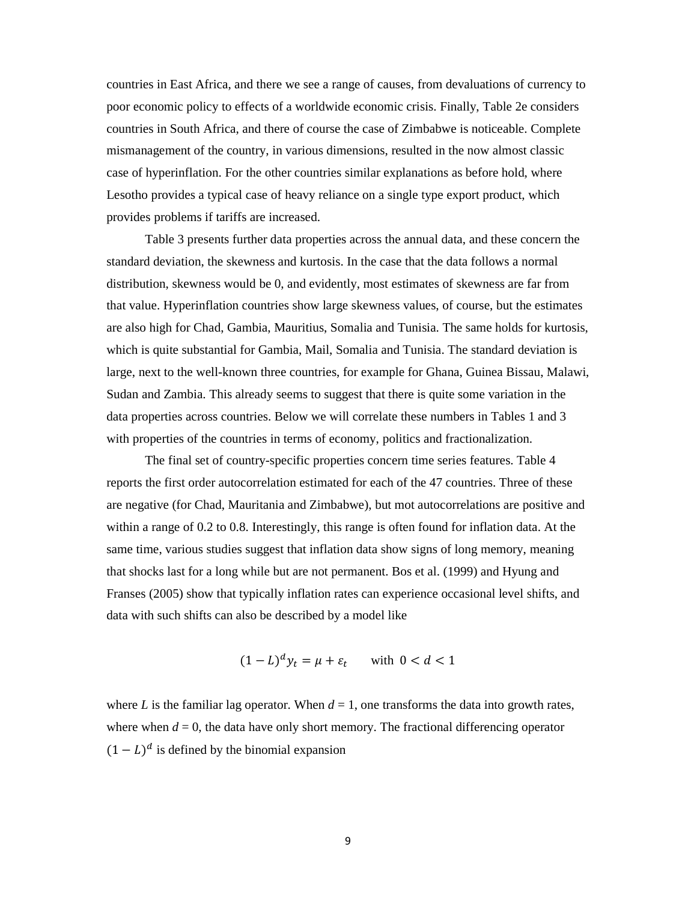countries in East Africa, and there we see a range of causes, from devaluations of currency to poor economic policy to effects of a worldwide economic crisis. Finally, Table 2e considers countries in South Africa, and there of course the case of Zimbabwe is noticeable. Complete mismanagement of the country, in various dimensions, resulted in the now almost classic case of hyperinflation. For the other countries similar explanations as before hold, where Lesotho provides a typical case of heavy reliance on a single type export product, which provides problems if tariffs are increased.

 Table 3 presents further data properties across the annual data, and these concern the standard deviation, the skewness and kurtosis. In the case that the data follows a normal distribution, skewness would be 0, and evidently, most estimates of skewness are far from that value. Hyperinflation countries show large skewness values, of course, but the estimates are also high for Chad, Gambia, Mauritius, Somalia and Tunisia. The same holds for kurtosis, which is quite substantial for Gambia, Mail, Somalia and Tunisia. The standard deviation is large, next to the well-known three countries, for example for Ghana, Guinea Bissau, Malawi, Sudan and Zambia. This already seems to suggest that there is quite some variation in the data properties across countries. Below we will correlate these numbers in Tables 1 and 3 with properties of the countries in terms of economy, politics and fractionalization.

 The final set of country-specific properties concern time series features. Table 4 reports the first order autocorrelation estimated for each of the 47 countries. Three of these are negative (for Chad, Mauritania and Zimbabwe), but mot autocorrelations are positive and within a range of 0.2 to 0.8. Interestingly, this range is often found for inflation data. At the same time, various studies suggest that inflation data show signs of long memory, meaning that shocks last for a long while but are not permanent. Bos et al. (1999) and Hyung and Franses (2005) show that typically inflation rates can experience occasional level shifts, and data with such shifts can also be described by a model like

$$
(1 - L)^d y_t = \mu + \varepsilon_t \quad \text{with } 0 < d < 1
$$

where *L* is the familiar lag operator. When  $d = 1$ , one transforms the data into growth rates, where when  $d = 0$ , the data have only short memory. The fractional differencing operator  $(1 - L)^d$  is defined by the binomial expansion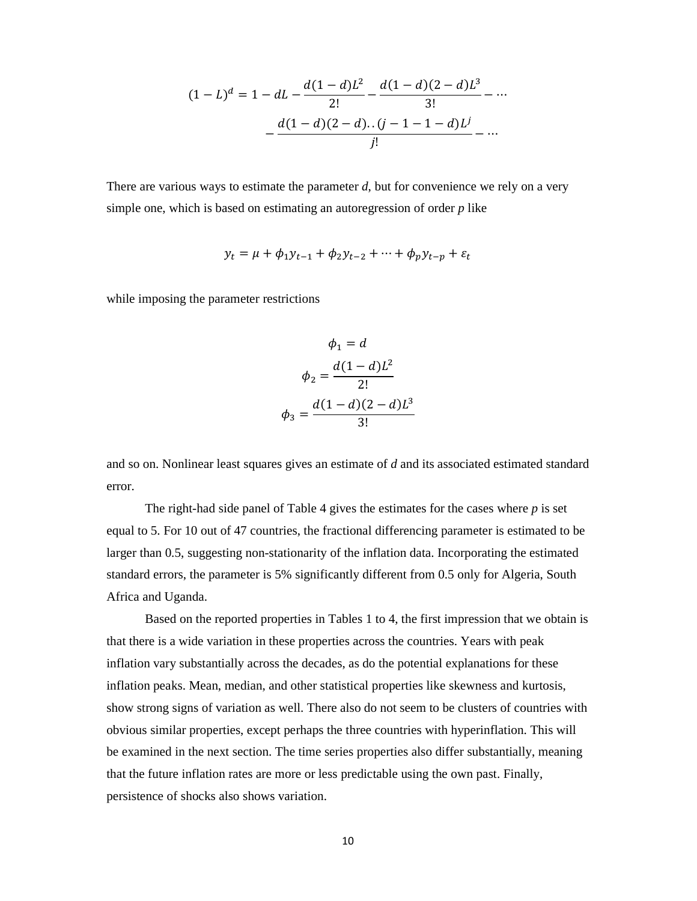$$
(1 - L)^d = 1 - dL - \frac{d(1 - d)L^2}{2!} - \frac{d(1 - d)(2 - d)L^3}{3!} - \dotsb
$$

$$
- \frac{d(1 - d)(2 - d)\dots(j - 1 - 1 - d)L^j}{j!} - \dotsb
$$

There are various ways to estimate the parameter *d*, but for convenience we rely on a very simple one, which is based on estimating an autoregression of order *p* like

$$
y_t = \mu + \phi_1 y_{t-1} + \phi_2 y_{t-2} + \dots + \phi_p y_{t-p} + \varepsilon_t
$$

while imposing the parameter restrictions

$$
\phi_1 = d
$$

$$
\phi_2 = \frac{d(1-d)L^2}{2!}
$$

$$
\phi_3 = \frac{d(1-d)(2-d)L^3}{3!}
$$

and so on. Nonlinear least squares gives an estimate of *d* and its associated estimated standard error.

 The right-had side panel of Table 4 gives the estimates for the cases where *p* is set equal to 5. For 10 out of 47 countries, the fractional differencing parameter is estimated to be larger than 0.5, suggesting non-stationarity of the inflation data. Incorporating the estimated standard errors, the parameter is 5% significantly different from 0.5 only for Algeria, South Africa and Uganda.

 Based on the reported properties in Tables 1 to 4, the first impression that we obtain is that there is a wide variation in these properties across the countries. Years with peak inflation vary substantially across the decades, as do the potential explanations for these inflation peaks. Mean, median, and other statistical properties like skewness and kurtosis, show strong signs of variation as well. There also do not seem to be clusters of countries with obvious similar properties, except perhaps the three countries with hyperinflation. This will be examined in the next section. The time series properties also differ substantially, meaning that the future inflation rates are more or less predictable using the own past. Finally, persistence of shocks also shows variation.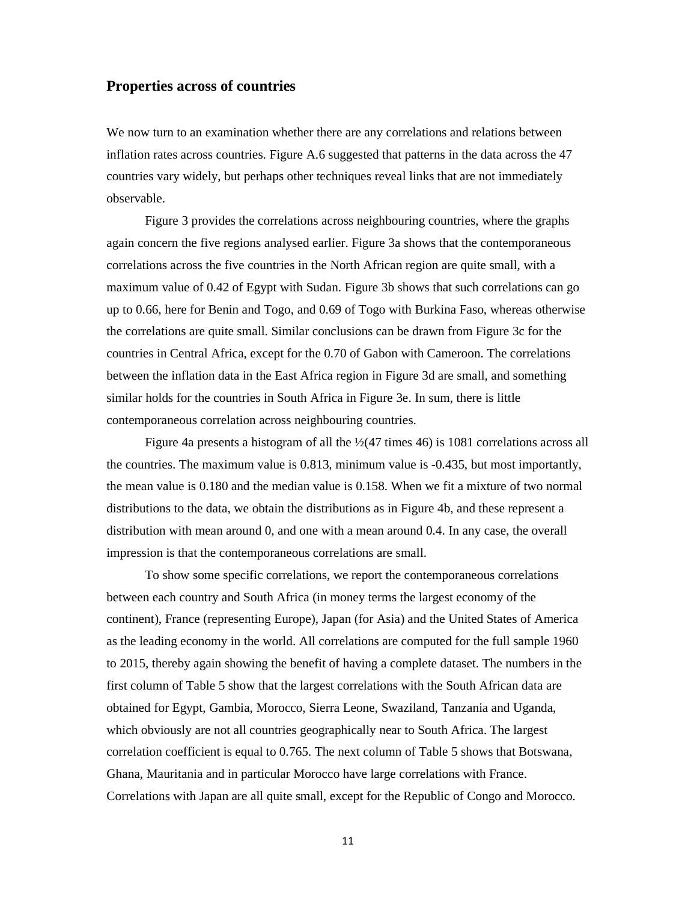### **Properties across of countries**

We now turn to an examination whether there are any correlations and relations between inflation rates across countries. Figure A.6 suggested that patterns in the data across the 47 countries vary widely, but perhaps other techniques reveal links that are not immediately observable.

 Figure 3 provides the correlations across neighbouring countries, where the graphs again concern the five regions analysed earlier. Figure 3a shows that the contemporaneous correlations across the five countries in the North African region are quite small, with a maximum value of 0.42 of Egypt with Sudan. Figure 3b shows that such correlations can go up to 0.66, here for Benin and Togo, and 0.69 of Togo with Burkina Faso, whereas otherwise the correlations are quite small. Similar conclusions can be drawn from Figure 3c for the countries in Central Africa, except for the 0.70 of Gabon with Cameroon. The correlations between the inflation data in the East Africa region in Figure 3d are small, and something similar holds for the countries in South Africa in Figure 3e. In sum, there is little contemporaneous correlation across neighbouring countries.

 Figure 4a presents a histogram of all the ½(47 times 46) is 1081 correlations across all the countries. The maximum value is 0.813, minimum value is -0.435, but most importantly, the mean value is 0.180 and the median value is 0.158. When we fit a mixture of two normal distributions to the data, we obtain the distributions as in Figure 4b, and these represent a distribution with mean around 0, and one with a mean around 0.4. In any case, the overall impression is that the contemporaneous correlations are small.

 To show some specific correlations, we report the contemporaneous correlations between each country and South Africa (in money terms the largest economy of the continent), France (representing Europe), Japan (for Asia) and the United States of America as the leading economy in the world. All correlations are computed for the full sample 1960 to 2015, thereby again showing the benefit of having a complete dataset. The numbers in the first column of Table 5 show that the largest correlations with the South African data are obtained for Egypt, Gambia, Morocco, Sierra Leone, Swaziland, Tanzania and Uganda, which obviously are not all countries geographically near to South Africa. The largest correlation coefficient is equal to 0.765. The next column of Table 5 shows that Botswana, Ghana, Mauritania and in particular Morocco have large correlations with France. Correlations with Japan are all quite small, except for the Republic of Congo and Morocco.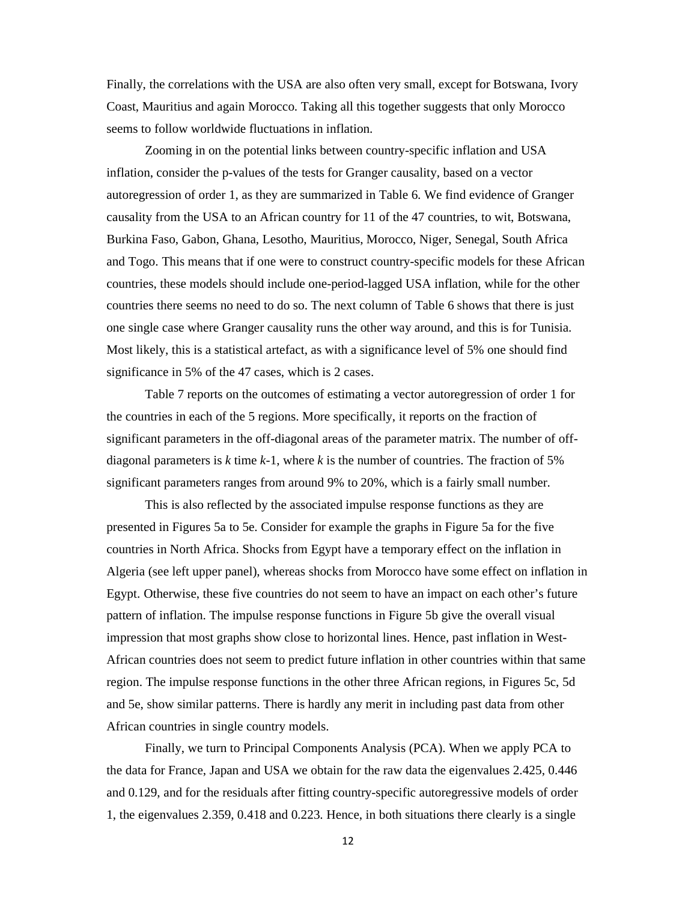Finally, the correlations with the USA are also often very small, except for Botswana, Ivory Coast, Mauritius and again Morocco. Taking all this together suggests that only Morocco seems to follow worldwide fluctuations in inflation.

 Zooming in on the potential links between country-specific inflation and USA inflation, consider the p-values of the tests for Granger causality, based on a vector autoregression of order 1, as they are summarized in Table 6. We find evidence of Granger causality from the USA to an African country for 11 of the 47 countries, to wit, Botswana, Burkina Faso, Gabon, Ghana, Lesotho, Mauritius, Morocco, Niger, Senegal, South Africa and Togo. This means that if one were to construct country-specific models for these African countries, these models should include one-period-lagged USA inflation, while for the other countries there seems no need to do so. The next column of Table 6 shows that there is just one single case where Granger causality runs the other way around, and this is for Tunisia. Most likely, this is a statistical artefact, as with a significance level of 5% one should find significance in 5% of the 47 cases, which is 2 cases.

 Table 7 reports on the outcomes of estimating a vector autoregression of order 1 for the countries in each of the 5 regions. More specifically, it reports on the fraction of significant parameters in the off-diagonal areas of the parameter matrix. The number of offdiagonal parameters is *k* time *k*-1, where *k* is the number of countries. The fraction of 5% significant parameters ranges from around 9% to 20%, which is a fairly small number.

 This is also reflected by the associated impulse response functions as they are presented in Figures 5a to 5e. Consider for example the graphs in Figure 5a for the five countries in North Africa. Shocks from Egypt have a temporary effect on the inflation in Algeria (see left upper panel), whereas shocks from Morocco have some effect on inflation in Egypt. Otherwise, these five countries do not seem to have an impact on each other's future pattern of inflation. The impulse response functions in Figure 5b give the overall visual impression that most graphs show close to horizontal lines. Hence, past inflation in West-African countries does not seem to predict future inflation in other countries within that same region. The impulse response functions in the other three African regions, in Figures 5c, 5d and 5e, show similar patterns. There is hardly any merit in including past data from other African countries in single country models.

 Finally, we turn to Principal Components Analysis (PCA). When we apply PCA to the data for France, Japan and USA we obtain for the raw data the eigenvalues 2.425, 0.446 and 0.129, and for the residuals after fitting country-specific autoregressive models of order 1, the eigenvalues 2.359, 0.418 and 0.223. Hence, in both situations there clearly is a single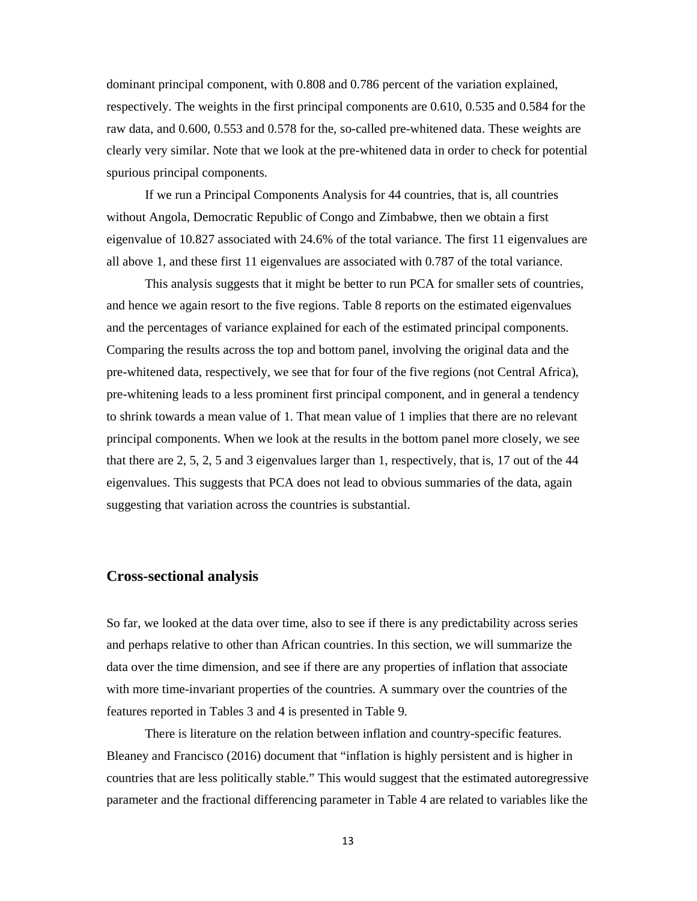dominant principal component, with 0.808 and 0.786 percent of the variation explained, respectively. The weights in the first principal components are 0.610, 0.535 and 0.584 for the raw data, and 0.600, 0.553 and 0.578 for the, so-called pre-whitened data. These weights are clearly very similar. Note that we look at the pre-whitened data in order to check for potential spurious principal components.

 If we run a Principal Components Analysis for 44 countries, that is, all countries without Angola, Democratic Republic of Congo and Zimbabwe, then we obtain a first eigenvalue of 10.827 associated with 24.6% of the total variance. The first 11 eigenvalues are all above 1, and these first 11 eigenvalues are associated with 0.787 of the total variance.

 This analysis suggests that it might be better to run PCA for smaller sets of countries, and hence we again resort to the five regions. Table 8 reports on the estimated eigenvalues and the percentages of variance explained for each of the estimated principal components. Comparing the results across the top and bottom panel, involving the original data and the pre-whitened data, respectively, we see that for four of the five regions (not Central Africa), pre-whitening leads to a less prominent first principal component, and in general a tendency to shrink towards a mean value of 1. That mean value of 1 implies that there are no relevant principal components. When we look at the results in the bottom panel more closely, we see that there are 2, 5, 2, 5 and 3 eigenvalues larger than 1, respectively, that is, 17 out of the 44 eigenvalues. This suggests that PCA does not lead to obvious summaries of the data, again suggesting that variation across the countries is substantial.

### **Cross-sectional analysis**

So far, we looked at the data over time, also to see if there is any predictability across series and perhaps relative to other than African countries. In this section, we will summarize the data over the time dimension, and see if there are any properties of inflation that associate with more time-invariant properties of the countries. A summary over the countries of the features reported in Tables 3 and 4 is presented in Table 9.

 There is literature on the relation between inflation and country-specific features. Bleaney and Francisco (2016) document that "inflation is highly persistent and is higher in countries that are less politically stable." This would suggest that the estimated autoregressive parameter and the fractional differencing parameter in Table 4 are related to variables like the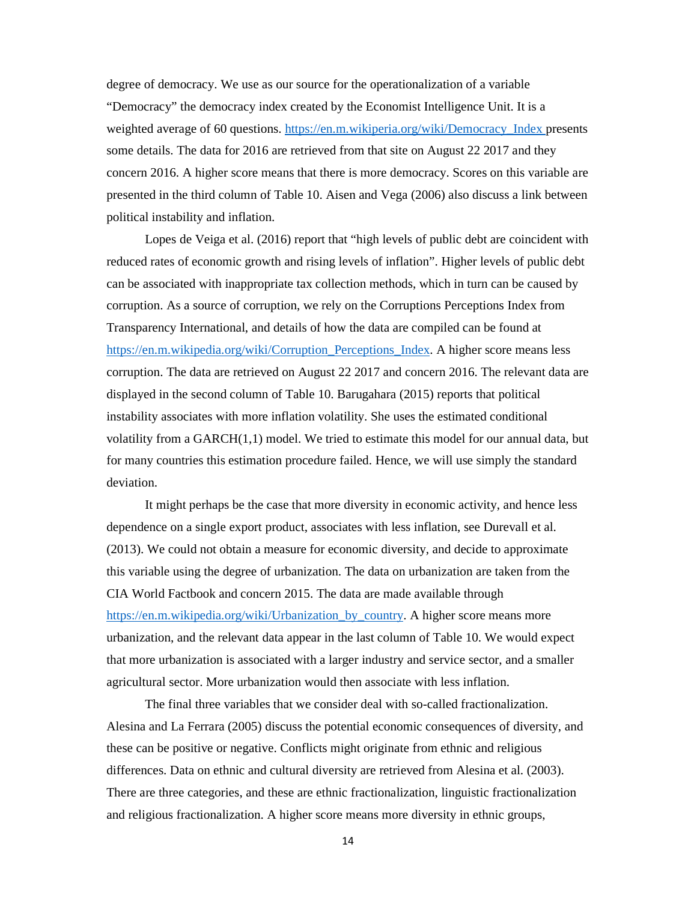degree of democracy. We use as our source for the operationalization of a variable "Democracy" the democracy index created by the Economist Intelligence Unit. It is a weighted average of 60 questions. https://en.m.wikiperia.org/wiki/Democracy\_Index presents some details. The data for 2016 are retrieved from that site on August 22 2017 and they concern 2016. A higher score means that there is more democracy. Scores on this variable are presented in the third column of Table 10. Aisen and Vega (2006) also discuss a link between political instability and inflation.

Lopes de Veiga et al. (2016) report that "high levels of public debt are coincident with reduced rates of economic growth and rising levels of inflation". Higher levels of public debt can be associated with inappropriate tax collection methods, which in turn can be caused by corruption. As a source of corruption, we rely on the Corruptions Perceptions Index from Transparency International, and details of how the data are compiled can be found at https://en.m.wikipedia.org/wiki/Corruption\_Perceptions\_Index. A higher score means less corruption. The data are retrieved on August 22 2017 and concern 2016. The relevant data are displayed in the second column of Table 10. Barugahara (2015) reports that political instability associates with more inflation volatility. She uses the estimated conditional volatility from a  $GARCH(1,1)$  model. We tried to estimate this model for our annual data, but for many countries this estimation procedure failed. Hence, we will use simply the standard deviation.

 It might perhaps be the case that more diversity in economic activity, and hence less dependence on a single export product, associates with less inflation, see Durevall et al. (2013). We could not obtain a measure for economic diversity, and decide to approximate this variable using the degree of urbanization. The data on urbanization are taken from the CIA World Factbook and concern 2015. The data are made available through https://en.m.wikipedia.org/wiki/Urbanization\_by\_country. A higher score means more urbanization, and the relevant data appear in the last column of Table 10. We would expect that more urbanization is associated with a larger industry and service sector, and a smaller agricultural sector. More urbanization would then associate with less inflation.

 The final three variables that we consider deal with so-called fractionalization. Alesina and La Ferrara (2005) discuss the potential economic consequences of diversity, and these can be positive or negative. Conflicts might originate from ethnic and religious differences. Data on ethnic and cultural diversity are retrieved from Alesina et al. (2003). There are three categories, and these are ethnic fractionalization, linguistic fractionalization and religious fractionalization. A higher score means more diversity in ethnic groups,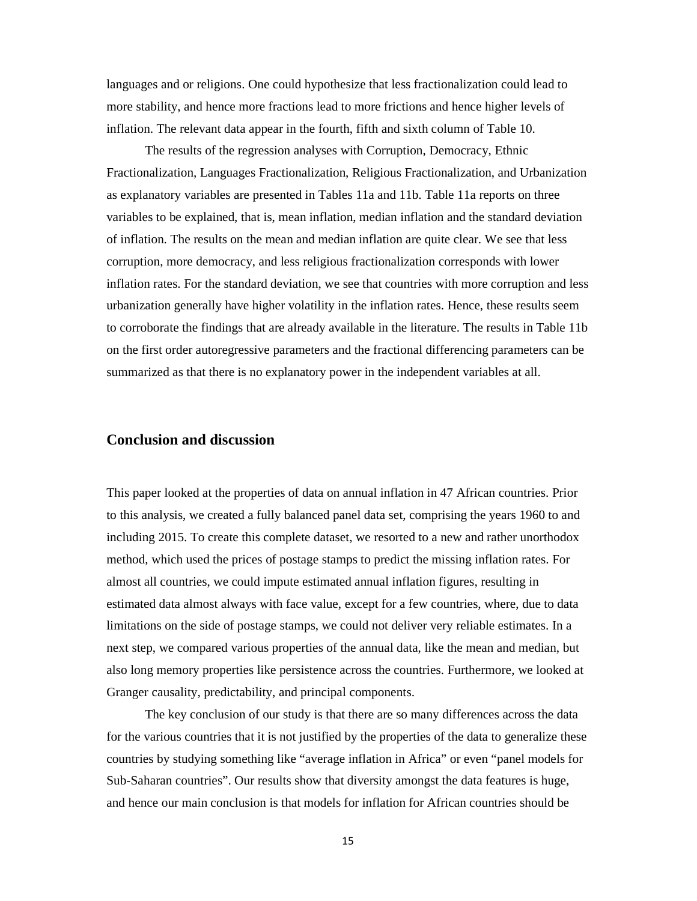languages and or religions. One could hypothesize that less fractionalization could lead to more stability, and hence more fractions lead to more frictions and hence higher levels of inflation. The relevant data appear in the fourth, fifth and sixth column of Table 10.

 The results of the regression analyses with Corruption, Democracy, Ethnic Fractionalization, Languages Fractionalization, Religious Fractionalization, and Urbanization as explanatory variables are presented in Tables 11a and 11b. Table 11a reports on three variables to be explained, that is, mean inflation, median inflation and the standard deviation of inflation. The results on the mean and median inflation are quite clear. We see that less corruption, more democracy, and less religious fractionalization corresponds with lower inflation rates. For the standard deviation, we see that countries with more corruption and less urbanization generally have higher volatility in the inflation rates. Hence, these results seem to corroborate the findings that are already available in the literature. The results in Table 11b on the first order autoregressive parameters and the fractional differencing parameters can be summarized as that there is no explanatory power in the independent variables at all.

### **Conclusion and discussion**

This paper looked at the properties of data on annual inflation in 47 African countries. Prior to this analysis, we created a fully balanced panel data set, comprising the years 1960 to and including 2015. To create this complete dataset, we resorted to a new and rather unorthodox method, which used the prices of postage stamps to predict the missing inflation rates. For almost all countries, we could impute estimated annual inflation figures, resulting in estimated data almost always with face value, except for a few countries, where, due to data limitations on the side of postage stamps, we could not deliver very reliable estimates. In a next step, we compared various properties of the annual data, like the mean and median, but also long memory properties like persistence across the countries. Furthermore, we looked at Granger causality, predictability, and principal components.

 The key conclusion of our study is that there are so many differences across the data for the various countries that it is not justified by the properties of the data to generalize these countries by studying something like "average inflation in Africa" or even "panel models for Sub-Saharan countries". Our results show that diversity amongst the data features is huge, and hence our main conclusion is that models for inflation for African countries should be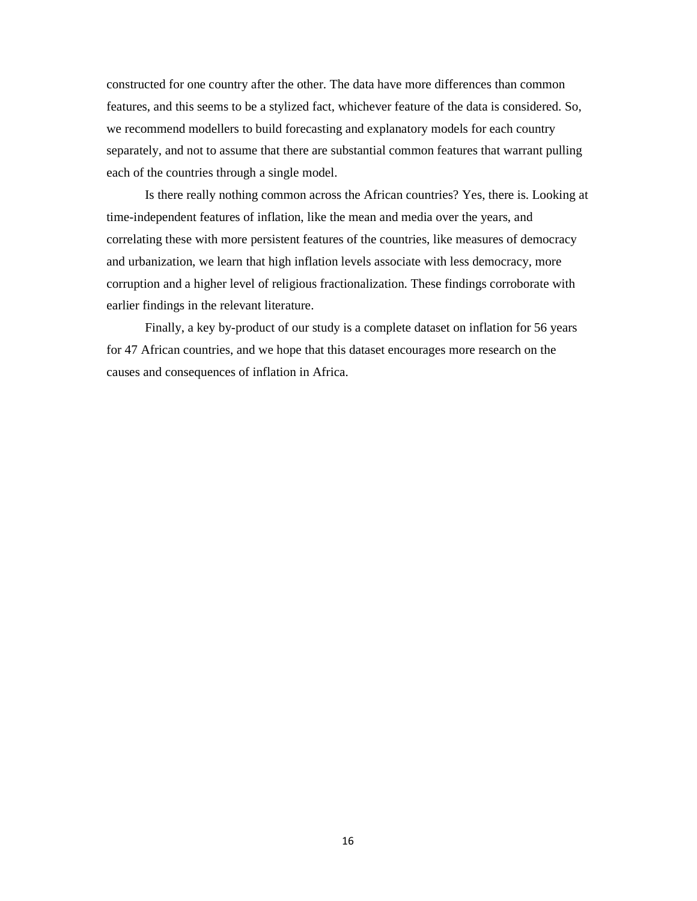constructed for one country after the other. The data have more differences than common features, and this seems to be a stylized fact, whichever feature of the data is considered. So, we recommend modellers to build forecasting and explanatory models for each country separately, and not to assume that there are substantial common features that warrant pulling each of the countries through a single model.

 Is there really nothing common across the African countries? Yes, there is. Looking at time-independent features of inflation, like the mean and media over the years, and correlating these with more persistent features of the countries, like measures of democracy and urbanization, we learn that high inflation levels associate with less democracy, more corruption and a higher level of religious fractionalization. These findings corroborate with earlier findings in the relevant literature.

 Finally, a key by-product of our study is a complete dataset on inflation for 56 years for 47 African countries, and we hope that this dataset encourages more research on the causes and consequences of inflation in Africa.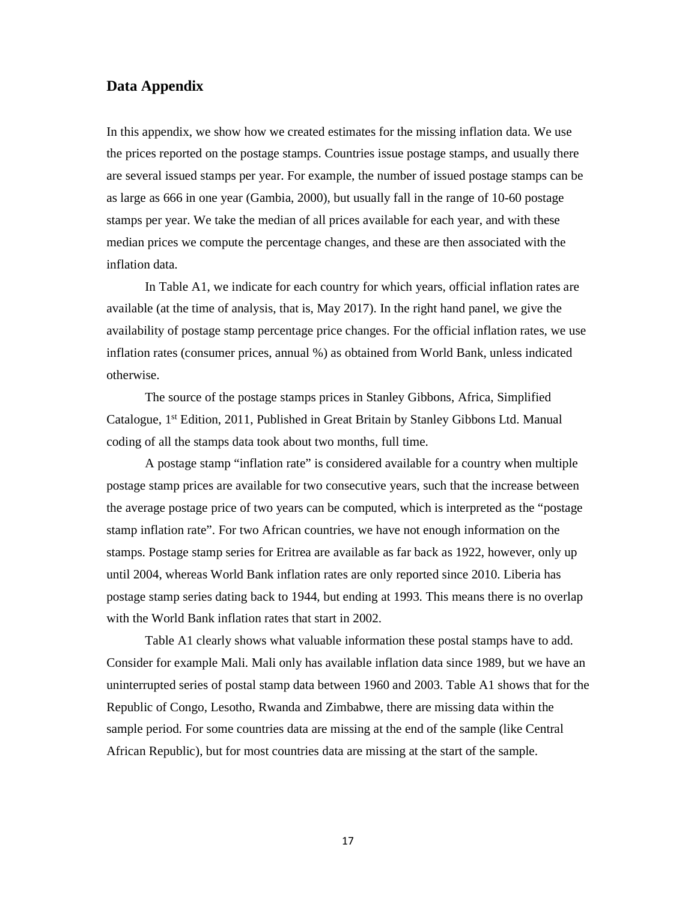### **Data Appendix**

In this appendix, we show how we created estimates for the missing inflation data. We use the prices reported on the postage stamps. Countries issue postage stamps, and usually there are several issued stamps per year. For example, the number of issued postage stamps can be as large as 666 in one year (Gambia, 2000), but usually fall in the range of 10-60 postage stamps per year. We take the median of all prices available for each year, and with these median prices we compute the percentage changes, and these are then associated with the inflation data.

In Table A1, we indicate for each country for which years, official inflation rates are available (at the time of analysis, that is, May 2017). In the right hand panel, we give the availability of postage stamp percentage price changes. For the official inflation rates, we use inflation rates (consumer prices, annual %) as obtained from World Bank, unless indicated otherwise.

 The source of the postage stamps prices in Stanley Gibbons, Africa, Simplified Catalogue, 1st Edition, 2011, Published in Great Britain by Stanley Gibbons Ltd. Manual coding of all the stamps data took about two months, full time.

 A postage stamp "inflation rate" is considered available for a country when multiple postage stamp prices are available for two consecutive years, such that the increase between the average postage price of two years can be computed, which is interpreted as the "postage stamp inflation rate". For two African countries, we have not enough information on the stamps. Postage stamp series for Eritrea are available as far back as 1922, however, only up until 2004, whereas World Bank inflation rates are only reported since 2010. Liberia has postage stamp series dating back to 1944, but ending at 1993. This means there is no overlap with the World Bank inflation rates that start in 2002.

 Table A1 clearly shows what valuable information these postal stamps have to add. Consider for example Mali. Mali only has available inflation data since 1989, but we have an uninterrupted series of postal stamp data between 1960 and 2003. Table A1 shows that for the Republic of Congo, Lesotho, Rwanda and Zimbabwe, there are missing data within the sample period. For some countries data are missing at the end of the sample (like Central African Republic), but for most countries data are missing at the start of the sample.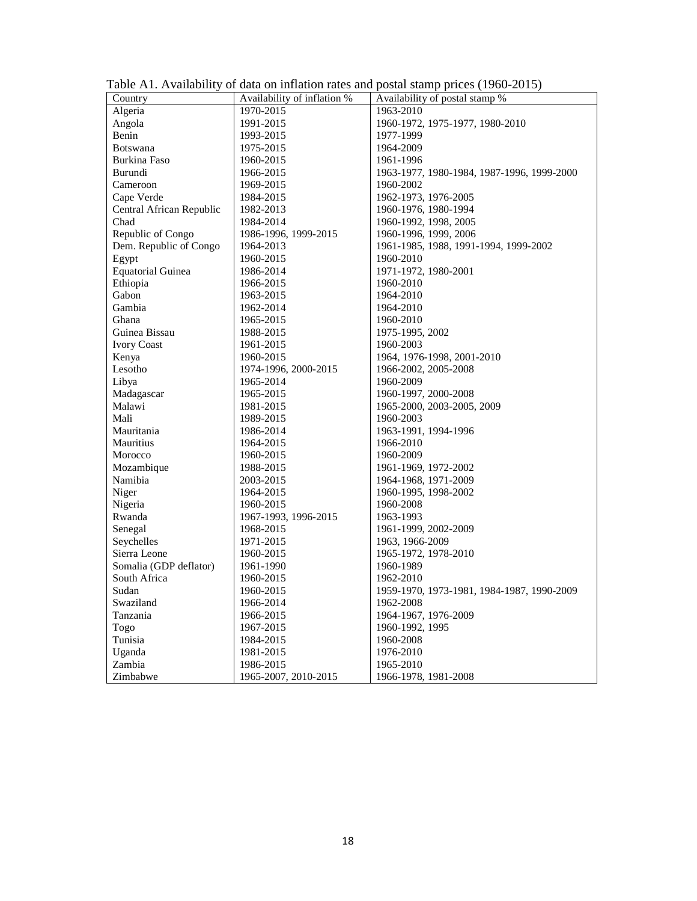| $\overline{C}$ ountry    | Availability of inflation % | Availability of postal stamp %             |
|--------------------------|-----------------------------|--------------------------------------------|
| Algeria                  | 1970-2015                   | 1963-2010                                  |
| Angola                   | 1991-2015                   | 1960-1972, 1975-1977, 1980-2010            |
| Benin                    | 1993-2015                   | 1977-1999                                  |
| <b>Botswana</b>          | 1975-2015                   | 1964-2009                                  |
| Burkina Faso             | 1960-2015                   | 1961-1996                                  |
| Burundi                  | 1966-2015                   | 1963-1977, 1980-1984, 1987-1996, 1999-2000 |
| Cameroon                 | 1969-2015                   | 1960-2002                                  |
| Cape Verde               | 1984-2015                   | 1962-1973, 1976-2005                       |
| Central African Republic | 1982-2013                   | 1960-1976, 1980-1994                       |
| Chad                     | 1984-2014                   | 1960-1992, 1998, 2005                      |
| Republic of Congo        | 1986-1996, 1999-2015        | 1960-1996, 1999, 2006                      |
| Dem. Republic of Congo   | 1964-2013                   | 1961-1985, 1988, 1991-1994, 1999-2002      |
| Egypt                    | 1960-2015                   | 1960-2010                                  |
| <b>Equatorial Guinea</b> | 1986-2014                   | 1971-1972, 1980-2001                       |
| Ethiopia                 | 1966-2015                   | 1960-2010                                  |
| Gabon                    | 1963-2015                   | 1964-2010                                  |
| Gambia                   | 1962-2014                   | 1964-2010                                  |
| Ghana                    | 1965-2015                   | 1960-2010                                  |
| Guinea Bissau            | 1988-2015                   | 1975-1995, 2002                            |
| <b>Ivory Coast</b>       | 1961-2015                   | 1960-2003                                  |
| Kenya                    | 1960-2015                   | 1964, 1976-1998, 2001-2010                 |
| Lesotho                  | 1974-1996, 2000-2015        | 1966-2002, 2005-2008                       |
| Libya                    | 1965-2014                   | 1960-2009                                  |
| Madagascar               | 1965-2015                   | 1960-1997, 2000-2008                       |
| Malawi                   | 1981-2015                   | 1965-2000, 2003-2005, 2009                 |
| Mali                     | 1989-2015                   | 1960-2003                                  |
| Mauritania               | 1986-2014                   | 1963-1991, 1994-1996                       |
| <b>Mauritius</b>         | 1964-2015                   | 1966-2010                                  |
| Morocco                  | 1960-2015                   | 1960-2009                                  |
| Mozambique               | 1988-2015                   | 1961-1969, 1972-2002                       |
| Namibia                  | 2003-2015                   | 1964-1968, 1971-2009                       |
| Niger                    | 1964-2015                   | 1960-1995, 1998-2002                       |
| Nigeria                  | 1960-2015                   | 1960-2008                                  |
| Rwanda                   | 1967-1993, 1996-2015        | 1963-1993                                  |
| Senegal                  | 1968-2015                   | 1961-1999, 2002-2009                       |
| Seychelles               | 1971-2015                   | 1963, 1966-2009                            |
| Sierra Leone             | 1960-2015                   | 1965-1972, 1978-2010                       |
| Somalia (GDP deflator)   | 1961-1990                   | 1960-1989                                  |
| South Africa             | 1960-2015                   | 1962-2010                                  |
| Sudan                    | 1960-2015                   | 1959-1970, 1973-1981, 1984-1987, 1990-2009 |
| Swaziland                | 1966-2014                   | 1962-2008                                  |
| Tanzania                 | 1966-2015                   | 1964-1967, 1976-2009                       |
| Togo                     | 1967-2015                   | 1960-1992, 1995                            |
| Tunisia                  | 1984-2015                   | 1960-2008                                  |
| Uganda                   | 1981-2015                   | 1976-2010                                  |
| Zambia                   | 1986-2015                   | 1965-2010                                  |
| Zimbabwe                 | 1965-2007, 2010-2015        | 1966-1978, 1981-2008                       |
|                          |                             |                                            |

Table A1. Availability of data on inflation rates and postal stamp prices (1960-2015)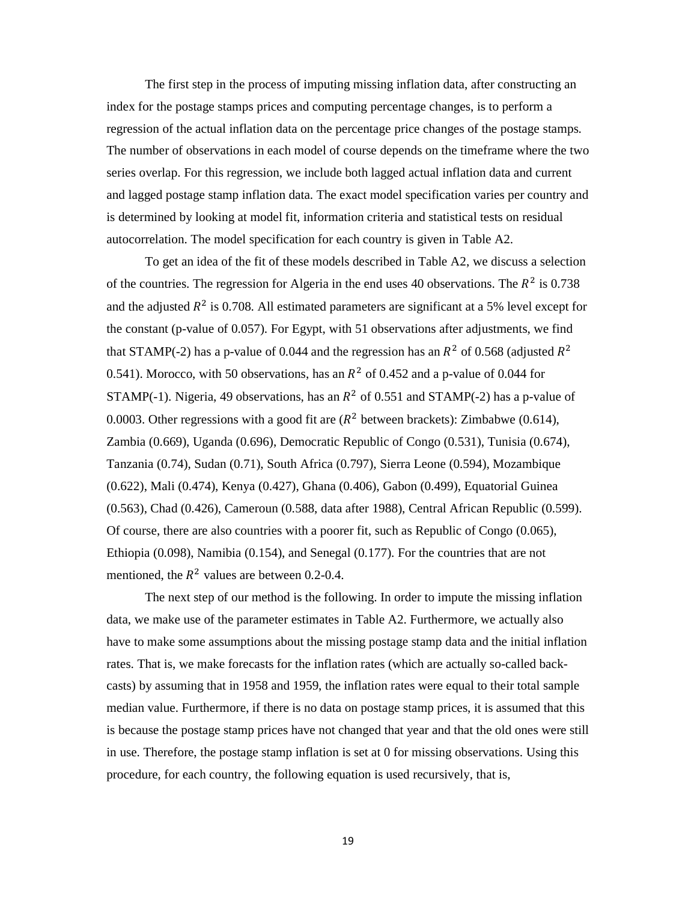The first step in the process of imputing missing inflation data, after constructing an index for the postage stamps prices and computing percentage changes, is to perform a regression of the actual inflation data on the percentage price changes of the postage stamps. The number of observations in each model of course depends on the timeframe where the two series overlap. For this regression, we include both lagged actual inflation data and current and lagged postage stamp inflation data. The exact model specification varies per country and is determined by looking at model fit, information criteria and statistical tests on residual autocorrelation. The model specification for each country is given in Table A2.

 To get an idea of the fit of these models described in Table A2, we discuss a selection of the countries. The regression for Algeria in the end uses 40 observations. The  $R^2$  is 0.738 and the adjusted  $R^2$  is 0.708. All estimated parameters are significant at a 5% level except for the constant (p-value of 0.057). For Egypt, with 51 observations after adjustments, we find that STAMP(-2) has a p-value of 0.044 and the regression has an  $R^2$  of 0.568 (adjusted  $R^2$ 0.541). Morocco, with 50 observations, has an  $R^2$  of 0.452 and a p-value of 0.044 for STAMP(-1). Nigeria, 49 observations, has an  $R^2$  of 0.551 and STAMP(-2) has a p-value of 0.0003. Other regressions with a good fit are  $(R^2$  between brackets): Zimbabwe (0.614), Zambia (0.669), Uganda (0.696), Democratic Republic of Congo (0.531), Tunisia (0.674), Tanzania (0.74), Sudan (0.71), South Africa (0.797), Sierra Leone (0.594), Mozambique (0.622), Mali (0.474), Kenya (0.427), Ghana (0.406), Gabon (0.499), Equatorial Guinea (0.563), Chad (0.426), Cameroun (0.588, data after 1988), Central African Republic (0.599). Of course, there are also countries with a poorer fit, such as Republic of Congo (0.065), Ethiopia (0.098), Namibia (0.154), and Senegal (0.177). For the countries that are not mentioned, the  $R^2$  values are between 0.2-0.4.

 The next step of our method is the following. In order to impute the missing inflation data, we make use of the parameter estimates in Table A2. Furthermore, we actually also have to make some assumptions about the missing postage stamp data and the initial inflation rates. That is, we make forecasts for the inflation rates (which are actually so-called backcasts) by assuming that in 1958 and 1959, the inflation rates were equal to their total sample median value. Furthermore, if there is no data on postage stamp prices, it is assumed that this is because the postage stamp prices have not changed that year and that the old ones were still in use. Therefore, the postage stamp inflation is set at 0 for missing observations. Using this procedure, for each country, the following equation is used recursively, that is,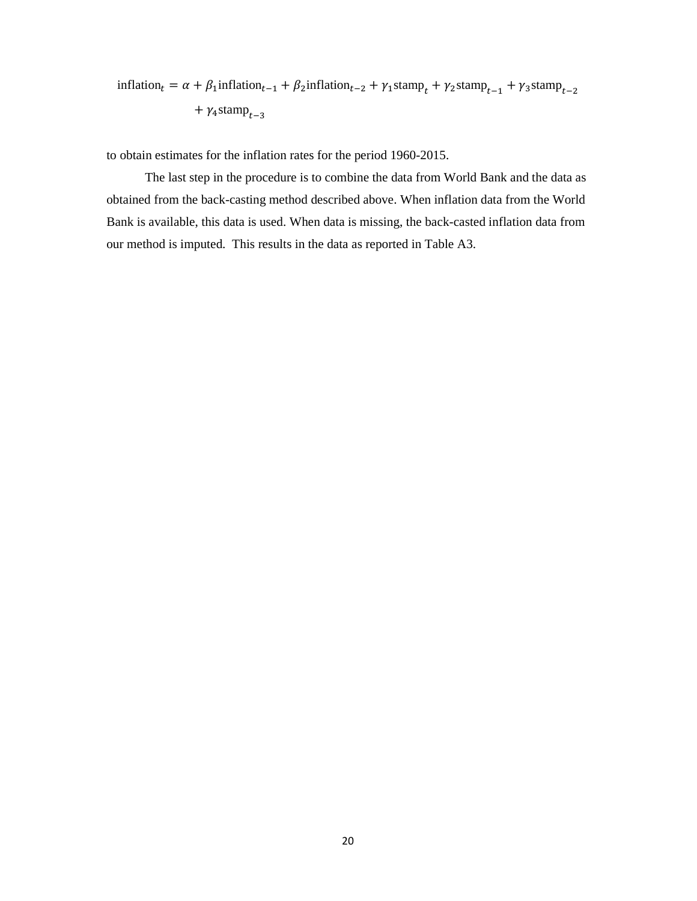inflation  $_t = \alpha + \beta_1$  inflation  $_{t-1} + \beta_2$  inflation  $_{t-2} + \gamma_1$  stamp  $_t + \gamma_2$  stamp  $_{t-1} + \gamma_3$  stamp  $_{t-2}$ +  $\gamma_4$ stamp<sub>t-3</sub>

to obtain estimates for the inflation rates for the period 1960-2015.

 The last step in the procedure is to combine the data from World Bank and the data as obtained from the back-casting method described above. When inflation data from the World Bank is available, this data is used. When data is missing, the back-casted inflation data from our method is imputed. This results in the data as reported in Table A3.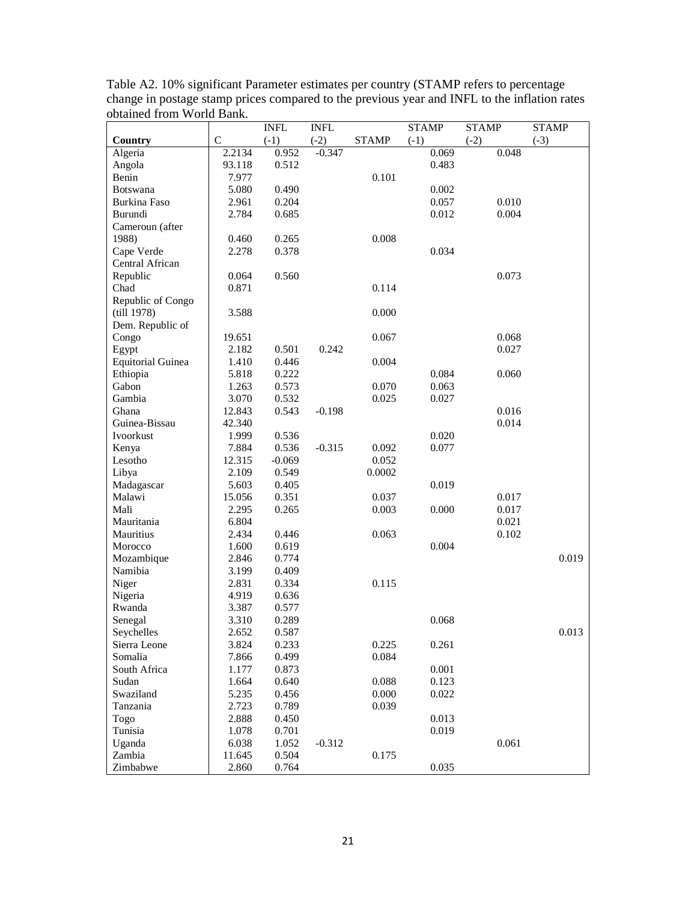|                          |              | <b>INFL</b> | <b>INFL</b> |              | <b>STAMP</b> | <b>STAMP</b> | <b>STAMP</b> |
|--------------------------|--------------|-------------|-------------|--------------|--------------|--------------|--------------|
| Country                  | $\mathsf{C}$ | $(-1)$      | $(-2)$      | <b>STAMP</b> | $(-1)$       | $(-2)$       | $(-3)$       |
| Algeria                  | 2.2134       | 0.952       | $-0.347$    |              | 0.069        | 0.048        |              |
| Angola                   | 93.118       | 0.512       |             |              | 0.483        |              |              |
| Benin                    | 7.977        |             |             | 0.101        |              |              |              |
| Botswana                 | 5.080        | 0.490       |             |              | 0.002        |              |              |
| Burkina Faso             | 2.961        | 0.204       |             |              | 0.057        | 0.010        |              |
| Burundi                  | 2.784        | 0.685       |             |              | 0.012        | 0.004        |              |
| Cameroun (after          |              |             |             |              |              |              |              |
| 1988)                    | 0.460        | 0.265       |             | 0.008        |              |              |              |
| Cape Verde               | 2.278        | 0.378       |             |              | 0.034        |              |              |
| Central African          |              |             |             |              |              |              |              |
| Republic                 | 0.064        | 0.560       |             |              |              | 0.073        |              |
| Chad                     | 0.871        |             |             | 0.114        |              |              |              |
| Republic of Congo        |              |             |             |              |              |              |              |
| (till 1978)              | 3.588        |             |             | 0.000        |              |              |              |
| Dem. Republic of         |              |             |             |              |              |              |              |
| Congo                    | 19.651       |             |             | 0.067        |              | 0.068        |              |
| Egypt                    | 2.182        | 0.501       | 0.242       |              |              | 0.027        |              |
| <b>Equitorial Guinea</b> | 1.410        | 0.446       |             | 0.004        |              |              |              |
| Ethiopia                 | 5.818        | 0.222       |             |              | 0.084        | 0.060        |              |
| Gabon                    | 1.263        | 0.573       |             | 0.070        | 0.063        |              |              |
| Gambia                   | 3.070        | 0.532       |             | 0.025        | 0.027        |              |              |
| Ghana                    | 12.843       | 0.543       | $-0.198$    |              |              | 0.016        |              |
| Guinea-Bissau            | 42.340       |             |             |              |              | 0.014        |              |
| Ivoorkust                | 1.999        | 0.536       |             |              | 0.020        |              |              |
| Kenya                    | 7.884        | 0.536       | $-0.315$    | 0.092        | 0.077        |              |              |
| Lesotho                  | 12.315       | $-0.069$    |             | 0.052        |              |              |              |
| Libya                    | 2.109        | 0.549       |             | 0.0002       |              |              |              |
| Madagascar               | 5.603        | 0.405       |             |              | 0.019        |              |              |
| Malawi                   | 15.056       | 0.351       |             | 0.037        |              | 0.017        |              |
| Mali                     | 2.295        | 0.265       |             | 0.003        | 0.000        | 0.017        |              |
| Mauritania               | 6.804        |             |             |              |              | 0.021        |              |
| Mauritius                | 2.434        | 0.446       |             | 0.063        |              | 0.102        |              |
| Morocco                  | 1.600        | 0.619       |             |              | 0.004        |              |              |
| Mozambique               | 2.846        | 0.774       |             |              |              |              | 0.019        |
| Namibia                  | 3.199        | 0.409       |             |              |              |              |              |
| Niger                    | 2.831        | 0.334       |             | 0.115        |              |              |              |
| Nigeria                  | 4.919        | 0.636       |             |              |              |              |              |
| Rwanda                   | 3.387        | 0.577       |             |              |              |              |              |
| Senegal                  | 3.310        | 0.289       |             |              | 0.068        |              |              |
| Seychelles               | 2.652        | 0.587       |             |              |              |              | 0.013        |
| Sierra Leone             | 3.824        | 0.233       |             | 0.225        | 0.261        |              |              |
| Somalia                  | 7.866        | 0.499       |             | 0.084        |              |              |              |
| South Africa             | 1.177        | 0.873       |             |              | 0.001        |              |              |
| Sudan                    | 1.664        | 0.640       |             | 0.088        | 0.123        |              |              |
| Swaziland                | 5.235        | 0.456       |             | 0.000        | 0.022        |              |              |
| Tanzania                 | 2.723        | 0.789       |             | 0.039        |              |              |              |
| Togo                     | 2.888        | 0.450       |             |              | 0.013        |              |              |
| Tunisia                  | 1.078        | 0.701       |             |              | 0.019        |              |              |
| Uganda                   | 6.038        | 1.052       | $-0.312$    |              |              | 0.061        |              |
| Zambia                   | 11.645       | 0.504       |             | 0.175        |              |              |              |
| Zimbabwe                 | 2.860        | 0.764       |             |              | 0.035        |              |              |

Table A2. 10% significant Parameter estimates per country (STAMP refers to percentage change in postage stamp prices compared to the previous year and INFL to the inflation rates obtained from World Bank.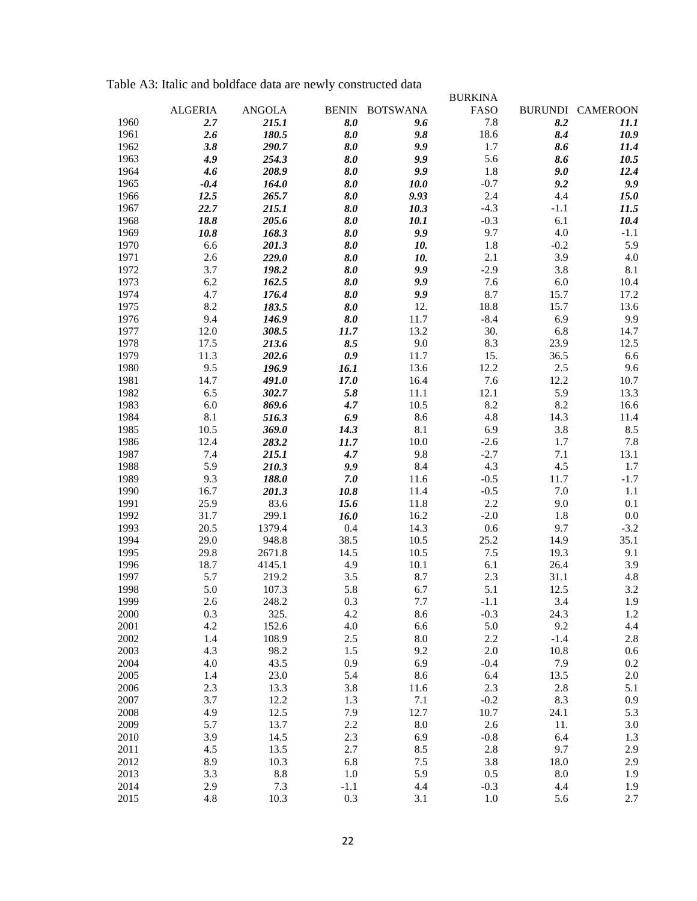| Table A3: Italic and boldface data are newly constructed data |
|---------------------------------------------------------------|
|---------------------------------------------------------------|

|      |                |               |              |                 | <b>BURKINA</b> |              |                  |
|------|----------------|---------------|--------------|-----------------|----------------|--------------|------------------|
|      | <b>ALGERIA</b> | <b>ANGOLA</b> | <b>BENIN</b> | <b>BOTSWANA</b> | FASO           |              | BURUNDI CAMEROON |
| 1960 | 2.7            | 215.1         | 8.0          | 9.6             | 7.8            | 8.2          | 11.1             |
| 1961 | 2.6            | 180.5         | 8.0          | 9.8             | 18.6           | 8.4          | 10.9             |
| 1962 | 3.8            | 290.7         | 8.0          | 9.9             | 1.7            | 8.6          | 11.4             |
| 1963 | 4.9            | 254.3         | 8.0          | 9.9             | 5.6            | 8.6          | 10.5             |
| 1964 | 4.6            | 208.9         | 8.0          | 9.9             | 1.8            | 9.0          | 12.4             |
| 1965 | $-0.4$         | 164.0         | 8.0          | 10.0            | $-0.7$         | 9.2          | 9.9              |
| 1966 | 12.5           | 265.7         | 8.0          | 9.93            | 2.4            | 4.4          | 15.0             |
| 1967 | 22.7           | 215.1         | 8.0          | 10.3            | $-4.3$         | $-1.1$       | 11.5             |
| 1968 | 18.8           | 205.6         | 8.0          | 10.1            | $-0.3$         | 6.1          | 10.4             |
| 1969 | 10.8           | 168.3         | 8.0          | 9.9             | 9.7            | 4.0          | $-1.1$           |
| 1970 | 6.6            |               |              |                 | 1.8            | $-0.2$       | 5.9              |
|      |                | 201.3         | 8.0          | 10.             |                | 3.9          |                  |
| 1971 | 2.6            | 229.0         | 8.0          | 10.             | 2.1            |              | 4.0              |
| 1972 | 3.7            | 198.2         | 8.0          | 9.9             | $-2.9$         | 3.8          | 8.1              |
| 1973 | 6.2            | 162.5         | 8.0          | 9.9             | 7.6            | 6.0          | 10.4             |
| 1974 | 4.7            | 176.4         | 8.0          | 9.9             | 8.7            | 15.7         | 17.2             |
| 1975 | 8.2            | 183.5         | 8.0          | 12.             | 18.8           | 15.7         | 13.6             |
| 1976 | 9.4            | 146.9         | 8.0          | 11.7            | $-8.4$         | 6.9          | 9.9              |
| 1977 | 12.0           | 308.5         | 11.7         | 13.2            | 30.            | 6.8          | 14.7             |
| 1978 | 17.5           | 213.6         | 8.5          | 9.0             | 8.3            | 23.9         | 12.5             |
| 1979 | 11.3           | 202.6         | 0.9          | 11.7            | 15.            | 36.5         | 6.6              |
| 1980 | 9.5            | 196.9         | 16.1         | 13.6            | 12.2           | 2.5          | 9.6              |
| 1981 | 14.7           | 491.0         | 17.0         | 16.4            | 7.6            | 12.2         | 10.7             |
| 1982 | 6.5            | 302.7         | 5.8          | 11.1            | 12.1           | 5.9          | 13.3             |
| 1983 | 6.0            | 869.6         | 4.7          | 10.5            | 8.2            | 8.2          | 16.6             |
| 1984 | 8.1            | 516.3         | 6.9          | 8.6             | 4.8            | 14.3         | 11.4             |
| 1985 | 10.5           | 369.0         | 14.3         | 8.1             | 6.9            | 3.8          | 8.5              |
| 1986 | 12.4           | 283.2         | 11.7         | 10.0            | $-2.6$         | 1.7          | 7.8              |
| 1987 | 7.4            | 215.1         | 4.7          | 9.8             | $-2.7$         | 7.1          | 13.1             |
| 1988 | 5.9            | 210.3         | 9.9          | 8.4             | 4.3            | 4.5          | 1.7              |
| 1989 | 9.3            | 188.0         | 7.0          | 11.6            | $-0.5$         | 11.7         | $-1.7$           |
| 1990 | 16.7           | 201.3         | 10.8         | 11.4            | $-0.5$         | 7.0          | 1.1              |
| 1991 | 25.9           | 83.6          | 15.6         | 11.8            | 2.2            | 9.0          | 0.1              |
| 1992 | 31.7           | 299.1         | 16.0         | 16.2            | $-2.0$         | 1.8          | 0.0              |
| 1993 | 20.5           | 1379.4        | 0.4          | 14.3            | 0.6            | 9.7          | $-3.2$           |
| 1994 | 29.0           | 948.8         | 38.5         | 10.5            | 25.2           | 14.9         | 35.1             |
| 1995 |                |               |              |                 | 7.5            |              |                  |
| 1996 | 29.8<br>18.7   | 2671.8        | 14.5         | 10.5            |                | 19.3<br>26.4 | 9.1              |
|      |                | 4145.1        | 4.9          | 10.1            | 6.1            |              | 3.9              |
| 1997 | 5.7            | 219.2         | 3.5          | 8.7             | 2.3            | 31.1         | 4.8              |
| 1998 | 5.0            | 107.3         | 5.8          | 6.7             | 5.1            | 12.5         | 3.2              |
| 1999 | 2.6            | 248.2         | 0.3          | 7.7             | -1.1           | 3.4          | 1.9              |
| 2000 | 0.3            | 325.          | 4.2          | 8.6             | $-0.3$         | 24.3         | 1.2              |
| 2001 | 4.2            | 152.6         | $4.0\,$      | 6.6             | 5.0            | 9.2          | 4.4              |
| 2002 | 1.4            | 108.9         | 2.5          | $\ \, 8.0$      | 2.2            | $-1.4$       | 2.8              |
| 2003 | 4.3            | 98.2          | 1.5          | 9.2             | $2.0\,$        | $10.8\,$     | 0.6              |
| 2004 | 4.0            | 43.5          | 0.9          | 6.9             | $-0.4$         | 7.9          | 0.2              |
| 2005 | 1.4            | 23.0          | 5.4          | 8.6             | 6.4            | 13.5         | 2.0              |
| 2006 | 2.3            | 13.3          | 3.8          | 11.6            | 2.3            | 2.8          | 5.1              |
| 2007 | 3.7            | 12.2          | 1.3          | 7.1             | $-0.2$         | 8.3          | 0.9              |
| 2008 | 4.9            | 12.5          | 7.9          | 12.7            | 10.7           | 24.1         | 5.3              |
| 2009 | 5.7            | 13.7          | 2.2          | 8.0             | 2.6            | 11.          | 3.0              |
| 2010 | 3.9            | 14.5          | 2.3          | 6.9             | $-0.8$         | 6.4          | 1.3              |
| 2011 | 4.5            | 13.5          | 2.7          | 8.5             | 2.8            | 9.7          | 2.9              |
| 2012 | 8.9            | 10.3          | 6.8          | $7.5\,$         | 3.8            | 18.0         | 2.9              |
| 2013 | 3.3            | 8.8           | 1.0          | 5.9             | 0.5            | 8.0          | 1.9              |
| 2014 | 2.9            | 7.3           | $-1.1$       | 4.4             | $-0.3$         | 4.4          | 1.9              |
| 2015 | 4.8            | 10.3          | 0.3          | 3.1             | 1.0            | 5.6          | 2.7              |
|      |                |               |              |                 |                |              |                  |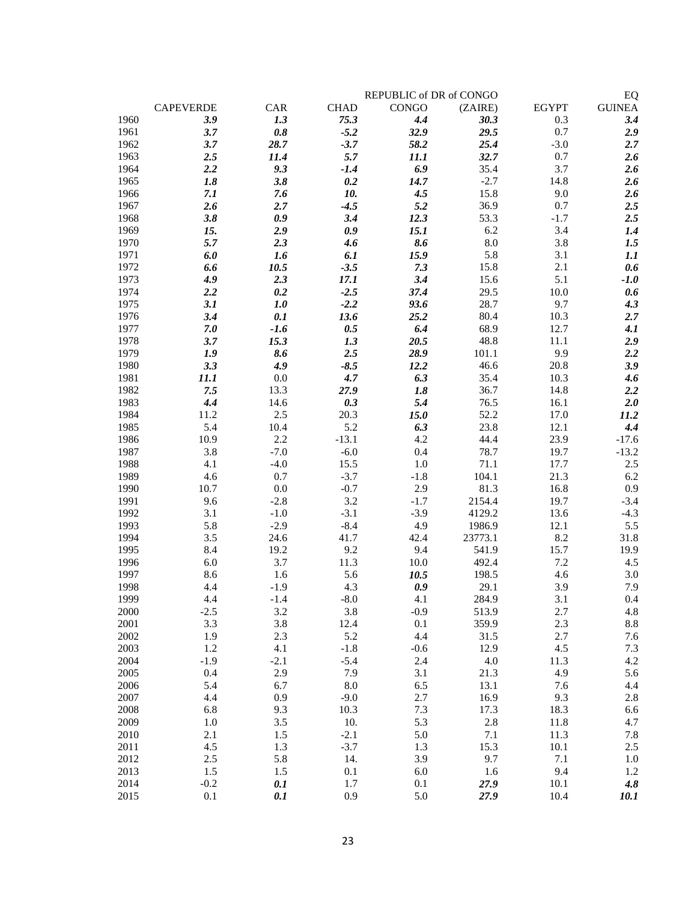|              |                  |                  |               | REPUBLIC of DR of CONGO |               |              | EQ            |
|--------------|------------------|------------------|---------------|-------------------------|---------------|--------------|---------------|
|              | <b>CAPEVERDE</b> | CAR              | <b>CHAD</b>   | <b>CONGO</b>            | (ZAIRE)       | <b>EGYPT</b> | <b>GUINEA</b> |
| 1960         | 3.9              | 1.3              | 75.3          | 4.4                     | 30.3          | 0.3          | 3.4           |
| 1961         | 3.7              | 0.8              | $-5.2$        | 32.9                    | 29.5          | 0.7          | 2.9           |
| 1962         | 3.7              | 28.7             | $-3.7$        | 58.2                    | 25.4          | $-3.0$       | 2.7           |
| 1963         | 2.5              | 11.4             | 5.7           | $11.1\,$                | 32.7          | 0.7          | 2.6           |
| 1964         | 2.2              | 9.3              | $-1.4$        | 6.9                     | 35.4          | 3.7          | 2.6           |
| 1965         | 1.8              | 3.8              | 0.2           | 14.7                    | $-2.7$        | 14.8         | 2.6           |
| 1966         | 7.1              | 7.6              | 10.           | 4.5                     | 15.8          | 9.0          | 2.6           |
| 1967         | 2.6              | 2.7              | $-4.5$        | 5.2                     | 36.9          | 0.7          | 2.5           |
| 1968         | 3.8              | 0.9              | 3.4           | 12.3                    | 53.3          | $-1.7$       | 2.5           |
| 1969         | 15.              | 2.9              | 0.9           | 15.1                    | 6.2           | 3.4          | 1.4           |
| 1970         | 5.7              | 2.3              | 4.6           | 8.6                     | 8.0           | 3.8          | 1.5           |
| 1971         | 6.0              | 1.6              | 6.1           | 15.9                    | 5.8           | 3.1          | 1.1           |
| 1972         | 6.6              | 10.5             | $-3.5$        | 7.3                     | 15.8          | 2.1          | 0.6           |
| 1973         | 4.9              | 2.3              | 17.1          | 3.4                     | 15.6          | 5.1          | $-1.0$        |
| 1974         | 2.2              | 0.2              | $-2.5$        | 37.4                    | 29.5          | 10.0         | 0.6           |
| 1975         | 3.1              | 1.0              | $-2.2$        | 93.6                    | 28.7          | 9.7          | 4.3           |
| 1976         | 3.4              | 0.1              | 13.6          | 25.2                    | 80.4          | 10.3         | 2.7           |
| 1977         | 7.0              | $-1.6$           | 0.5           | 6.4                     | 68.9          | 12.7         | 4.1           |
| 1978         | 3.7              | 15.3             | 1.3           | 20.5                    | 48.8          | 11.1         | 2.9           |
| 1979         | 1.9              | 8.6              | 2.5           | 28.9                    | 101.1         | 9.9          | 2.2           |
| 1980         | 3.3              | 4.9              | $-8.5$        | 12.2                    | 46.6          | 20.8         | 3.9           |
| 1981         | 11.1             | 0.0              | 4.7           | 6.3                     | 35.4          | 10.3         | 4.6           |
| 1982         | 7.5              | 13.3             | 27.9          | 1.8                     | 36.7          | 14.8         | 2.2           |
| 1983         | 4.4              | 14.6             | 0.3           | 5.4                     | 76.5          | 16.1         | 2.0           |
| 1984         | 11.2             | 2.5              | 20.3          | 15.0                    | 52.2          | 17.0         | 11.2          |
| 1985         | 5.4              | 10.4             | 5.2           | 6.3                     | 23.8          | 12.1         | 4.4           |
| 1986         | 10.9             | 2.2              | $-13.1$       | 4.2                     | 44.4          | 23.9         | $-17.6$       |
| 1987         | 3.8              | $-7.0$           | $-6.0$        | 0.4                     | 78.7          | 19.7         | $-13.2$       |
| 1988         | 4.1              | $-4.0$           | 15.5          | 1.0                     | 71.1          | 17.7         | 2.5           |
| 1989         | 4.6              | 0.7              | $-3.7$        | $-1.8$                  | 104.1         | 21.3         | 6.2           |
| 1990         | 10.7             | 0.0              | $-0.7$        | 2.9                     | 81.3          | 16.8         | 0.9           |
| 1991         | 9.6              | $-2.8$           | 3.2           | $-1.7$                  | 2154.4        | 19.7         | $-3.4$        |
| 1992         | 3.1              | $-1.0$           | $-3.1$        | $-3.9$                  | 4129.2        | 13.6         | $-4.3$        |
| 1993         | 5.8              | $-2.9$           | $-8.4$        | 4.9                     | 1986.9        | 12.1         | 5.5           |
| 1994         | 3.5              | 24.6             | 41.7          | 42.4                    | 23773.1       | 8.2          | 31.8          |
| 1995         | 8.4              | 19.2<br>3.7      | 9.2           | 9.4                     | 541.9         | 15.7         | 19.9          |
| 1996<br>1997 | 6.0              |                  | 11.3          | 10.0                    | 492.4         | 7.2          | 4.5           |
| 1998         | 8.6              | 1.6              | 5.6           | 10.5                    | 198.5         | 4.6          | 3.0           |
| 1999         | 4.4<br>4.4       | $-1.9$<br>$-1.4$ | 4.3<br>$-8.0$ | 0.9<br>4.1              | 29.1<br>284.9 | 3.9<br>3.1   | 7.9<br>0.4    |
| 2000         | $-2.5$           | 3.2              | 3.8           | $-0.9$                  | 513.9         | 2.7          | 4.8           |
| 2001         | 3.3              | 3.8              | 12.4          | 0.1                     | 359.9         | 2.3          | 8.8           |
| 2002         | 1.9              | 2.3              | 5.2           | 4.4                     | 31.5          | 2.7          | 7.6           |
| 2003         | 1.2              | 4.1              | $-1.8$        | $-0.6$                  | 12.9          | 4.5          | 7.3           |
| 2004         | $-1.9$           | $-2.1$           | $-5.4$        | 2.4                     | $4.0$         | 11.3         | 4.2           |
| 2005         | 0.4              | 2.9              | 7.9           | 3.1                     | 21.3          | 4.9          | 5.6           |
| 2006         | 5.4              | 6.7              | 8.0           | 6.5                     | 13.1          | 7.6          | 4.4           |
| 2007         | 4.4              | 0.9              | $-9.0$        | 2.7                     | 16.9          | 9.3          | 2.8           |
| 2008         | 6.8              | 9.3              | 10.3          | 7.3                     | 17.3          | 18.3         | 6.6           |
| 2009         | 1.0              | 3.5              | 10.           | 5.3                     | 2.8           | 11.8         | 4.7           |
| 2010         | 2.1              | 1.5              | $-2.1$        | 5.0                     | 7.1           | 11.3         | 7.8           |
| 2011         | 4.5              | 1.3              | $-3.7$        | 1.3                     | 15.3          | 10.1         | 2.5           |
| 2012         | 2.5              | 5.8              | 14.           | 3.9                     | 9.7           | 7.1          | 1.0           |
| 2013         | 1.5              | 1.5              | 0.1           | 6.0                     | 1.6           | 9.4          | 1.2           |
| 2014         | $-0.2$           | 0.1              | 1.7           | 0.1                     | 27.9          | 10.1         | 4.8           |
| 2015         | 0.1              | 0.1              | 0.9           | 5.0                     | 27.9          | 10.4         | 10.1          |
|              |                  |                  |               |                         |               |              |               |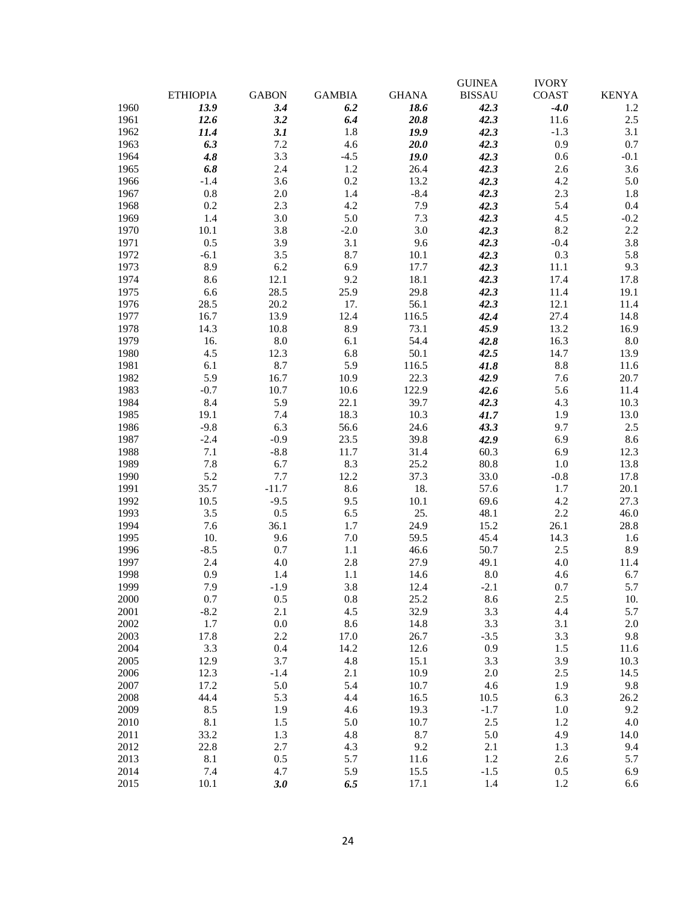|      |                 |              |               |              | <b>GUINEA</b> | <b>IVORY</b> |              |
|------|-----------------|--------------|---------------|--------------|---------------|--------------|--------------|
|      | <b>ETHIOPIA</b> | <b>GABON</b> | <b>GAMBIA</b> | <b>GHANA</b> | <b>BISSAU</b> | <b>COAST</b> | <b>KENYA</b> |
| 1960 | 13.9            | 3.4          | 6.2           | 18.6         | 42.3          | $-4.0$       | 1.2          |
| 1961 | 12.6            | 3.2          | 6.4           | 20.8         | 42.3          | 11.6         | 2.5          |
| 1962 | 11.4            | 3.1          | 1.8           | 19.9         | 42.3          | $-1.3$       | 3.1          |
| 1963 | 6.3             | 7.2          | 4.6           | 20.0         | 42.3          | 0.9          | 0.7          |
| 1964 | 4.8             | 3.3          | $-4.5$        | 19.0         | 42.3          | 0.6          | $-0.1$       |
| 1965 | 6.8             | 2.4          | 1.2           | 26.4         | 42.3          | 2.6          | 3.6          |
| 1966 | $-1.4$          | 3.6          | 0.2           | 13.2         | 42.3          | 4.2          | 5.0          |
| 1967 | $0.8\,$         | 2.0          | 1.4           | $-8.4$       | 42.3          | 2.3          | 1.8          |
| 1968 | 0.2             | 2.3          | 4.2           | 7.9          | 42.3          | 5.4          | 0.4          |
| 1969 | 1.4             | 3.0          | 5.0           | 7.3          | 42.3          | 4.5          | $-0.2$       |
| 1970 | 10.1            | 3.8          | $-2.0$        | 3.0          | 42.3          | 8.2          | 2.2          |
| 1971 | 0.5             | 3.9          | 3.1           | 9.6          | 42.3          | $-0.4$       | 3.8          |
| 1972 | $-6.1$          | 3.5          | 8.7           | 10.1         | 42.3          | 0.3          | 5.8          |
| 1973 | 8.9             | 6.2          | 6.9           | 17.7         | 42.3          | 11.1         | 9.3          |
| 1974 | 8.6             | 12.1         | 9.2           | 18.1         | 42.3          | 17.4         | 17.8         |
| 1975 | 6.6             | 28.5         | 25.9          | 29.8         | 42.3          | 11.4         | 19.1         |
| 1976 | 28.5            | 20.2         | 17.           | 56.1         | 42.3          | 12.1         | 11.4         |
| 1977 | 16.7            | 13.9         | 12.4          | 116.5        | 42.4          | 27.4         | 14.8         |
| 1978 | 14.3            | 10.8         | 8.9           | 73.1         | 45.9          | 13.2         | 16.9         |
| 1979 | 16.             | 8.0          | 6.1           | 54.4         | 42.8          | 16.3         | 8.0          |
| 1980 | 4.5             | 12.3         | 6.8           | 50.1         | 42.5          | 14.7         | 13.9         |
| 1981 | 6.1             | 8.7          | 5.9           | 116.5        | 41.8          | 8.8          | 11.6         |
| 1982 | 5.9             | 16.7         | 10.9          | 22.3         | 42.9          | 7.6          | 20.7         |
| 1983 | $-0.7$          | 10.7         | 10.6          | 122.9        | 42.6          | 5.6          | 11.4         |
| 1984 | 8.4             | 5.9          | 22.1          | 39.7         | 42.3          | 4.3          | 10.3         |
| 1985 | 19.1            | 7.4          | 18.3          | 10.3         | 41.7          | 1.9          | 13.0         |
| 1986 | $-9.8$          | 6.3          | 56.6          | 24.6         | 43.3          | 9.7          | 2.5          |
| 1987 | $-2.4$          | $-0.9$       | 23.5          | 39.8         | 42.9          | 6.9          | 8.6          |
| 1988 | 7.1             | $-8.8$       | 11.7          | 31.4         | 60.3          | 6.9          | 12.3         |
| 1989 | 7.8             | 6.7          | 8.3           | 25.2         | 80.8          | 1.0          | 13.8         |
| 1990 | 5.2             | 7.7          | 12.2          | 37.3         | 33.0          | $-0.8$       | 17.8         |
| 1991 | 35.7            | $-11.7$      | 8.6           | 18.          | 57.6          | 1.7          | 20.1         |
| 1992 | 10.5            | $-9.5$       | 9.5           | 10.1         | 69.6          | 4.2          | 27.3         |
| 1993 | 3.5             | 0.5          | 6.5           | 25.          | 48.1          | 2.2          | 46.0         |
| 1994 | 7.6             | 36.1         | 1.7           | 24.9         | 15.2          | 26.1         | 28.8         |
| 1995 | 10.             | 9.6          | $7.0\,$       | 59.5         | 45.4          | 14.3         | 1.6          |
| 1996 | $-8.5$          | 0.7          | 1.1           | 46.6         | 50.7          | 2.5          | 8.9          |
| 1997 | 2.4             | 4.0          | 2.8           | 27.9         | 49.1          | 4.0          | 11.4         |
| 1998 | 0.9             | 1.4          | 1.1           | 14.6         | 8.0           | 4.6          | 6.7          |
| 1999 | 7.9             | $-1.9$       | 3.8           | 12.4         | $-2.1$        | 0.7          | 5.7          |
| 2000 | 0.7             | 0.5          | $0.8\,$       | 25.2         | 8.6           | 2.5          | 10.          |
| 2001 | $-8.2$          | 2.1          | 4.5           | 32.9         | 3.3           | 4.4          | 5.7          |
| 2002 | 1.7             | $0.0\,$      | 8.6           | 14.8         | 3.3           | 3.1          | 2.0          |
| 2003 | 17.8            | 2.2          | 17.0          | 26.7         | $-3.5$        | 3.3          | 9.8          |
| 2004 | 3.3             | 0.4          | 14.2          | 12.6         | 0.9           | 1.5          | 11.6         |
| 2005 | 12.9            | 3.7          | 4.8           | 15.1         | 3.3           | 3.9          | 10.3         |
| 2006 | 12.3            | $-1.4$       | 2.1           | 10.9         | $2.0\,$       | 2.5          | 14.5         |
| 2007 | 17.2            | 5.0          | 5.4           | 10.7         | 4.6           | 1.9          | 9.8          |
| 2008 | 44.4            | 5.3          | 4.4           | 16.5         | 10.5          | 6.3          | 26.2         |
| 2009 | 8.5             | 1.9          | 4.6           | 19.3         | $-1.7$        | 1.0          | 9.2          |
| 2010 | 8.1             | 1.5          | 5.0           | 10.7         | 2.5           |              | 4.0          |
| 2011 | 33.2            | 1.3          | 4.8           | 8.7          | 5.0           | 1.2<br>4.9   |              |
| 2012 | 22.8            | 2.7          | 4.3           | 9.2          | 2.1           | 1.3          | 14.0<br>9.4  |
| 2013 | 8.1             | 0.5          | 5.7           |              | 1.2           |              | 5.7          |
|      |                 |              |               | 11.6         |               | 2.6          |              |
| 2014 | 7.4             | 4.7          | 5.9           | 15.5         | $-1.5$        | 0.5          | 6.9          |
| 2015 | 10.1            | 3.0          | 6.5           | 17.1         | 1.4           | 1.2          | 6.6          |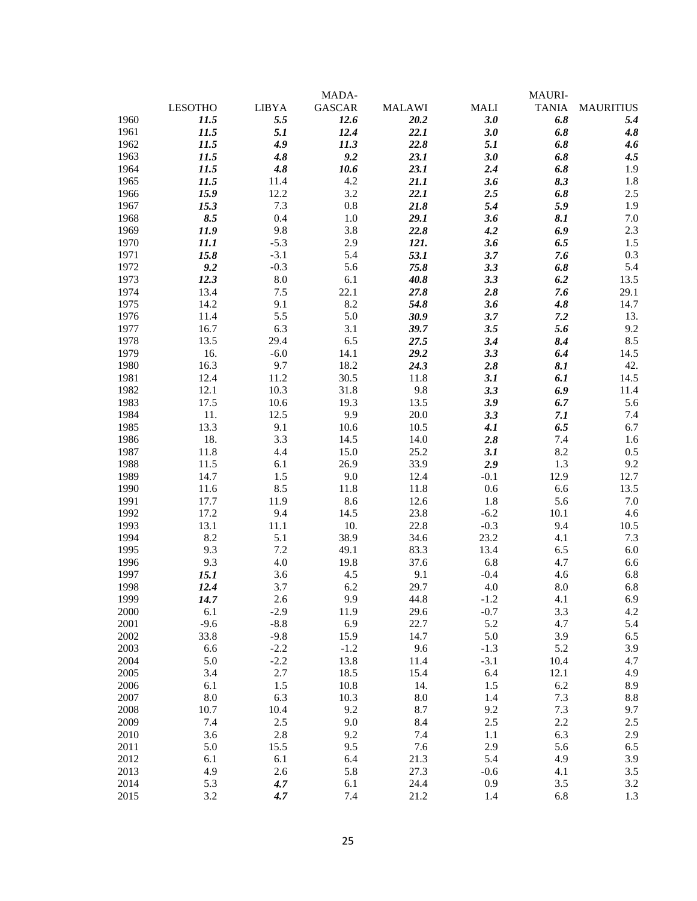|              |                |              | MADA-         |               |        | MAURI-       |                  |
|--------------|----------------|--------------|---------------|---------------|--------|--------------|------------------|
|              | <b>LESOTHO</b> | <b>LIBYA</b> | <b>GASCAR</b> | <b>MALAWI</b> | MALI   | <b>TANIA</b> | <b>MAURITIUS</b> |
| 1960         | 11.5           | 5.5          | 12.6          | 20.2          | 3.0    | 6.8          | 5.4              |
| 1961         | 11.5           | 5.1          | 12.4          | 22.1          | 3.0    | 6.8          | 4.8              |
| 1962         | 11.5           | 4.9          | 11.3          | 22.8          | 5.1    | 6.8          | 4.6              |
| 1963         | 11.5           | 4.8          | 9.2           | 23.1          | 3.0    | 6.8          | 4.5              |
| 1964         | 11.5           | 4.8          | 10.6          | 23.1          | 2.4    | 6.8          | 1.9              |
| 1965         | 11.5           | 11.4         | 4.2           | 21.1          | 3.6    | 8.3          | 1.8              |
| 1966         | 15.9           | 12.2         | 3.2           | 22.1          | 2.5    | 6.8          | 2.5              |
| 1967         | 15.3           | 7.3          | 0.8           | 21.8          | 5.4    | 5.9          | 1.9              |
| 1968         | 8.5            | 0.4          | 1.0           | 29.1          | 3.6    | 8.1          | 7.0              |
| 1969         | 11.9           | 9.8          | 3.8           | 22.8          | 4.2    | 6.9          | 2.3              |
| 1970         | 11.1           | $-5.3$       | 2.9           | 121.          | 3.6    | 6.5          | 1.5              |
| 1971         | 15.8           | $-3.1$       | 5.4           | 53.1          | 3.7    | 7.6          | 0.3              |
| 1972         | 9.2            | $-0.3$       | 5.6           | 75.8          | 3.3    | 6.8          | 5.4              |
| 1973         | 12.3           | 8.0          | 6.1           | 40.8          | 3.3    | 6.2          | 13.5             |
| 1974         | 13.4           | 7.5          | 22.1          | 27.8          | 2.8    | 7.6          | 29.1             |
| 1975         | 14.2           | 9.1          | 8.2           | 54.8          | 3.6    | 4.8          | 14.7             |
| 1976         | 11.4           | 5.5          | 5.0           | 30.9          | 3.7    | 7.2          | 13.              |
| 1977         | 16.7           | 6.3          | 3.1           | 39.7          | 3.5    | 5.6          | 9.2              |
| 1978         | 13.5           | 29.4         | 6.5           | 27.5          | 3.4    | 8.4          | 8.5              |
| 1979         | 16.            | $-6.0$       | 14.1          | 29.2          | 3.3    | 6.4          | 14.5             |
| 1980         | 16.3           | 9.7          | 18.2          | 24.3          | 2.8    | 8.1          | 42.              |
| 1981         | 12.4           | 11.2         | 30.5          | 11.8          | 3.1    | 6.1          | 14.5             |
| 1982         | 12.1           | 10.3         | 31.8          | 9.8           | 3.3    | 6.9          | 11.4             |
| 1983         | 17.5           | 10.6         | 19.3          | 13.5          | 3.9    | 6.7          | 5.6              |
| 1984         | 11.            | 12.5         | 9.9           | 20.0          | 3.3    | 7.1          | 7.4              |
| 1985         | 13.3           | 9.1          | 10.6          | 10.5          | 4.1    | 6.5          | 6.7              |
| 1986         | 18.            | 3.3          | 14.5          | 14.0          | 2.8    | 7.4          | 1.6              |
| 1987         | 11.8           | 4.4          | 15.0          | 25.2          | 3.1    | 8.2          | 0.5              |
| 1988         | 11.5           | 6.1          | 26.9          | 33.9          | 2.9    | 1.3          | 9.2              |
| 1989         | 14.7           |              | 9.0           | 12.4          | $-0.1$ | 12.9         | 12.7             |
| 1990         | 11.6           | 1.5<br>8.5   | 11.8          | 11.8          | 0.6    | 6.6          | 13.5             |
| 1991         | 17.7           | 11.9         | 8.6           | 12.6          | 1.8    | 5.6          | 7.0              |
|              |                |              |               |               |        |              |                  |
| 1992<br>1993 | 17.2           | 9.4          | 14.5          | 23.8          | $-6.2$ | 10.1         | 4.6              |
|              | 13.1           | 11.1         | 10.<br>38.9   | 22.8          | $-0.3$ | 9.4          | 10.5             |
| 1994         | 8.2            | 5.1<br>7.2   |               | 34.6          | 23.2   | 4.1          | 7.3              |
| 1995         | 9.3            |              | 49.1          | 83.3          | 13.4   | 6.5          | 6.0              |
| 1996         | 9.3            | 4.0          | 19.8          | 37.6          | 6.8    | 4.7          | 6.6              |
| 1997         | 15.1           | 3.6          | 4.5           | 9.1           | $-0.4$ | 4.6          | 6.8              |
| 1998         | 12.4           | 3.7          | 6.2<br>9.9    | 29.7          | 4.0    | 8.0          | 6.8              |
| 1999         | 14.7           | 2.6          |               | 44.8          | $-1.2$ | 4.1          | 6.9              |
| 2000         | 6.1            | $-2.9$       | 11.9          | 29.6          | $-0.7$ | 3.3          | 4.2              |
| 2001         | $-9.6$         | $-8.8$       | 6.9           | 22.7          | 5.2    | 4.7          | 5.4              |
| 2002         | 33.8           | $-9.8$       | 15.9          | 14.7          | 5.0    | 3.9          | 6.5              |
| 2003         | 6.6            | $-2.2$       | $-1.2$        | 9.6           | $-1.3$ | 5.2          | 3.9              |
| 2004         | 5.0            | $-2.2$       | 13.8          | 11.4          | $-3.1$ | 10.4         | 4.7              |
| 2005         | 3.4            | 2.7          | 18.5          | 15.4          | 6.4    | 12.1         | 4.9              |
| 2006         | 6.1            | 1.5          | 10.8          | 14.           | 1.5    | 6.2          | 8.9              |
| 2007         | 8.0            | 6.3          | 10.3          | 8.0           | 1.4    | 7.3          | 8.8              |
| 2008         | 10.7           | 10.4         | 9.2           | 8.7           | 9.2    | 7.3          | 9.7              |
| 2009         | 7.4            | 2.5          | 9.0           | 8.4           | 2.5    | 2.2          | 2.5              |
| 2010         | 3.6            | 2.8          | 9.2           | 7.4           | 1.1    | 6.3          | 2.9              |
| 2011         | 5.0            | 15.5         | 9.5           | 7.6           | 2.9    | 5.6          | 6.5              |
| 2012         | 6.1            | 6.1          | 6.4           | 21.3          | 5.4    | 4.9          | 3.9              |
| 2013         | 4.9            | 2.6          | 5.8           | 27.3          | $-0.6$ | 4.1          | 3.5              |
| 2014         | 5.3            | 4.7          | 6.1           | 24.4          | 0.9    | 3.5          | 3.2              |
| 2015         | 3.2            | 4.7          | 7.4           | 21.2          | 1.4    | 6.8          | 1.3              |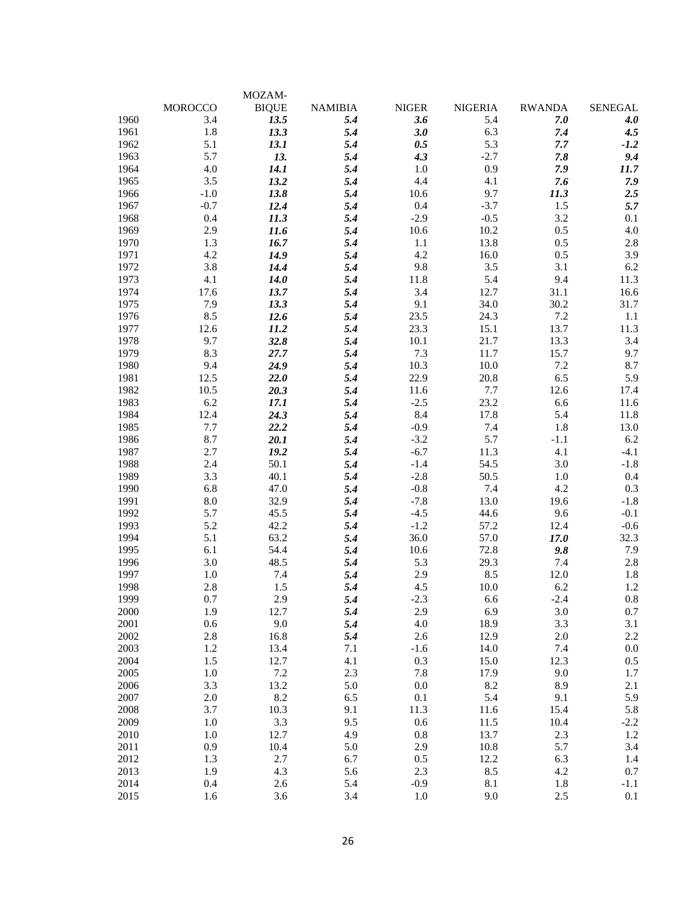|      |                | MOZAM-       |                |              |                |               |                |
|------|----------------|--------------|----------------|--------------|----------------|---------------|----------------|
|      | <b>MOROCCO</b> | <b>BIQUE</b> | <b>NAMIBIA</b> | <b>NIGER</b> | <b>NIGERIA</b> | <b>RWANDA</b> | <b>SENEGAL</b> |
| 1960 | 3.4            | 13.5         | 5.4            | 3.6          | 5.4            | 7.0           | 4.0            |
| 1961 | 1.8            | 13.3         | 5.4            | 3.0          | 6.3            | 7.4           | 4.5            |
| 1962 | 5.1            | 13.1         | 5.4            | 0.5          | 5.3            | 7.7           | $-1.2$         |
| 1963 | 5.7            | 13.          | 5.4            | 4.3          | $-2.7$         | 7.8           | 9.4            |
| 1964 | 4.0            | 14.1         | 5.4            | 1.0          | 0.9            | 7.9           | 11.7           |
| 1965 | 3.5            | 13.2         | 5.4            | 4.4          | 4.1            | 7.6           | 7.9            |
| 1966 | $-1.0$         | 13.8         | 5.4            | 10.6         | 9.7            | 11.3          | 2.5            |
| 1967 | $-0.7$         | 12.4         | 5.4            | 0.4          | $-3.7$         | 1.5           | 5.7            |
| 1968 | 0.4            | 11.3         | 5.4            | $-2.9$       | $-0.5$         | 3.2           | 0.1            |
| 1969 | 2.9            | 11.6         | 5.4            | 10.6         | 10.2           | 0.5           | 4.0            |
| 1970 | 1.3            | 16.7         | 5.4            | 1.1          | 13.8           | 0.5           | 2.8            |
| 1971 | 4.2            | 14.9         | 5.4            | 4.2          | 16.0           | 0.5           | 3.9            |
| 1972 | 3.8            | 14.4         | 5.4            | 9.8          | 3.5            | 3.1           | 6.2            |
| 1973 | 4.1            | 14.0         | 5.4            | 11.8         | 5.4            | 9.4           | 11.3           |
| 1974 | 17.6           | 13.7         | 5.4            | 3.4          | 12.7           | 31.1          | 16.6           |
| 1975 | 7.9            | 13.3         | 5.4            | 9.1          | 34.0           | 30.2          | 31.7           |
| 1976 | 8.5            | 12.6         | 5.4            | 23.5         | 24.3           | 7.2           | 1.1            |
| 1977 | 12.6           | 11.2         | 5.4            | 23.3         | 15.1           | 13.7          | 11.3           |
| 1978 | 9.7            | 32.8         | 5.4            | 10.1         | 21.7           | 13.3          | 3.4            |
| 1979 | 8.3            | 27.7         | 5.4            | 7.3          | 11.7           | 15.7          | 9.7            |
| 1980 | 9.4            | 24.9         | 5.4            | 10.3         | 10.0           | 7.2           | 8.7            |
| 1981 | 12.5           | 22.0         | 5.4            | 22.9         | 20.8           | 6.5           | 5.9            |
| 1982 | 10.5           | 20.3         | 5.4            | 11.6         | 7.7            | 12.6          | 17.4           |
| 1983 | 6.2            | 17.1         | 5.4            | $-2.5$       | 23.2           | 6.6           | 11.6           |
| 1984 | 12.4           | 24.3         | 5.4            | 8.4          | 17.8           | 5.4           | 11.8           |
| 1985 | 7.7            | 22.2         | 5.4            | $-0.9$       | 7.4            | 1.8           | 13.0           |
| 1986 | 8.7            | 20.1         | 5.4            | $-3.2$       | 5.7            | $-1.1$        | 6.2            |
| 1987 | 2.7            | 19.2         | 5.4            | $-6.7$       | 11.3           | 4.1           | $-4.1$         |
| 1988 | 2.4            | 50.1         | 5.4            | $-1.4$       | 54.5           | 3.0           | $-1.8$         |
| 1989 | 3.3            | 40.1         | 5.4            | $-2.8$       | 50.5           | 1.0           | 0.4            |
| 1990 | 6.8            | 47.0         | 5.4            | $-0.8$       | 7.4            | 4.2           | 0.3            |
| 1991 | 8.0            | 32.9         | 5.4            | $-7.8$       | 13.0           | 19.6          | $-1.8$         |
| 1992 | 5.7            | 45.5         | 5.4            | $-4.5$       | 44.6           | 9.6           | $-0.1$         |
| 1993 | 5.2            | 42.2         | 5.4            | $-1.2$       | 57.2           | 12.4          | $-0.6$         |
| 1994 | 5.1            | 63.2         | 5.4            | 36.0         | 57.0           | 17.0          | 32.3           |
| 1995 | 6.1            | 54.4         | 5.4            | 10.6         | 72.8           | 9.8           | 7.9            |
| 1996 | 3.0            | 48.5         | 5.4            | 5.3          | 29.3           | 7.4           | 2.8            |
| 1997 | 1.0            | 7.4          | 5.4            | 2.9          | 8.5            | 12.0          | 1.8            |
| 1998 | 2.8            | 1.5          | 5.4            | 4.5          | 10.0           | 6.2           | 1.2            |
| 1999 | 0.7            | 2.9          | 5.4            | $-2.3$       | 6.6            | $-2.4$        | 0.8            |
| 2000 | 1.9            | 12.7         | 5.4            | 2.9          | 6.9            | 3.0           | 0.7            |
| 2001 | 0.6            | 9.0          | 5.4            | 4.0          | 18.9           | 3.3           | 3.1            |
| 2002 | 2.8            | 16.8         | 5.4            | 2.6          | 12.9           | 2.0           | 2.2            |
| 2003 | 1.2            | 13.4         | 7.1            | $-1.6$       | 14.0           | 7.4           | 0.0            |
| 2004 | $1.5$          | 12.7         | 4.1            | 0.3          | 15.0           | 12.3          | 0.5            |
| 2005 | $1.0\,$        | $7.2\,$      | 2.3            | 7.8          | 17.9           | 9.0           | 1.7            |
| 2006 | 3.3            | 13.2         | 5.0            | 0.0          | 8.2            | 8.9           | 2.1            |
| 2007 | $2.0\,$        | $8.2\,$      | 6.5            | 0.1          | 5.4            | 9.1           | 5.9            |
| 2008 | 3.7            | 10.3         | 9.1            | 11.3         | 11.6           | 15.4          | 5.8            |
| 2009 | 1.0            | 3.3          | 9.5            | 0.6          | 11.5           | 10.4          | $-2.2$         |
| 2010 | 1.0            | 12.7         | 4.9            | 0.8          | 13.7           | 2.3           | 1.2            |
| 2011 | 0.9            | 10.4         | 5.0            | 2.9          | 10.8           | 5.7           | 3.4            |
| 2012 | 1.3            | 2.7          | 6.7            | 0.5          | 12.2           | 6.3           | 1.4            |
| 2013 | 1.9            | 4.3          | 5.6            | 2.3          | 8.5            | 4.2           | 0.7            |
| 2014 | 0.4            | 2.6          | 5.4            | $-0.9$       | 8.1            | $1.8\,$       | $-1.1$         |
| 2015 | 1.6            | 3.6          | 3.4            | $1.0\,$      | 9.0            | 2.5           | 0.1            |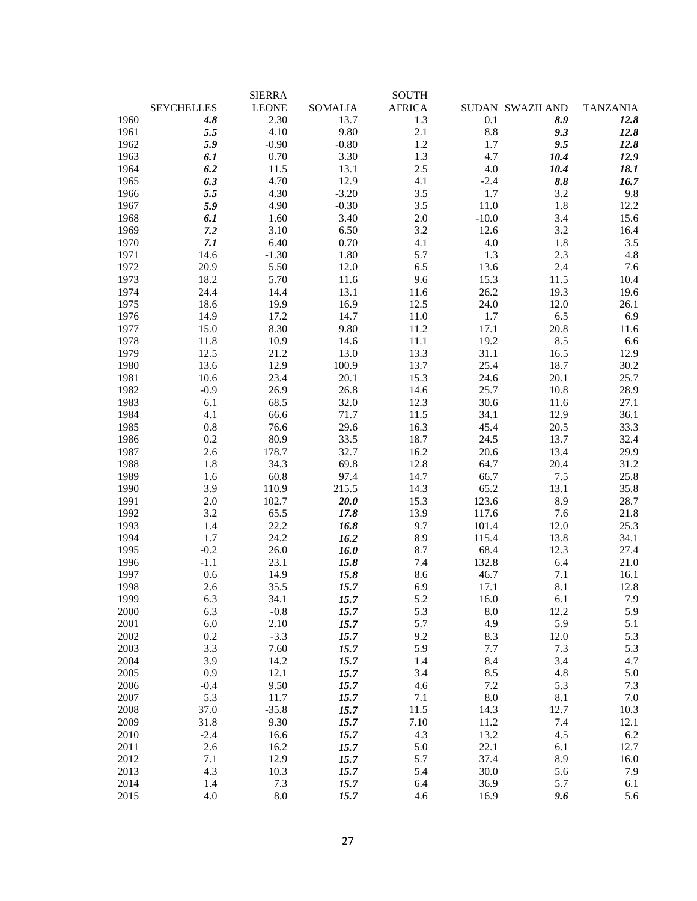|              |                   | <b>SIERRA</b>  |                | <b>SOUTH</b>  |                |                 |                 |
|--------------|-------------------|----------------|----------------|---------------|----------------|-----------------|-----------------|
|              | <b>SEYCHELLES</b> | <b>LEONE</b>   | <b>SOMALIA</b> | <b>AFRICA</b> |                | SUDAN SWAZILAND | <b>TANZANIA</b> |
| 1960         | 4.8               | 2.30           | 13.7           | 1.3           | 0.1            | 8.9             | 12.8            |
| 1961         | 5.5               | 4.10           | 9.80           | 2.1           | $8.8\,$        | 9.3             | 12.8            |
| 1962         | 5.9               | $-0.90$        | $-0.80$        | 1.2           | 1.7            | 9.5             | 12.8            |
| 1963         | 6.1               | 0.70           | 3.30           | 1.3           | 4.7            | 10.4            | 12.9            |
| 1964         | 6.2               | 11.5           | 13.1           | 2.5           | 4.0            | 10.4            | 18.1            |
| 1965         | 6.3               | 4.70           | 12.9           | 4.1           | $-2.4$         | 8.8             | 16.7            |
| 1966         | 5.5               | 4.30           | $-3.20$        | 3.5           | 1.7            | 3.2             | 9.8             |
| 1967         | 5.9               | 4.90           | $-0.30$        | 3.5           | 11.0           | 1.8             | 12.2            |
| 1968         | 6.1               | 1.60           | 3.40           | 2.0           | $-10.0$        | 3.4             | 15.6            |
| 1969         | 7.2               | 3.10           | 6.50           | 3.2           | 12.6           | 3.2             | 16.4            |
| 1970         | 7.1               | 6.40           | 0.70           | 4.1           | 4.0            | 1.8             | 3.5             |
| 1971         | 14.6              | $-1.30$        | 1.80           | 5.7           | 1.3            | 2.3             | 4.8             |
| 1972         | 20.9              | 5.50           | 12.0           | 6.5           | 13.6           | 2.4             | 7.6             |
| 1973         | 18.2              | 5.70           | 11.6           | 9.6           | 15.3           | 11.5            | 10.4            |
| 1974         | 24.4              | 14.4           | 13.1           | 11.6          | 26.2           | 19.3            | 19.6            |
| 1975         | 18.6              | 19.9           | 16.9           | 12.5          | 24.0           | 12.0            | 26.1            |
| 1976         | 14.9              | 17.2           | 14.7           | 11.0          | 1.7            | 6.5             | 6.9             |
| 1977         | 15.0              | 8.30           | 9.80           | 11.2          | 17.1           | 20.8            | 11.6            |
| 1978         | 11.8              | 10.9           | 14.6           | 11.1          | 19.2           | 8.5             | 6.6             |
| 1979         | 12.5              | 21.2           | 13.0           | 13.3          | 31.1           | 16.5            | 12.9            |
| 1980         | 13.6              | 12.9           | 100.9          | 13.7          | 25.4           | 18.7            | 30.2            |
| 1981         | 10.6              | 23.4           | 20.1           | 15.3          | 24.6           | 20.1            | 25.7            |
| 1982         | $-0.9$            | 26.9           | 26.8           | 14.6          | 25.7           | 10.8            | 28.9            |
| 1983         | 6.1               | 68.5           | 32.0           | 12.3          | 30.6           | 11.6            | 27.1            |
| 1984         | 4.1               | 66.6           | 71.7           | 11.5          | 34.1           | 12.9            | 36.1            |
| 1985         | 0.8               | 76.6           | 29.6           | 16.3          | 45.4           | 20.5            | 33.3            |
| 1986         | 0.2               | 80.9           | 33.5           | 18.7          | 24.5           | 13.7            | 32.4            |
| 1987         | 2.6               | 178.7          | 32.7           | 16.2          | 20.6           | 13.4            | 29.9            |
| 1988         | 1.8               | 34.3           | 69.8           | 12.8          | 64.7           | 20.4            | 31.2            |
| 1989         | 1.6               | 60.8           | 97.4           | 14.7          | 66.7           | 7.5             | 25.8            |
| 1990         | 3.9               | 110.9          | 215.5          | 14.3          | 65.2           | 13.1            | 35.8            |
| 1991         | $2.0\,$           | 102.7          | 20.0           | 15.3          | 123.6          | 8.9             | 28.7            |
| 1992         | 3.2               | 65.5           | 17.8           | 13.9          | 117.6          | 7.6             | 21.8            |
| 1993         | 1.4               | 22.2           | 16.8           | 9.7           | 101.4          | 12.0            | 25.3            |
| 1994         | 1.7               | 24.2           | 16.2           | 8.9           | 115.4          | 13.8            | 34.1            |
| 1995         | $-0.2$            | 26.0           | 16.0           | 8.7           | 68.4           | 12.3            | 27.4            |
| 1996         | $-1.1$            | 23.1           | 15.8           | 7.4           | 132.8          | 6.4             | 21.0            |
| 1997         | 0.6               | 14.9           | 15.8           | 8.6           | 46.7           | 7.1             | 16.1            |
| 1998         | 2.6               | 35.5           | 15.7           | 6.9           | 17.1           | 8.1             | 12.8            |
| 1999<br>2000 | 6.3               | 34.1           | 15.7           | 5.2           | 16.0           | 6.1             | 7.9             |
|              | 6.3               | $-0.8$         | 15.7           | 5.3           | 8.0            | 12.2            | 5.9             |
| 2001<br>2002 | $6.0\,$           | 2.10           | 15.7<br>15.7   | 5.7           | 4.9            | 5.9             | 5.1<br>5.3      |
| 2003         | 0.2<br>3.3        | $-3.3$<br>7.60 | 15.7           | 9.2<br>5.9    | 8.3<br>$7.7\,$ | 12.0<br>7.3     | 5.3             |
| 2004         | 3.9               | 14.2           | 15.7           | 1.4           | 8.4            | 3.4             | 4.7             |
| 2005         | 0.9               | 12.1           | 15.7           | 3.4           | 8.5            | 4.8             | 5.0             |
| 2006         | $-0.4$            | 9.50           | 15.7           | 4.6           | 7.2            | 5.3             | 7.3             |
| 2007         | 5.3               | 11.7           | 15.7           | 7.1           | $\ \, 8.0$     | 8.1             | 7.0             |
| 2008         | 37.0              | $-35.8$        | 15.7           | 11.5          | 14.3           | 12.7            | 10.3            |
| 2009         | 31.8              | 9.30           | 15.7           | 7.10          | 11.2           | 7.4             | 12.1            |
| 2010         | $-2.4$            | 16.6           | 15.7           | 4.3           | 13.2           | 4.5             | 6.2             |
| 2011         | 2.6               | 16.2           | 15.7           | 5.0           | 22.1           | 6.1             | 12.7            |
| 2012         | 7.1               | 12.9           | 15.7           | 5.7           | 37.4           | 8.9             | 16.0            |
| 2013         | 4.3               | 10.3           | 15.7           | 5.4           | 30.0           | 5.6             | 7.9             |
| 2014         | 1.4               | 7.3            | 15.7           | 6.4           | 36.9           | 5.7             | 6.1             |
| 2015         | 4.0               | $\ \, 8.0$     | 15.7           | 4.6           | 16.9           | 9.6             | 5.6             |
|              |                   |                |                |               |                |                 |                 |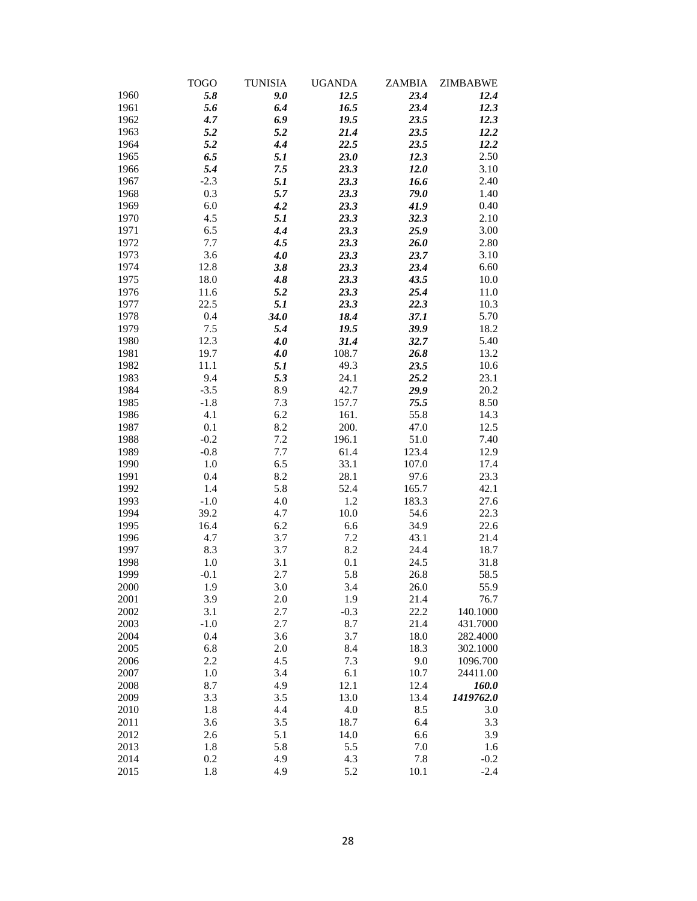|              | <b>TOGO</b>  | <b>TUNISIA</b> | <b>UGANDA</b> | ZAMBIA       | <b>ZIMBABWE</b>     |
|--------------|--------------|----------------|---------------|--------------|---------------------|
| 1960         | 5.8          | 9.0            | 12.5          | 23.4         | 12.4                |
| 1961         | 5.6          | 6.4            | 16.5          | 23.4         | 12.3                |
| 1962         | 4.7          | 6.9            | 19.5          | 23.5         | 12.3                |
| 1963         | 5.2          | 5.2            | 21.4          | 23.5         | 12.2                |
| 1964         | 5.2          | 4,4            | 22.5          | 23.5         | 12.2                |
| 1965         | 6.5          | 5.1            | 23.0          | 12.3         | 2.50                |
| 1966         | 5.4          | 7.5            | 23.3          | 12.0         | 3.10                |
| 1967         | $-2.3$       | 5.1            | 23.3          | 16.6         | 2.40                |
| 1968         | 0.3          | 5.7            | 23.3          | 79.0         | 1.40                |
| 1969         | 6.0          | 4.2            | 23.3          | 41.9         | 0.40                |
| 1970         | 4.5          | 5.1            | 23.3          | 32.3         | 2.10                |
| 1971         | 6.5          | 4,4            | 23.3          | 25.9         | 3.00                |
| 1972         | 7.7          | 4.5            | 23.3          | 26.0         | 2.80                |
| 1973         | 3.6          | 4.0            | 23.3          | 23.7         | 3.10                |
| 1974         | 12.8         | 3.8            | 23.3          | 23.4         | 6.60                |
| 1975         | 18.0         | 4.8            | 23.3          | 43.5         | 10.0                |
| 1976         | 11.6         | 5.2            | 23.3          | 25.4         | 11.0                |
| 1977         | 22.5         | 5.1            | 23.3          | 22.3         | 10.3                |
| 1978         | 0.4          | 34.0           | 18.4          | 37.1         | 5.70                |
| 1979         | 7.5          | 5.4            | 19.5          | 39.9         | 18.2                |
| 1980         | 12.3         | 4.0            | 31.4          | 32.7         | 5.40                |
| 1981         | 19.7         | 4.0            | 108.7         | 26.8         | 13.2                |
| 1982         | 11.1         | 5.1            | 49.3          | 23.5         | 10.6                |
| 1983         | 9.4          | 5.3            | 24.1          | 25.2         | 23.1                |
| 1984         | $-3.5$       | 8.9            | 42.7          | 29.9         | 20.2                |
| 1985         | $-1.8$       | 7.3            | 157.7         | 75.5         | 8.50                |
| 1986         | 4.1          | 6.2            | 161.          | 55.8         | 14.3                |
| 1987         | 0.1          | 8.2            | 200.          | 47.0         | 12.5                |
| 1988         | $-0.2$       | 7.2            | 196.1         | 51.0         | 7.40                |
| 1989         | $-0.8$       | 7.7            | 61.4          | 123.4        | 12.9                |
| 1990         | 1.0          | 6.5            | 33.1          | 107.0        | 17.4                |
| 1991         | 0.4          | 8.2            | 28.1          | 97.6         | 23.3                |
| 1992         | 1.4          | 5.8            | 52.4          | 165.7        | 42.1                |
| 1993         | $-1.0$       | 4.0            | 1.2           | 183.3        | 27.6                |
| 1994<br>1995 | 39.2<br>16.4 | 4.7<br>6.2     | 10.0          | 54.6<br>34.9 | 22.3<br>22.6        |
| 1996         | 4.7          | 3.7            | 6.6<br>7.2    | 43.1         | 21.4                |
| 1997         | 8.3          | 3.7            | 8.2           | 24.4         | 18.7                |
| 1998         | 1.0          | 3.1            | 0.1           | 24.5         | 31.8                |
| 1999         | $-0.1$       | 2.7            | 5.8           | 26.8         | 58.5                |
| 2000         | 1.9          | 3.0            | 3.4           | 26.0         | 55.9                |
| 2001         | 3.9          | 2.0            | 1.9           | 21.4         | 76.7                |
| 2002         | 3.1          | 2.7            | $-0.3$        | 22.2         | 140.1000            |
| 2003         | $-1.0$       | 2.7            | 8.7           | 21.4         | 431.7000            |
| 2004         | 0.4          | 3.6            | 3.7           | 18.0         | 282.4000            |
| 2005         | 6.8          | 2.0            | 8.4           | 18.3         | 302.1000            |
| 2006         | 2.2          | 4.5            | 7.3           | 9.0          | 1096.700            |
| 2007         | 1.0          | 3.4            | 6.1           | 10.7         | 24411.00            |
| 2008         | 8.7          | 4.9            | 12.1          | 12.4         | <i><b>160.0</b></i> |
| 2009         | 3.3          | 3.5            | 13.0          | 13.4         | 1419762.0           |
| 2010         | 1.8          | 4.4            | 4.0           | 8.5          | 3.0                 |
| 2011         | 3.6          | 3.5            | 18.7          | 6.4          | 3.3                 |
| 2012         | 2.6          | 5.1            | 14.0          | 6.6          | 3.9                 |
| 2013         | 1.8          | 5.8            | 5.5           | 7.0          | 1.6                 |
| 2014         | 0.2          | 4.9            | 4.3           | 7.8          | $-0.2$              |
| 2015         | 1.8          | 4.9            | 5.2           | 10.1         | $-2.4$              |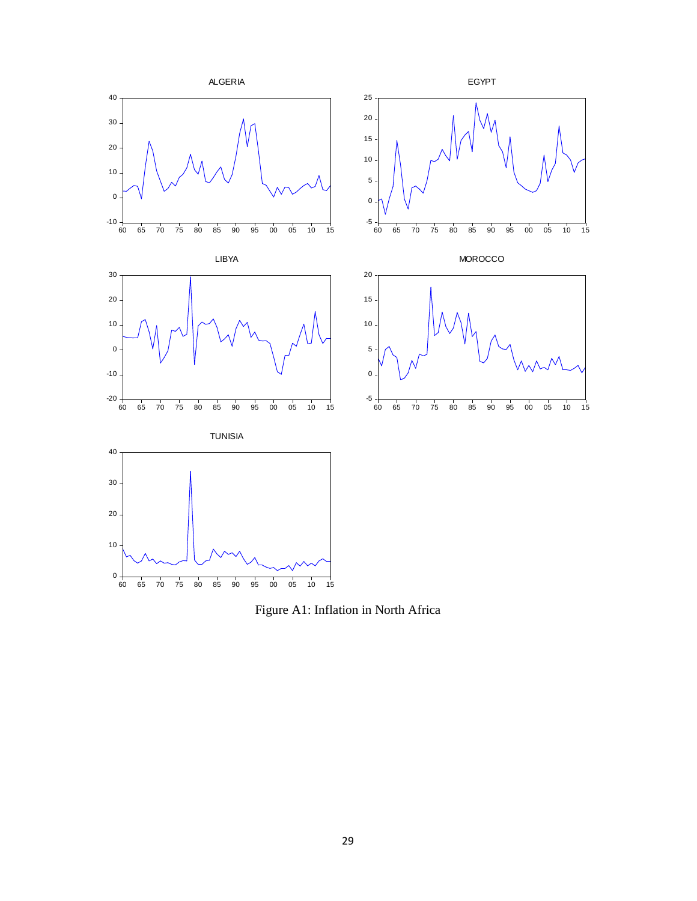

Figure A1: Inflation in North Africa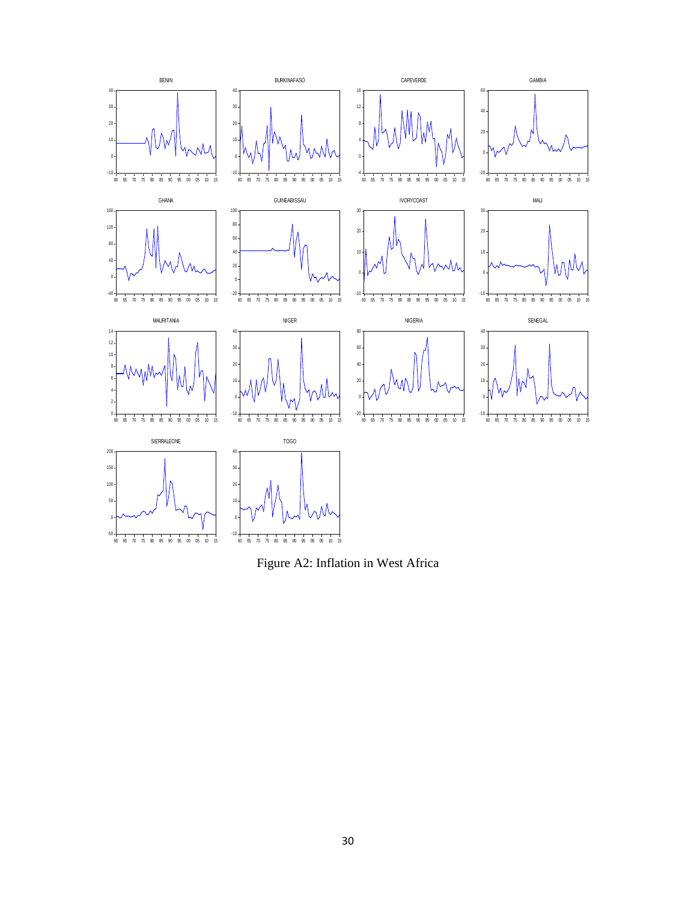

Figure A2: Inflation in West Africa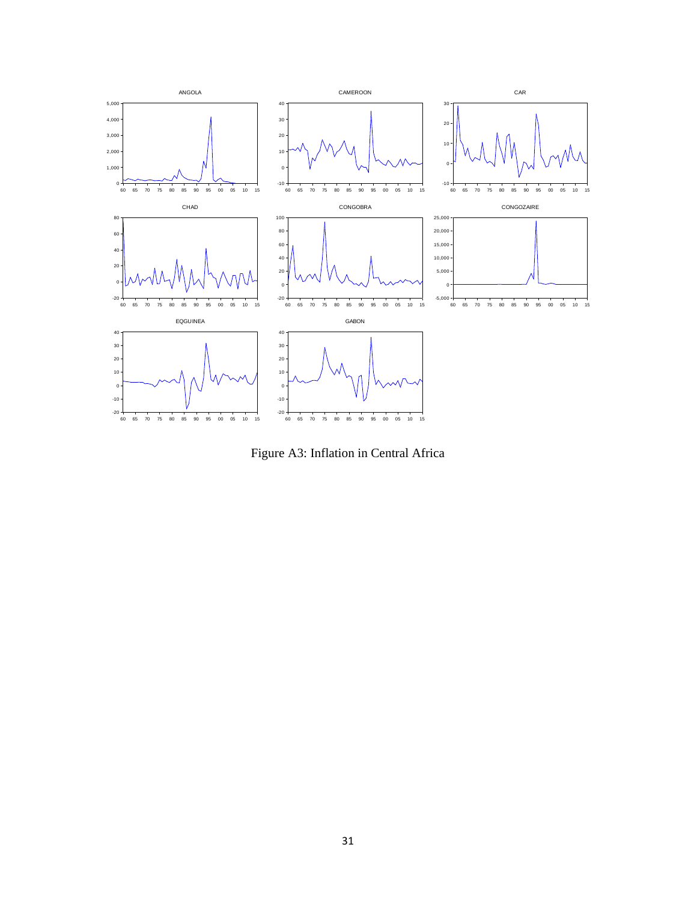

Figure A3: Inflation in Central Africa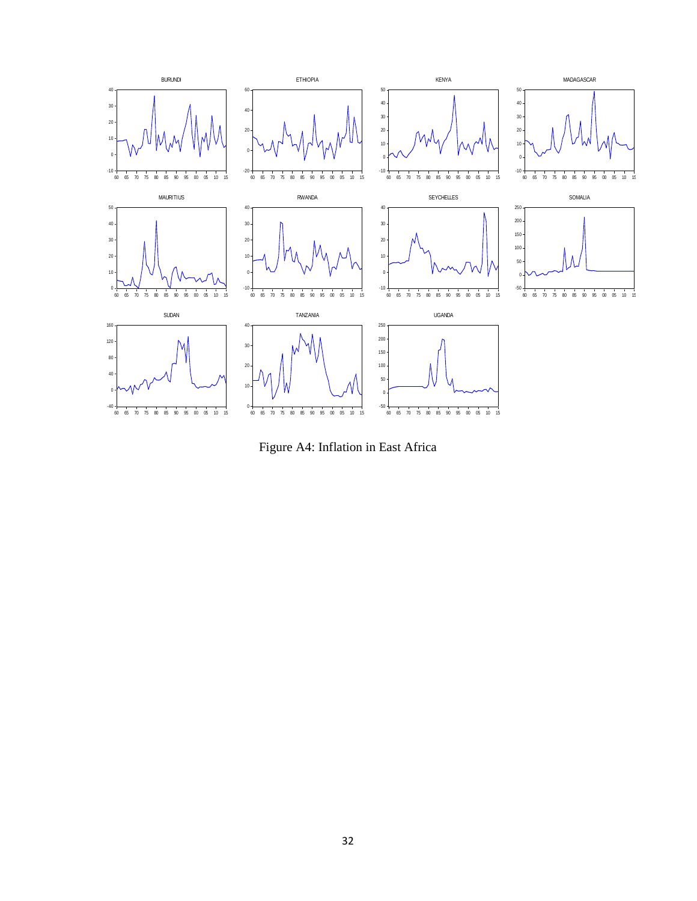

Figure A4: Inflation in East Africa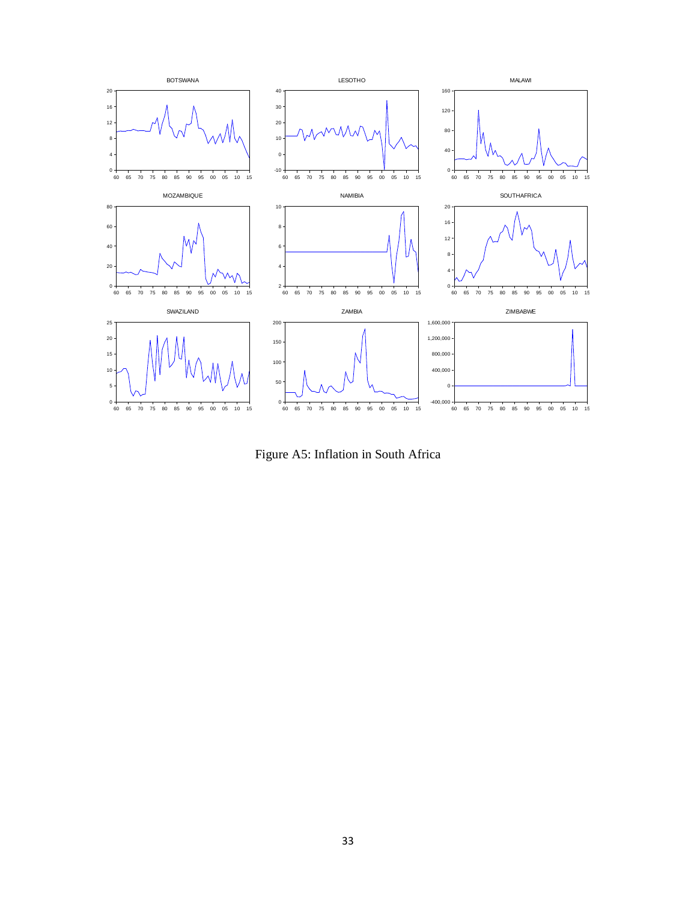

Figure A5: Inflation in South Africa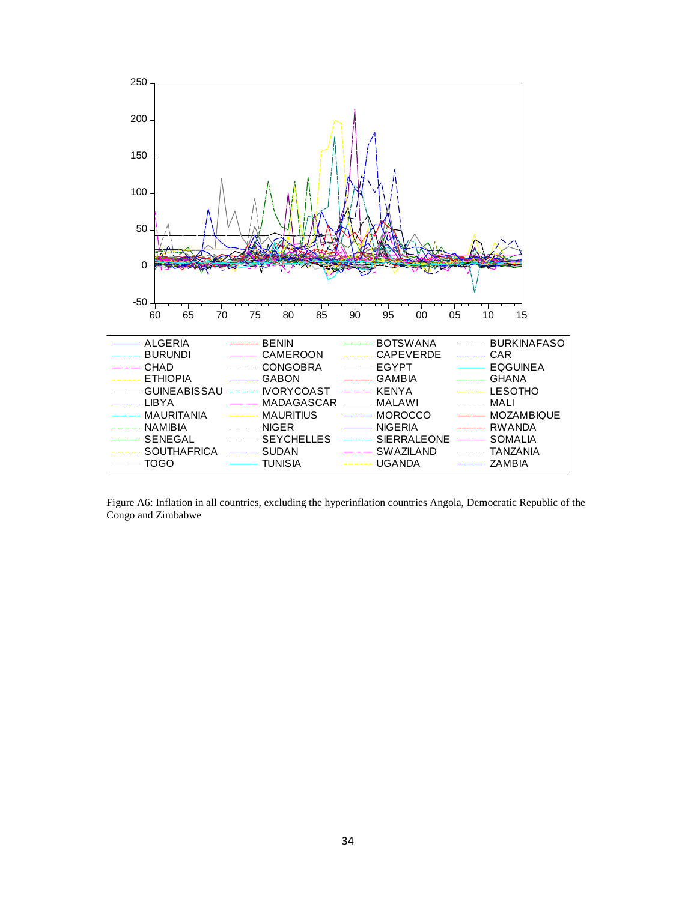

Figure A6: Inflation in all countries, excluding the hyperinflation countries Angola, Democratic Republic of the Congo and Zimbabwe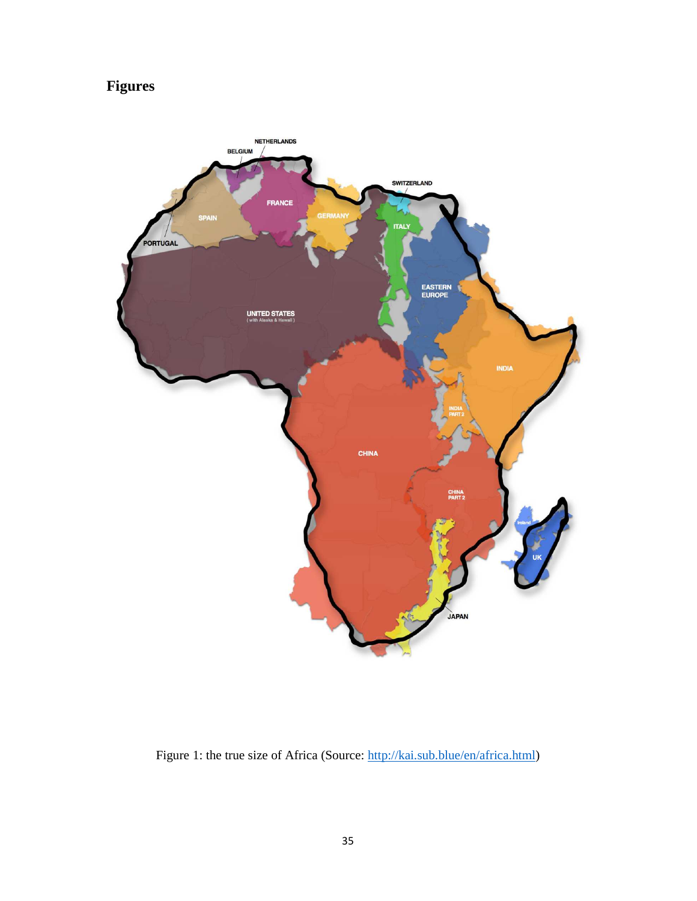# **Figures**



Figure 1: the true size of Africa (Source: http://kai.sub.blue/en/africa.html)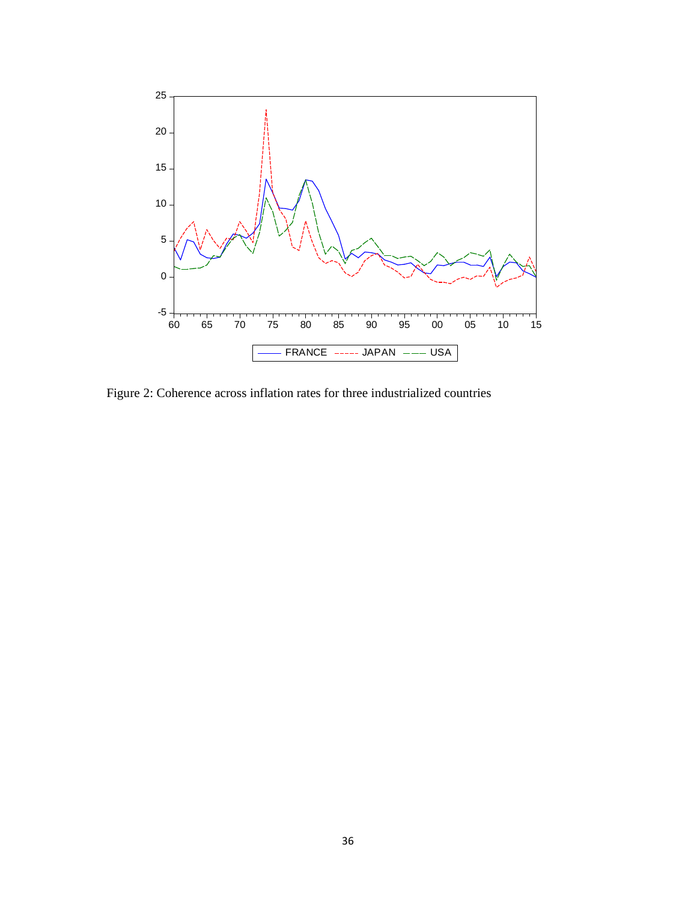

Figure 2: Coherence across inflation rates for three industrialized countries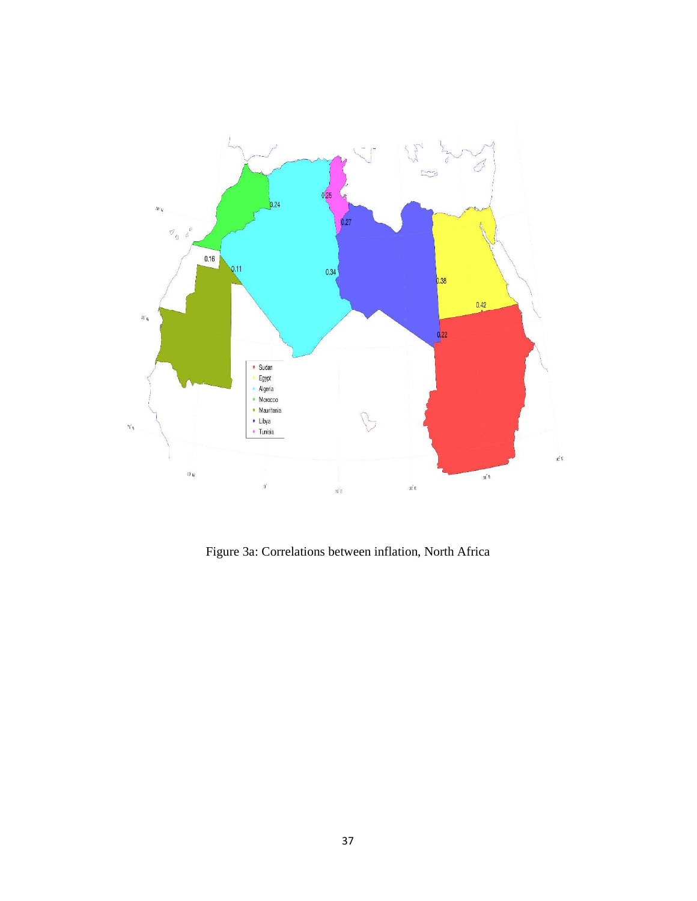

Figure 3a: Correlations between inflation, North Africa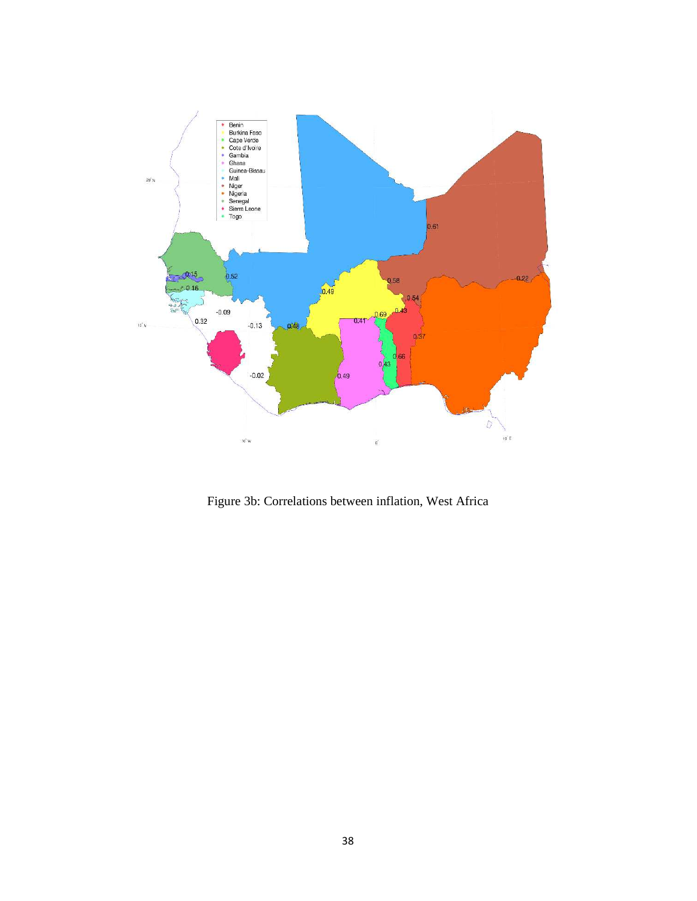

Figure 3b: Correlations between inflation, West Africa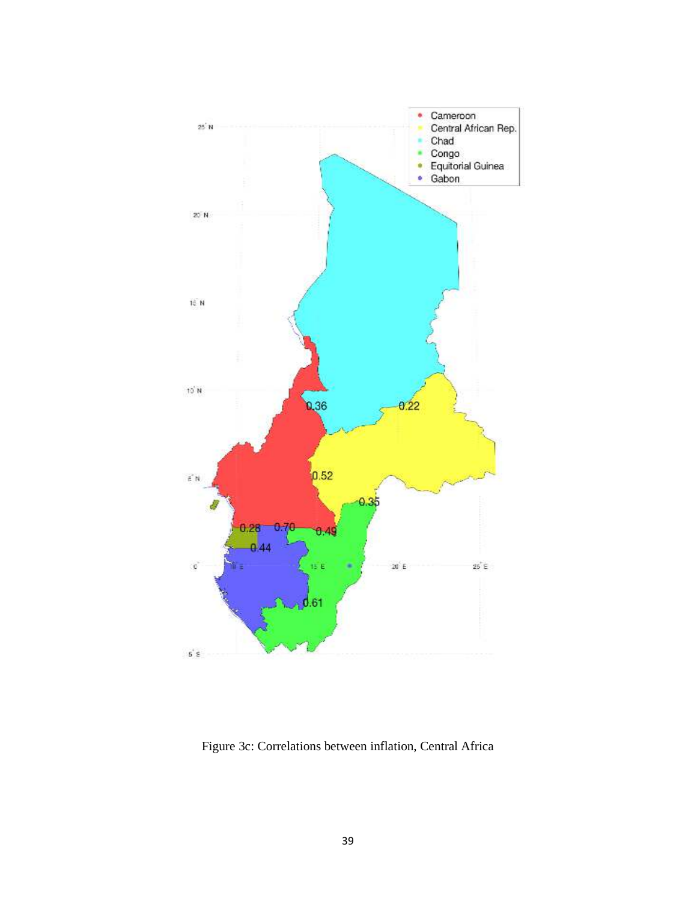

Figure 3c: Correlations between inflation, Central Africa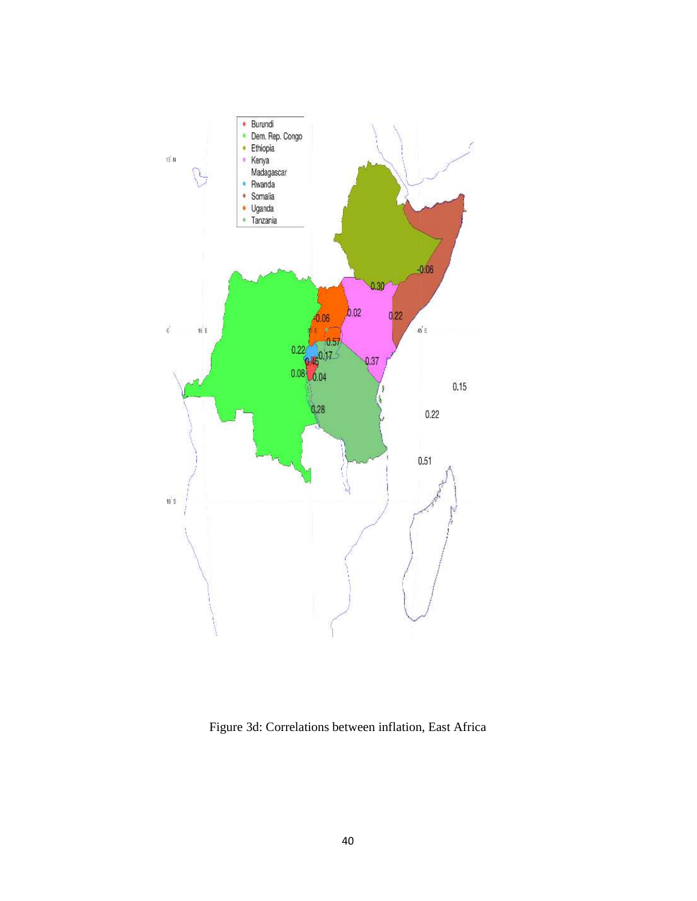

Figure 3d: Correlations between inflation, East Africa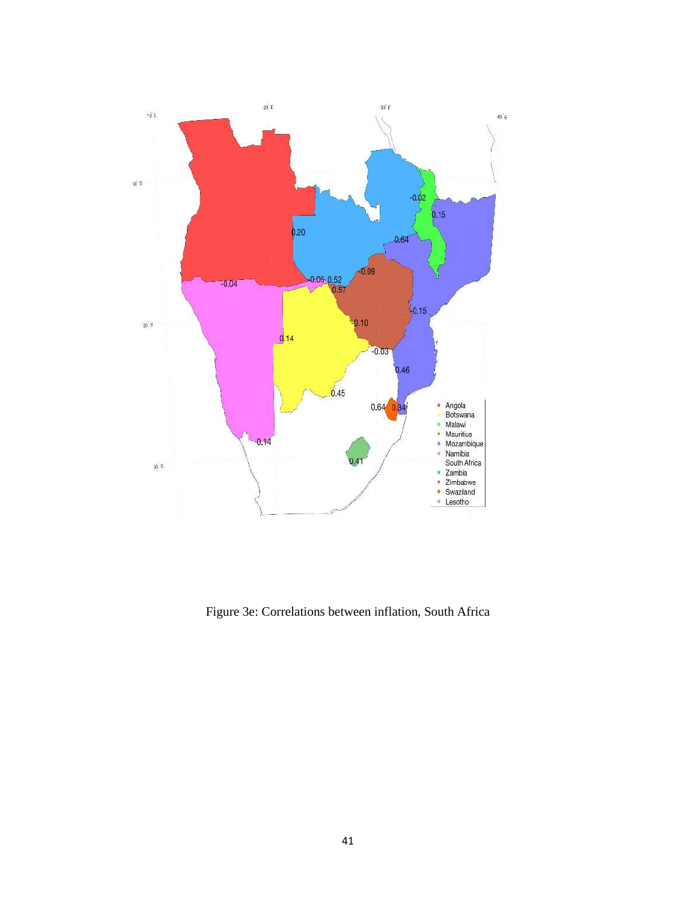

Figure 3e: Correlations between inflation, South Africa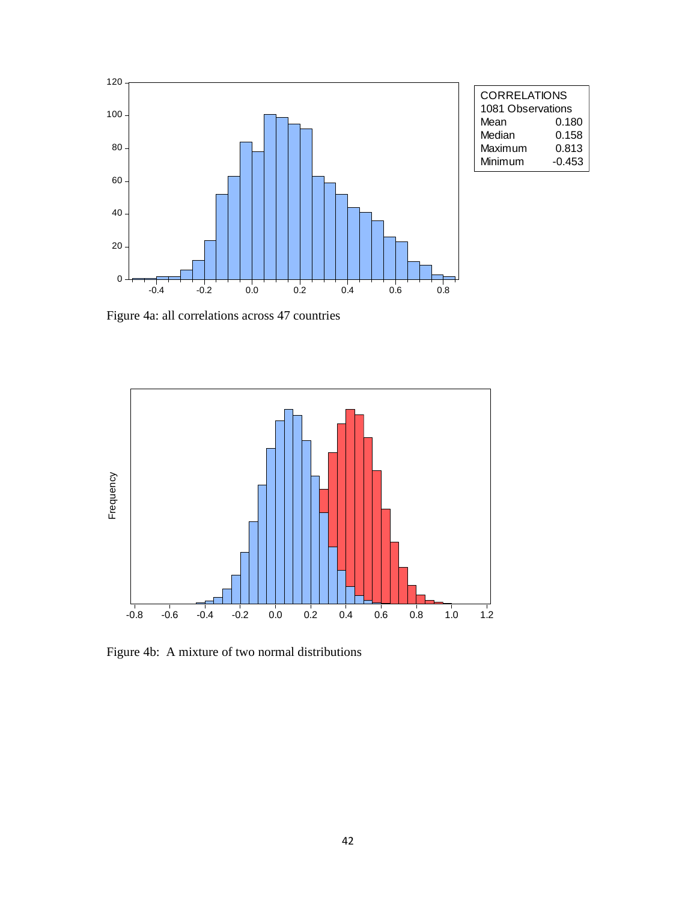

| <b>CORRELATIONS</b> |        |  |  |  |
|---------------------|--------|--|--|--|
| 1081 Observations   |        |  |  |  |
| Mean                | 0.180  |  |  |  |
| Median              | 0.158  |  |  |  |
| Maximum             | 0.813  |  |  |  |
| Minimum             | -0.453 |  |  |  |
|                     |        |  |  |  |

Figure 4a: all correlations across 47 countries



Figure 4b: A mixture of two normal distributions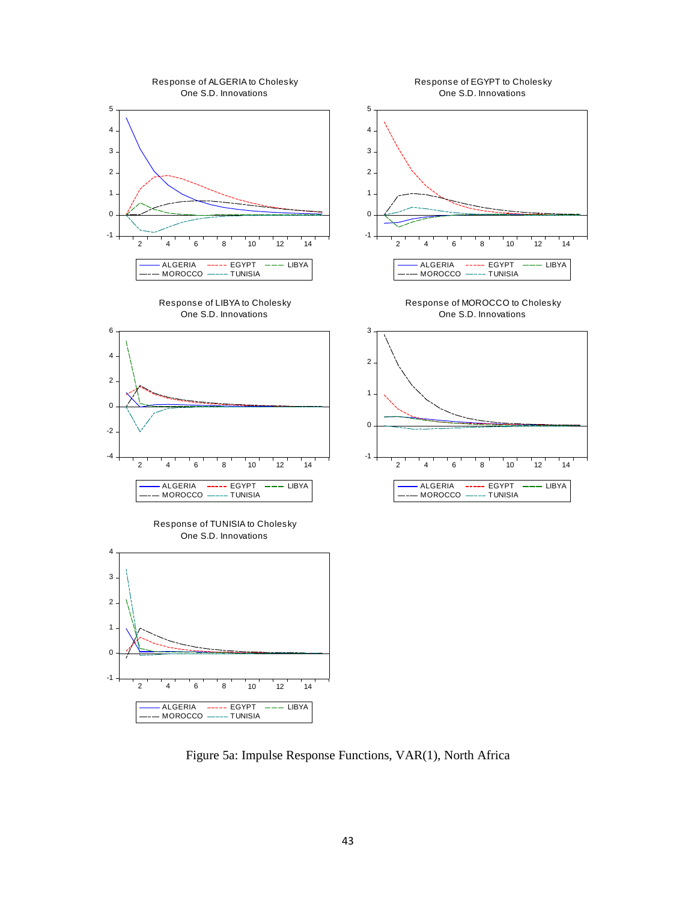

Figure 5a: Impulse Response Functions, VAR(1), North Africa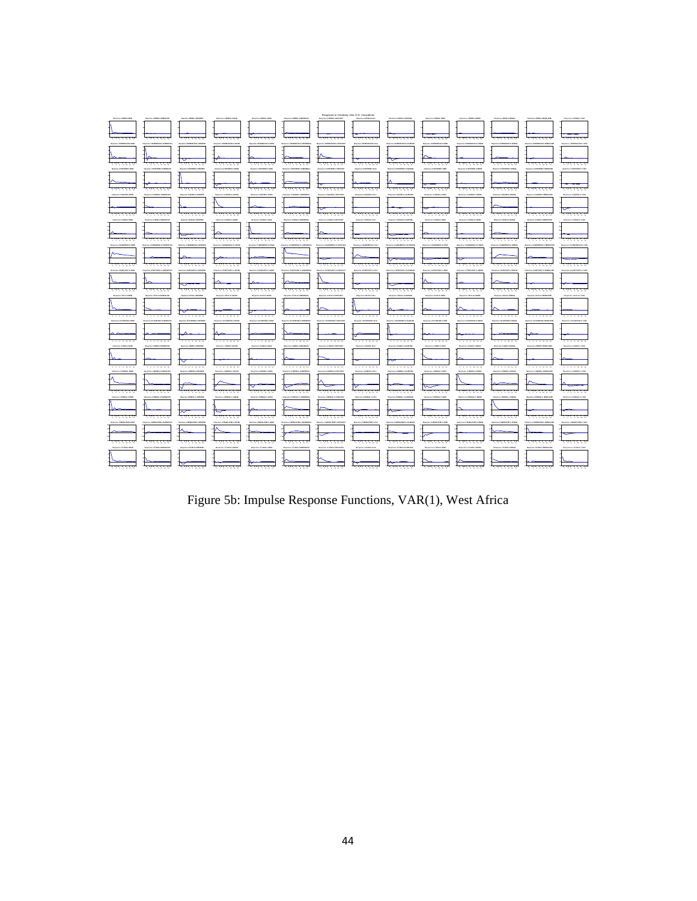

Figure 5b: Impulse Response Functions, VAR(1), West Africa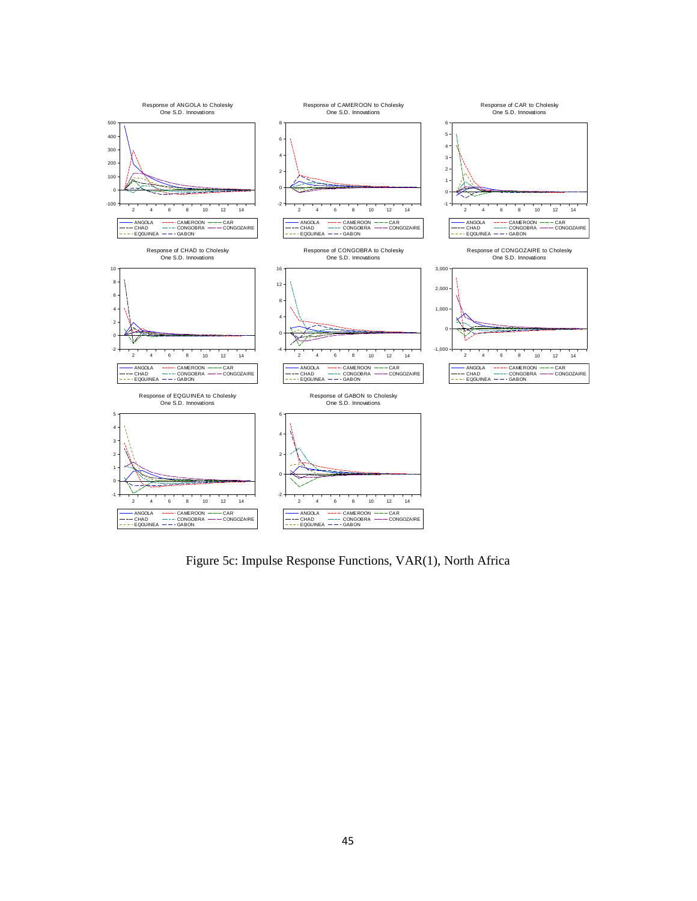

Figure 5c: Impulse Response Functions, VAR(1), North Africa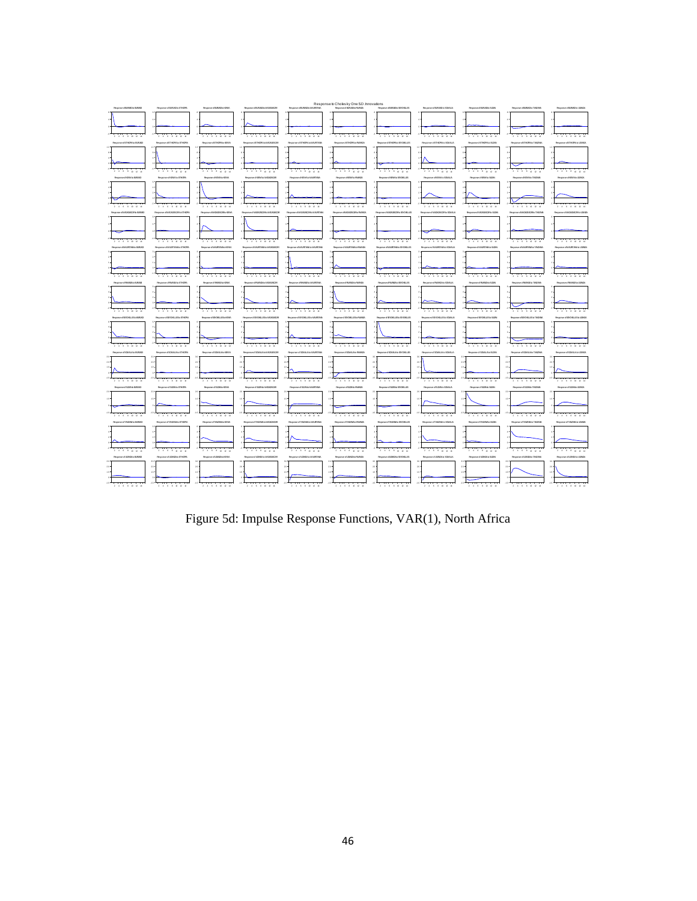

Figure 5d: Impulse Response Functions, VAR(1), North Africa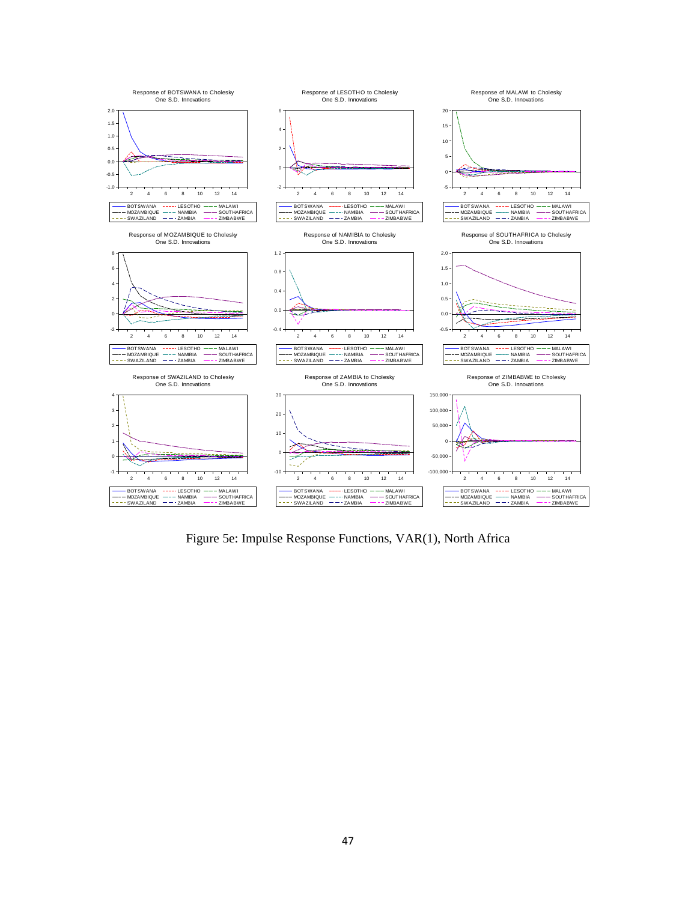

Figure 5e: Impulse Response Functions, VAR(1), North Africa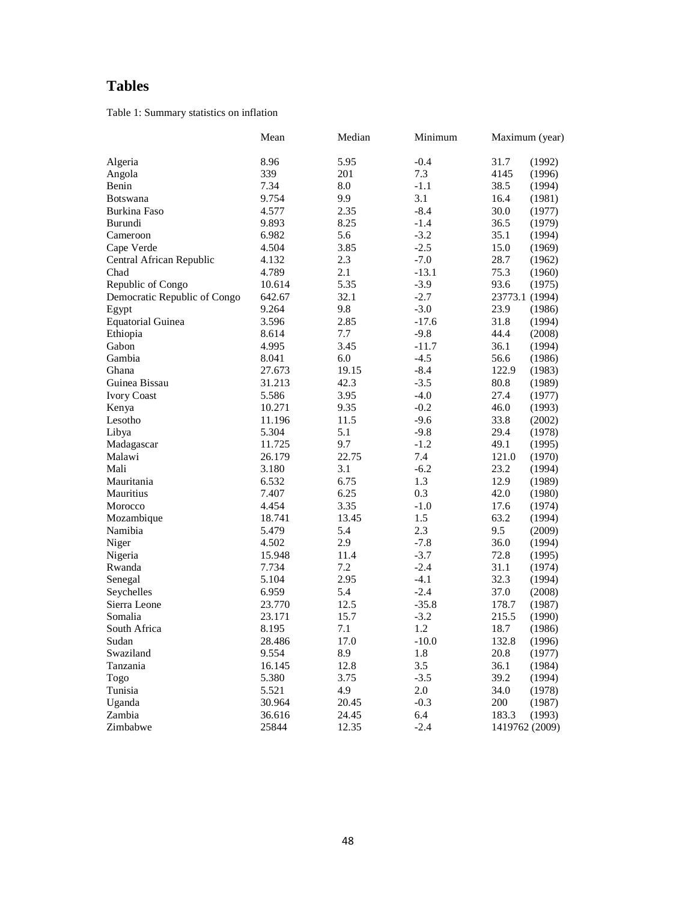## **Tables**

Table 1: Summary statistics on inflation

|                              | Mean   | Median | Minimum |                | Maximum (year) |
|------------------------------|--------|--------|---------|----------------|----------------|
| Algeria                      | 8.96   | 5.95   | $-0.4$  | 31.7           | (1992)         |
| Angola                       | 339    | 201    | 7.3     | 4145           | (1996)         |
| Benin                        | 7.34   | 8.0    | $-1.1$  | 38.5           | (1994)         |
| <b>Botswana</b>              | 9.754  | 9.9    | 3.1     | 16.4           | (1981)         |
| Burkina Faso                 | 4.577  | 2.35   | $-8.4$  | 30.0           | (1977)         |
| Burundi                      | 9.893  | 8.25   | $-1.4$  | 36.5           | (1979)         |
| Cameroon                     | 6.982  | 5.6    | $-3.2$  | 35.1           | (1994)         |
| Cape Verde                   | 4.504  | 3.85   | $-2.5$  | 15.0           | (1969)         |
| Central African Republic     | 4.132  | 2.3    | $-7.0$  | 28.7           | (1962)         |
| Chad                         | 4.789  | 2.1    | $-13.1$ | 75.3           | (1960)         |
| Republic of Congo            | 10.614 | 5.35   | $-3.9$  | 93.6           | (1975)         |
| Democratic Republic of Congo | 642.67 | 32.1   | $-2.7$  | 23773.1 (1994) |                |
| Egypt                        | 9.264  | 9.8    | $-3.0$  | 23.9           | (1986)         |
| <b>Equatorial Guinea</b>     | 3.596  | 2.85   | $-17.6$ | 31.8           | (1994)         |
| Ethiopia                     | 8.614  | 7.7    | $-9.8$  | 44.4           | (2008)         |
| Gabon                        | 4.995  | 3.45   | $-11.7$ | 36.1           | (1994)         |
| Gambia                       | 8.041  | 6.0    | $-4.5$  | 56.6           | (1986)         |
| Ghana                        | 27.673 | 19.15  | $-8.4$  | 122.9          | (1983)         |
| Guinea Bissau                | 31.213 | 42.3   | $-3.5$  | 80.8           | (1989)         |
| <b>Ivory Coast</b>           | 5.586  | 3.95   | $-4.0$  | 27.4           | (1977)         |
| Kenya                        | 10.271 | 9.35   | $-0.2$  | 46.0           | (1993)         |
| Lesotho                      | 11.196 | 11.5   | $-9.6$  | 33.8           | (2002)         |
| Libya                        | 5.304  | 5.1    | $-9.8$  | 29.4           | (1978)         |
| Madagascar                   | 11.725 | 9.7    | $-1.2$  | 49.1           | (1995)         |
| Malawi                       | 26.179 | 22.75  | 7.4     | 121.0          | (1970)         |
| Mali                         | 3.180  | 3.1    | $-6.2$  | 23.2           | (1994)         |
| Mauritania                   | 6.532  | 6.75   | 1.3     | 12.9           | (1989)         |
| Mauritius                    | 7.407  | 6.25   | 0.3     | 42.0           | (1980)         |
| Morocco                      | 4.454  | 3.35   | $-1.0$  | 17.6           | (1974)         |
| Mozambique                   | 18.741 | 13.45  | 1.5     | 63.2           | (1994)         |
| Namibia                      | 5.479  | 5.4    | 2.3     | 9.5            | (2009)         |
| Niger                        | 4.502  | 2.9    | $-7.8$  | 36.0           | (1994)         |
| Nigeria                      | 15.948 | 11.4   | $-3.7$  | 72.8           | (1995)         |
| Rwanda                       | 7.734  | 7.2    | $-2.4$  | 31.1           | (1974)         |
| Senegal                      | 5.104  | 2.95   | $-4.1$  | 32.3           | (1994)         |
| Seychelles                   | 6.959  | 5.4    | $-2.4$  | 37.0           | (2008)         |
| Sierra Leone                 | 23.770 | 12.5   | $-35.8$ | 178.7          | (1987)         |
| Somalia                      | 23.171 | 15.7   | $-3.2$  | 215.5          | (1990)         |
| South Africa                 | 8.195  | 7.1    | 1.2     | 18.7           | (1986)         |
| Sudan                        | 28.486 | 17.0   | $-10.0$ | 132.8          | (1996)         |
| Swaziland                    | 9.554  | 8.9    | 1.8     | 20.8           | (1977)         |
| Tanzania                     | 16.145 | 12.8   | 3.5     | 36.1           | (1984)         |
| Togo                         | 5.380  | 3.75   | $-3.5$  | 39.2           | (1994)         |
| Tunisia                      | 5.521  | 4.9    | 2.0     | 34.0           | (1978)         |
| Uganda                       | 30.964 | 20.45  | $-0.3$  | 200            | (1987)         |
| Zambia                       | 36.616 | 24.45  | 6.4     | 183.3          | (1993)         |
| Zimbabwe                     | 25844  | 12.35  | $-2.4$  | 1419762 (2009) |                |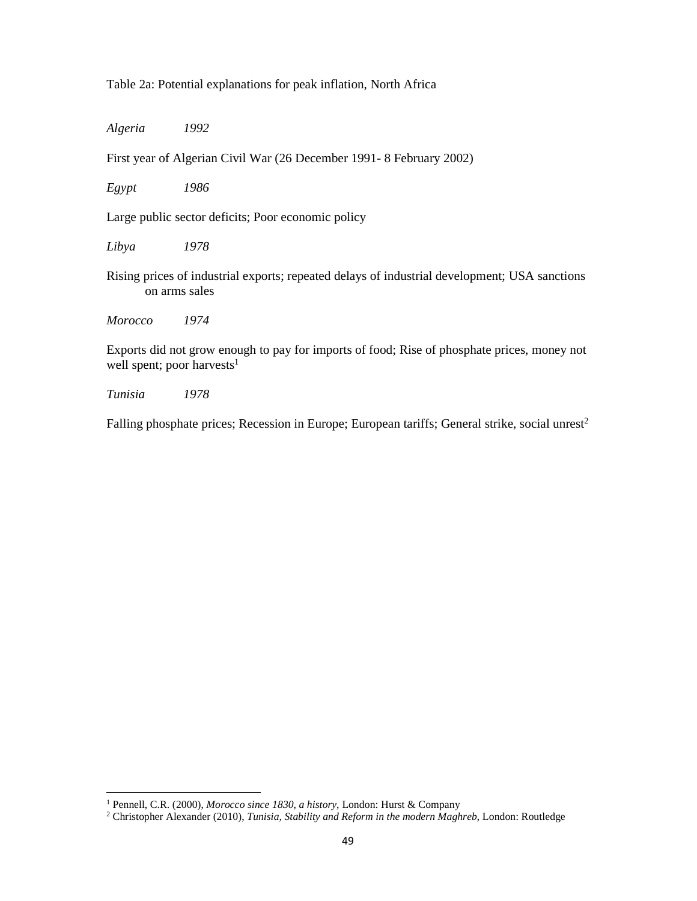Table 2a: Potential explanations for peak inflation, North Africa

*Algeria 1992* 

First year of Algerian Civil War (26 December 1991- 8 February 2002)

*Egypt 1986* 

Large public sector deficits; Poor economic policy

*Libya 1978* 

Rising prices of industrial exports; repeated delays of industrial development; USA sanctions on arms sales

*Morocco 1974* 

Exports did not grow enough to pay for imports of food; Rise of phosphate prices, money not well spent; poor harvests<sup>1</sup>

*Tunisia 1978* 

<u>.</u>

Falling phosphate prices; Recession in Europe; European tariffs; General strike, social unrest<sup>2</sup>

<sup>&</sup>lt;sup>1</sup> Pennell, C.R. (2000), *Morocco since 1830, a history*, London: Hurst & Company

<sup>2</sup> Christopher Alexander (2010), *Tunisia, Stability and Reform in the modern Maghreb*, London: Routledge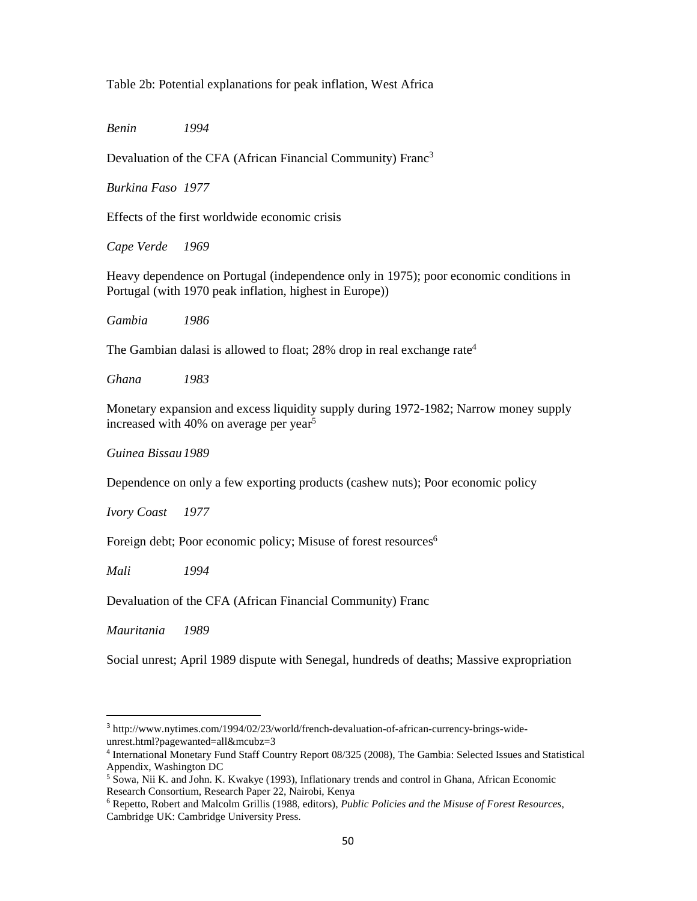#### Table 2b: Potential explanations for peak inflation, West Africa

*Benin 1994* 

Devaluation of the CFA (African Financial Community) Franc<sup>3</sup>

*Burkina Faso 1977* 

Effects of the first worldwide economic crisis

*Cape Verde 1969* 

Heavy dependence on Portugal (independence only in 1975); poor economic conditions in Portugal (with 1970 peak inflation, highest in Europe))

*Gambia 1986* 

The Gambian dalasi is allowed to float; 28% drop in real exchange rate<sup>4</sup>

*Ghana 1983* 

Monetary expansion and excess liquidity supply during 1972-1982; Narrow money supply increased with 40% on average per year<sup>5</sup>

*Guinea Bissau 1989* 

Dependence on only a few exporting products (cashew nuts); Poor economic policy

*Ivory Coast 1977* 

Foreign debt; Poor economic policy; Misuse of forest resources<sup>6</sup>

*Mali 1994* 

Devaluation of the CFA (African Financial Community) Franc

*Mauritania 1989* 

 $\overline{a}$ 

Social unrest; April 1989 dispute with Senegal, hundreds of deaths; Massive expropriation

<sup>&</sup>lt;sup>3</sup> http://www.nytimes.com/1994/02/23/world/french-devaluation-of-african-currency-brings-wideunrest.html?pagewanted=all&mcubz=3

<sup>4</sup> International Monetary Fund Staff Country Report 08/325 (2008), The Gambia: Selected Issues and Statistical Appendix, Washington DC

<sup>5</sup> Sowa, Nii K. and John. K. Kwakye (1993), Inflationary trends and control in Ghana, African Economic Research Consortium, Research Paper 22, Nairobi, Kenya

<sup>6</sup> Repetto, Robert and Malcolm Grillis (1988, editors), *Public Policies and the Misuse of Forest Resources*, Cambridge UK: Cambridge University Press.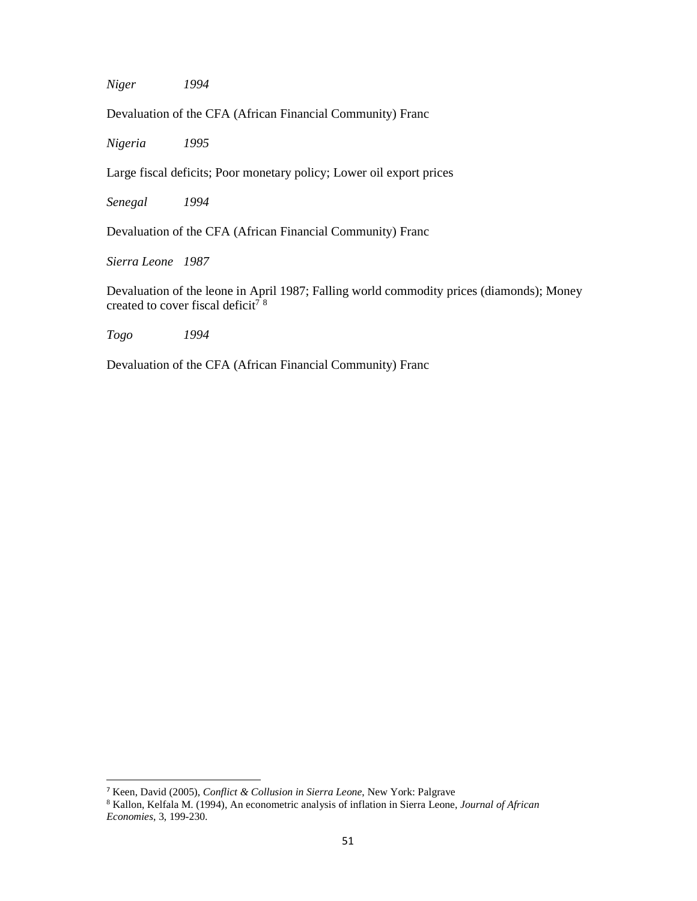*Niger 1994* 

Devaluation of the CFA (African Financial Community) Franc

*Nigeria 1995* 

Large fiscal deficits; Poor monetary policy; Lower oil export prices

*Senegal 1994* 

Devaluation of the CFA (African Financial Community) Franc

*Sierra Leone 1987* 

Devaluation of the leone in April 1987; Falling world commodity prices (diamonds); Money created to cover fiscal deficit<sup>7</sup> $8$ 

*Togo 1994* 

 $\overline{a}$ 

Devaluation of the CFA (African Financial Community) Franc

<sup>7</sup> Keen, David (2005), *Conflict & Collusion in Sierra Leone*, New York: Palgrave

<sup>8</sup> Kallon, Kelfala M. (1994), An econometric analysis of inflation in Sierra Leone, *Journal of African Economies*, 3, 199-230.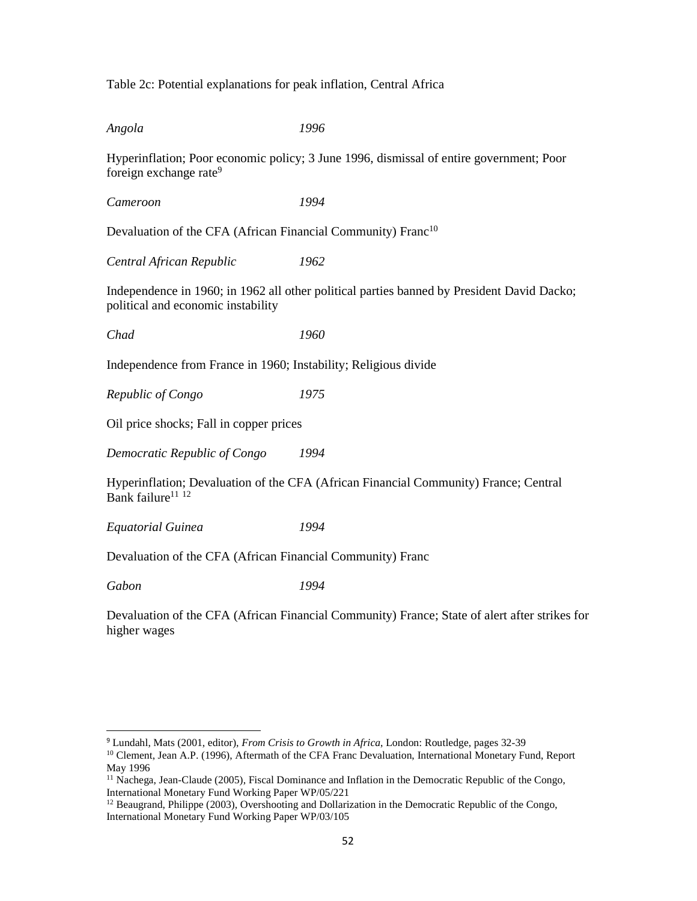Table 2c: Potential explanations for peak inflation, Central Africa

| Angola                                                                                                                           | 1996                                                                                       |  |  |  |  |
|----------------------------------------------------------------------------------------------------------------------------------|--------------------------------------------------------------------------------------------|--|--|--|--|
| foreign exchange rate <sup>9</sup>                                                                                               | Hyperinflation; Poor economic policy; 3 June 1996, dismissal of entire government; Poor    |  |  |  |  |
| Cameroon                                                                                                                         | 1994                                                                                       |  |  |  |  |
| Devaluation of the CFA (African Financial Community) Franc <sup>10</sup>                                                         |                                                                                            |  |  |  |  |
| Central African Republic                                                                                                         | 1962                                                                                       |  |  |  |  |
| political and economic instability                                                                                               | Independence in 1960; in 1962 all other political parties banned by President David Dacko; |  |  |  |  |
| Chad                                                                                                                             | 1960                                                                                       |  |  |  |  |
| Independence from France in 1960; Instability; Religious divide                                                                  |                                                                                            |  |  |  |  |
| Republic of Congo                                                                                                                | 1975                                                                                       |  |  |  |  |
| Oil price shocks; Fall in copper prices                                                                                          |                                                                                            |  |  |  |  |
| Democratic Republic of Congo                                                                                                     | 1994                                                                                       |  |  |  |  |
| Hyperinflation; Devaluation of the CFA (African Financial Community) France; Central<br>Bank failure <sup>11</sup> <sup>12</sup> |                                                                                            |  |  |  |  |
| <b>Equatorial Guinea</b>                                                                                                         | 1994                                                                                       |  |  |  |  |
| Devaluation of the CFA (African Financial Community) Franc                                                                       |                                                                                            |  |  |  |  |
| Gabon                                                                                                                            | 1994                                                                                       |  |  |  |  |

Devaluation of the CFA (African Financial Community) France; State of alert after strikes for higher wages

<u>.</u>

<sup>9</sup> Lundahl, Mats (2001, editor), *From Crisis to Growth in Africa*, London: Routledge, pages 32-39

<sup>&</sup>lt;sup>10</sup> Clement, Jean A.P. (1996), Aftermath of the CFA Franc Devaluation, International Monetary Fund, Report May 1996

<sup>&</sup>lt;sup>11</sup> Nachega, Jean-Claude (2005), Fiscal Dominance and Inflation in the Democratic Republic of the Congo, International Monetary Fund Working Paper WP/05/221

<sup>&</sup>lt;sup>12</sup> Beaugrand, Philippe (2003), Overshooting and Dollarization in the Democratic Republic of the Congo, International Monetary Fund Working Paper WP/03/105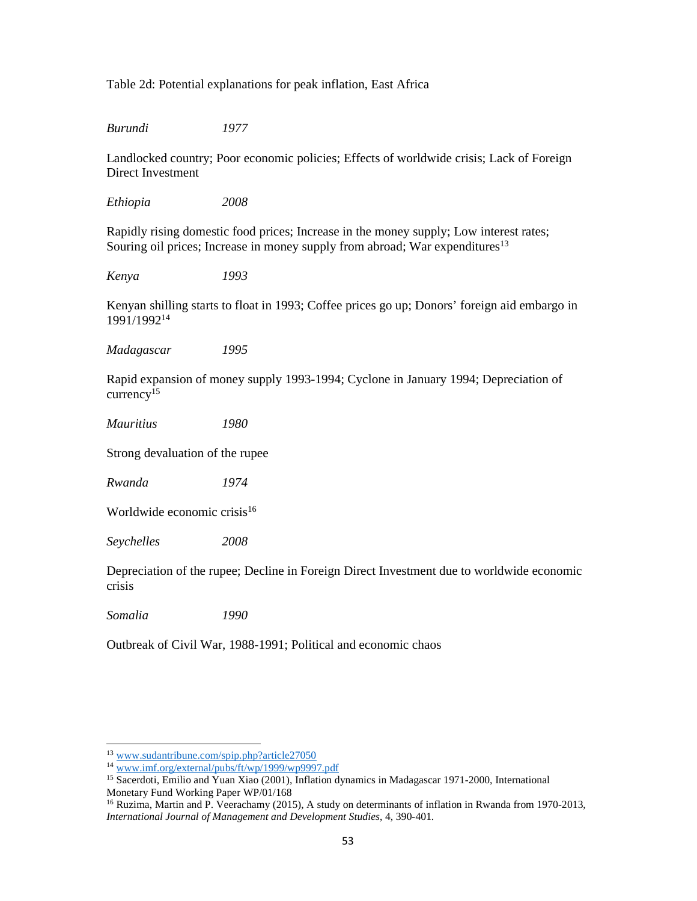Table 2d: Potential explanations for peak inflation, East Africa

*Burundi 1977* 

Landlocked country; Poor economic policies; Effects of worldwide crisis; Lack of Foreign Direct Investment

*Ethiopia 2008* 

Rapidly rising domestic food prices; Increase in the money supply; Low interest rates; Souring oil prices; Increase in money supply from abroad; War expenditures<sup>13</sup>

*Kenya 1993* 

Kenyan shilling starts to float in 1993; Coffee prices go up; Donors' foreign aid embargo in 1991/1992<sup>14</sup>

*Madagascar 1995* 

Rapid expansion of money supply 1993-1994; Cyclone in January 1994; Depreciation of currency<sup>15</sup>

*Mauritius 1980* 

Strong devaluation of the rupee

*Rwanda 1974* 

Worldwide economic crisis<sup>16</sup>

*Seychelles 2008* 

Depreciation of the rupee; Decline in Foreign Direct Investment due to worldwide economic crisis

*Somalia 1990* 

 $\overline{a}$ 

Outbreak of Civil War, 1988-1991; Political and economic chaos

<sup>13</sup> www.sudantribune.com/spip.php?article27050

<sup>14</sup> www.imf.org/external/pubs/ft/wp/1999/wp9997.pdf

<sup>&</sup>lt;sup>15</sup> Sacerdoti, Emilio and Yuan Xiao (2001), Inflation dynamics in Madagascar 1971-2000, International Monetary Fund Working Paper WP/01/168

<sup>16</sup> Ruzima, Martin and P. Veerachamy (2015), A study on determinants of inflation in Rwanda from 1970-2013, *International Journal of Management and Development Studies*, 4, 390-401.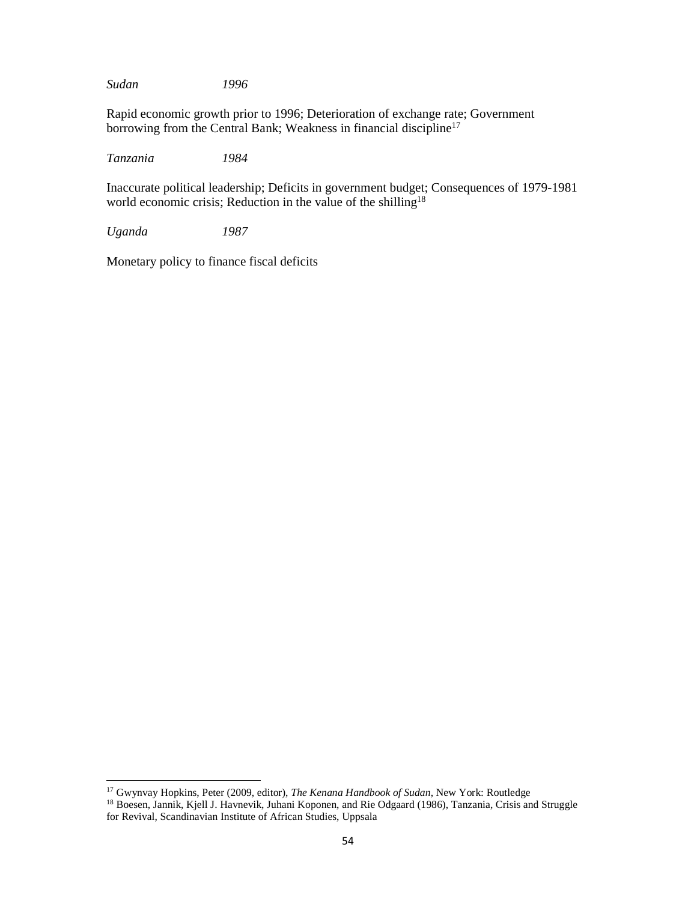*Sudan 1996* 

Rapid economic growth prior to 1996; Deterioration of exchange rate; Government borrowing from the Central Bank; Weakness in financial discipline<sup>17</sup>

*Tanzania 1984* 

Inaccurate political leadership; Deficits in government budget; Consequences of 1979-1981 world economic crisis; Reduction in the value of the shilling<sup>18</sup>

*Uganda 1987* 

<u>.</u>

Monetary policy to finance fiscal deficits

<sup>17</sup> Gwynvay Hopkins, Peter (2009, editor), *The Kenana Handbook of Sudan*, New York: Routledge

<sup>&</sup>lt;sup>18</sup> Boesen, Jannik, Kjell J. Havnevik, Juhani Koponen, and Rie Odgaard (1986), Tanzania, Crisis and Struggle for Revival, Scandinavian Institute of African Studies, Uppsala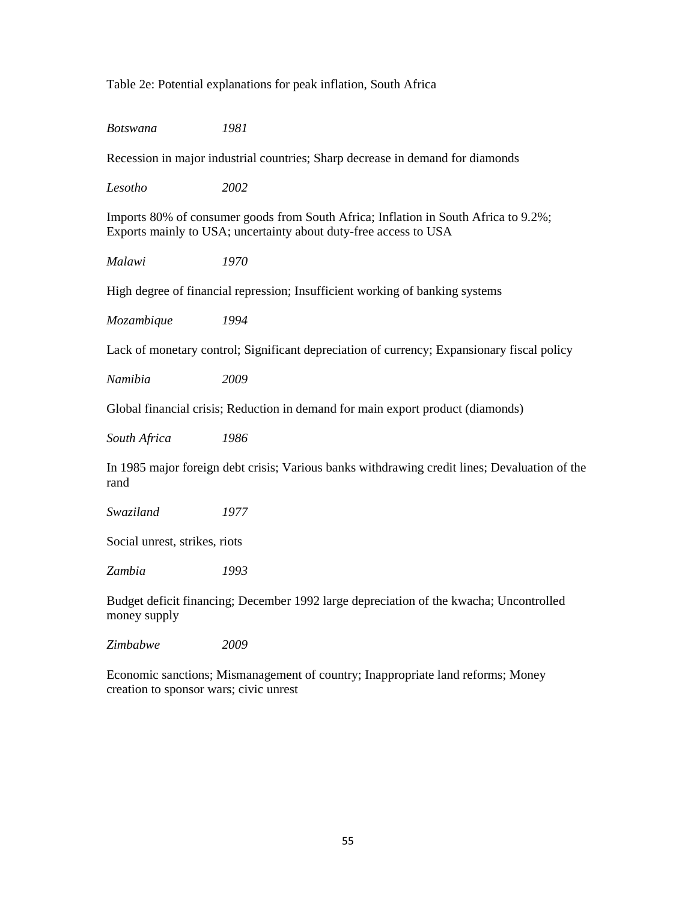### Table 2e: Potential explanations for peak inflation, South Africa

*Botswana 1981*  Recession in major industrial countries; Sharp decrease in demand for diamonds *Lesotho 2002*  Imports 80% of consumer goods from South Africa; Inflation in South Africa to 9.2%; Exports mainly to USA; uncertainty about duty-free access to USA *Malawi 1970*  High degree of financial repression; Insufficient working of banking systems *Mozambique 1994*  Lack of monetary control; Significant depreciation of currency; Expansionary fiscal policy *Namibia 2009*  Global financial crisis; Reduction in demand for main export product (diamonds) *South Africa 1986*  In 1985 major foreign debt crisis; Various banks withdrawing credit lines; Devaluation of the rand *Swaziland 1977*  Social unrest, strikes, riots *Zambia 1993*  Budget deficit financing; December 1992 large depreciation of the kwacha; Uncontrolled money supply

*Zimbabwe 2009* 

Economic sanctions; Mismanagement of country; Inappropriate land reforms; Money creation to sponsor wars; civic unrest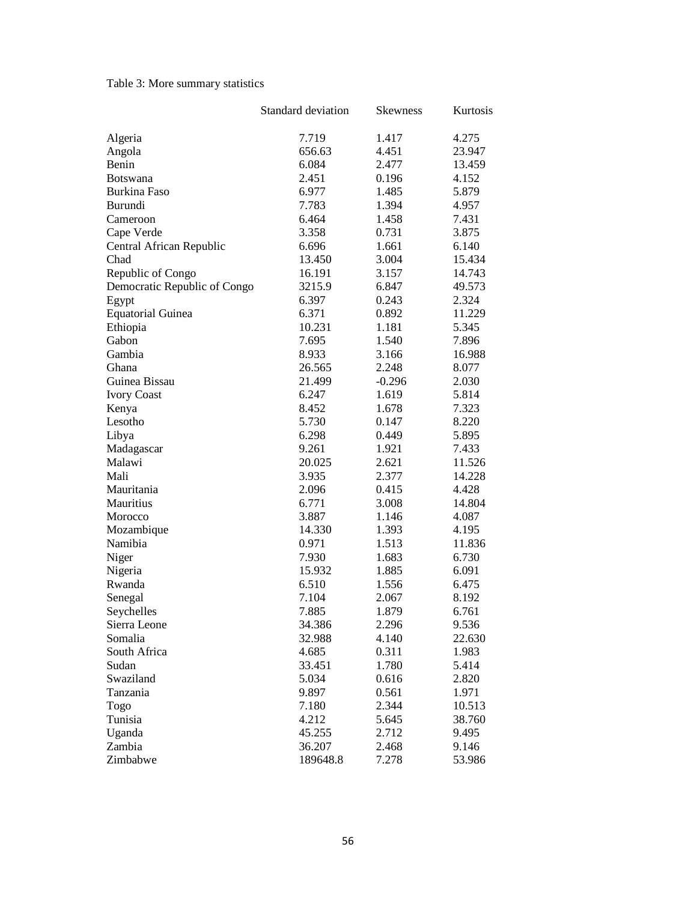## Table 3: More summary statistics

|                              | Standard deviation | <b>Skewness</b> | Kurtosis |
|------------------------------|--------------------|-----------------|----------|
| Algeria                      | 7.719              | 1.417           | 4.275    |
| Angola                       | 656.63             | 4.451           | 23.947   |
| Benin                        | 6.084              | 2.477           | 13.459   |
| <b>Botswana</b>              | 2.451              | 0.196           | 4.152    |
| Burkina Faso                 | 6.977              | 1.485           | 5.879    |
| Burundi                      | 7.783              | 1.394           | 4.957    |
| Cameroon                     | 6.464              | 1.458           | 7.431    |
| Cape Verde                   | 3.358              | 0.731           | 3.875    |
| Central African Republic     | 6.696              | 1.661           | 6.140    |
| Chad                         | 13.450             | 3.004           | 15.434   |
| Republic of Congo            | 16.191             | 3.157           | 14.743   |
| Democratic Republic of Congo | 3215.9             | 6.847           | 49.573   |
| Egypt                        | 6.397              | 0.243           | 2.324    |
| <b>Equatorial Guinea</b>     | 6.371              | 0.892           | 11.229   |
| Ethiopia                     | 10.231             | 1.181           | 5.345    |
| Gabon                        | 7.695              | 1.540           | 7.896    |
| Gambia                       | 8.933              | 3.166           | 16.988   |
| Ghana                        | 26.565             | 2.248           | 8.077    |
| Guinea Bissau                | 21.499             | $-0.296$        | 2.030    |
| <b>Ivory Coast</b>           | 6.247              | 1.619           | 5.814    |
| Kenya                        | 8.452              | 1.678           | 7.323    |
| Lesotho                      | 5.730              | 0.147           | 8.220    |
| Libya                        | 6.298              | 0.449           | 5.895    |
| Madagascar                   | 9.261              | 1.921           | 7.433    |
| Malawi                       | 20.025             | 2.621           | 11.526   |
| Mali                         | 3.935              | 2.377           | 14.228   |
| Mauritania                   | 2.096              | 0.415           | 4.428    |
| Mauritius                    | 6.771              | 3.008           | 14.804   |
| Morocco                      | 3.887              | 1.146           | 4.087    |
| Mozambique                   | 14.330             | 1.393           | 4.195    |
| Namibia                      | 0.971              | 1.513           | 11.836   |
| Niger                        | 7.930              | 1.683           | 6.730    |
| Nigeria                      | 15.932             | 1.885           | 6.091    |
| Rwanda                       | 6.510              | 1.556           | 6.475    |
| Senegal                      | 7.104              | 2.067           | 8.192    |
| Seychelles                   | 7.885              | 1.879           | 6.761    |
| Sierra Leone                 | 34.386             | 2.296           | 9.536    |
| Somalia                      | 32.988             | 4.140           | 22.630   |
| South Africa                 | 4.685              | 0.311           | 1.983    |
| Sudan                        | 33.451             | 1.780           | 5.414    |
| Swaziland                    | 5.034              | 0.616           | 2.820    |
| Tanzania                     | 9.897              | 0.561           | 1.971    |
| Togo                         | 7.180              | 2.344           | 10.513   |
| Tunisia                      | 4.212              | 5.645           | 38.760   |
| Uganda                       | 45.255             | 2.712           | 9.495    |
| Zambia                       | 36.207             | 2.468           | 9.146    |
| Zimbabwe                     | 189648.8           | 7.278           | 53.986   |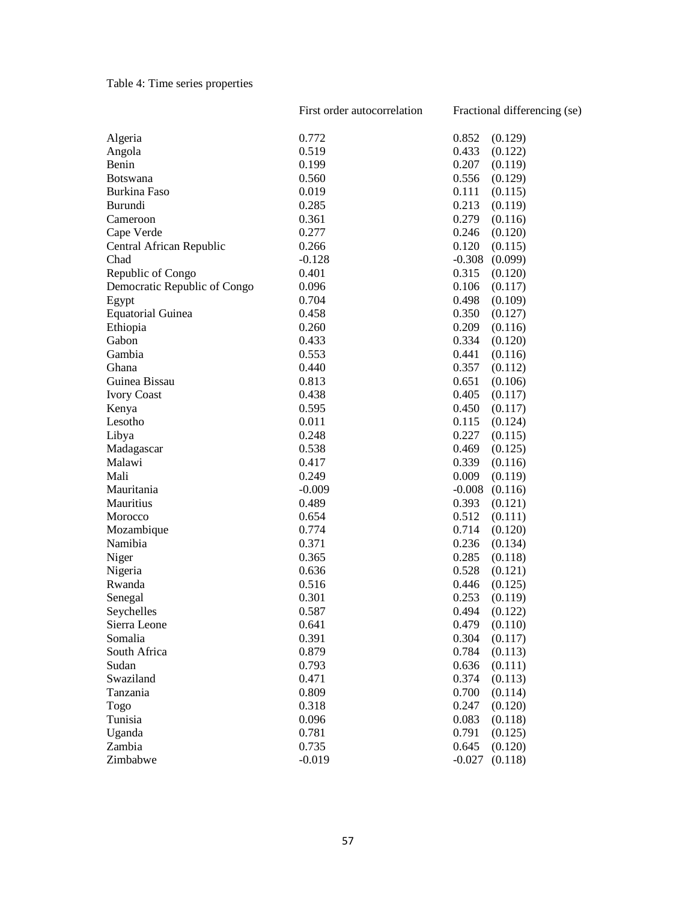## Table 4: Time series properties

|                              | First order autocorrelation | Fractional differencing (se) |
|------------------------------|-----------------------------|------------------------------|
| Algeria                      | 0.772                       | 0.852<br>(0.129)             |
| Angola                       | 0.519                       | 0.433<br>(0.122)             |
| Benin                        | 0.199                       | 0.207<br>(0.119)             |
| <b>Botswana</b>              | 0.560                       | 0.556<br>(0.129)             |
| <b>Burkina Faso</b>          | 0.019                       | 0.111<br>(0.115)             |
| Burundi                      | 0.285                       | 0.213<br>(0.119)             |
| Cameroon                     | 0.361                       | 0.279<br>(0.116)             |
| Cape Verde                   | 0.277                       | 0.246<br>(0.120)             |
| Central African Republic     | 0.266                       | 0.120<br>(0.115)             |
| Chad                         | $-0.128$                    | $-0.308$ $(0.099)$           |
| Republic of Congo            | 0.401                       | 0.315<br>(0.120)             |
| Democratic Republic of Congo | 0.096                       | 0.106<br>(0.117)             |
| Egypt                        | 0.704                       | 0.498<br>(0.109)             |
| <b>Equatorial Guinea</b>     | 0.458                       | 0.350<br>(0.127)             |
| Ethiopia                     | 0.260                       | 0.209<br>(0.116)             |
| Gabon                        | 0.433                       | 0.334<br>(0.120)             |
| Gambia                       | 0.553                       | 0.441<br>(0.116)             |
| Ghana                        | 0.440                       | 0.357<br>(0.112)             |
| Guinea Bissau                | 0.813                       | 0.651<br>(0.106)             |
| <b>Ivory Coast</b>           | 0.438                       | 0.405<br>(0.117)             |
| Kenya                        | 0.595                       | 0.450<br>(0.117)             |
| Lesotho                      | 0.011                       | 0.115<br>(0.124)             |
| Libya                        | 0.248                       | 0.227<br>(0.115)             |
| Madagascar                   | 0.538                       | 0.469<br>(0.125)             |
| Malawi                       | 0.417                       | 0.339<br>(0.116)             |
| Mali                         | 0.249                       | 0.009<br>(0.119)             |
| Mauritania                   | $-0.009$                    | $-0.008$<br>(0.116)          |
| Mauritius                    | 0.489                       | 0.393<br>(0.121)             |
| Morocco                      | 0.654                       | 0.512<br>(0.111)             |
| Mozambique                   | 0.774                       | 0.714<br>(0.120)             |
| Namibia                      | 0.371                       | 0.236<br>(0.134)             |
| Niger                        | 0.365                       | 0.285<br>(0.118)             |
| Nigeria                      | 0.636                       | 0.528<br>(0.121)             |
| Rwanda                       | 0.516                       | 0.446<br>(0.125)             |
| Senegal                      | 0.301                       | 0.253<br>(0.119)             |
| Seychelles                   | 0.587                       | 0.494<br>(0.122)             |
| Sierra Leone                 | 0.641                       | 0.479<br>(0.110)             |
| Somalia                      | 0.391                       | 0.304<br>(0.117)             |
| South Africa                 | 0.879                       | 0.784<br>(0.113)             |
| Sudan                        | 0.793                       | 0.636<br>(0.111)             |
| Swaziland                    | 0.471                       | 0.374<br>(0.113)             |
| Tanzania                     | 0.809                       | 0.700<br>(0.114)             |
| Togo                         | 0.318                       | 0.247<br>(0.120)             |
| Tunisia                      | 0.096                       | 0.083<br>(0.118)             |
| Uganda                       | 0.781                       | 0.791<br>(0.125)             |
| Zambia                       | 0.735                       | 0.645<br>(0.120)             |
| Zimbabwe                     | $-0.019$                    | $-0.027$<br>(0.118)          |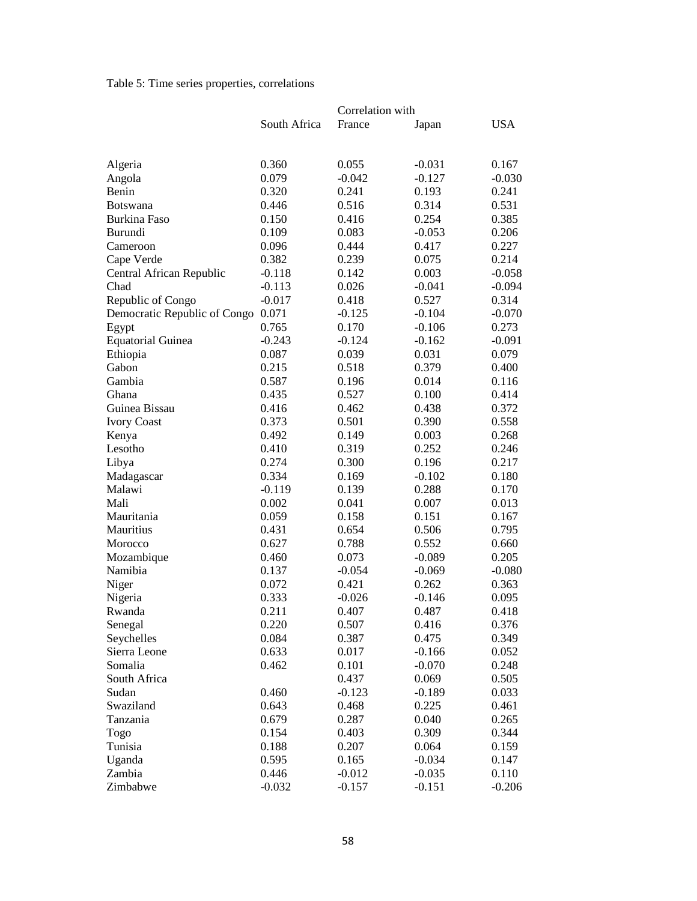Table 5: Time series properties, correlations

|                              |              | Correlation with |          |            |
|------------------------------|--------------|------------------|----------|------------|
|                              | South Africa | France           | Japan    | <b>USA</b> |
|                              |              |                  |          |            |
|                              |              |                  |          |            |
| Algeria                      | 0.360        | 0.055            | $-0.031$ | 0.167      |
| Angola                       | 0.079        | $-0.042$         | $-0.127$ | $-0.030$   |
| Benin                        | 0.320        | 0.241            | 0.193    | 0.241      |
| <b>Botswana</b>              | 0.446        | 0.516            | 0.314    | 0.531      |
| <b>Burkina Faso</b>          | 0.150        | 0.416            | 0.254    | 0.385      |
| Burundi                      | 0.109        | 0.083            | $-0.053$ | 0.206      |
| Cameroon                     | 0.096        | 0.444            | 0.417    | 0.227      |
| Cape Verde                   | 0.382        | 0.239            | 0.075    | 0.214      |
| Central African Republic     | $-0.118$     | 0.142            | 0.003    | $-0.058$   |
| Chad                         | $-0.113$     | 0.026            | $-0.041$ | $-0.094$   |
| Republic of Congo            | $-0.017$     | 0.418            | 0.527    | 0.314      |
| Democratic Republic of Congo | 0.071        | $-0.125$         | $-0.104$ | $-0.070$   |
| Egypt                        | 0.765        | 0.170            | $-0.106$ | 0.273      |
| <b>Equatorial Guinea</b>     | $-0.243$     | $-0.124$         | $-0.162$ | $-0.091$   |
| Ethiopia                     | 0.087        | 0.039            | 0.031    | 0.079      |
| Gabon                        | 0.215        | 0.518            | 0.379    | 0.400      |
| Gambia                       | 0.587        | 0.196            | 0.014    | 0.116      |
| Ghana                        | 0.435        | 0.527            | 0.100    | 0.414      |
| Guinea Bissau                | 0.416        | 0.462            | 0.438    | 0.372      |
| <b>Ivory Coast</b>           | 0.373        | 0.501            | 0.390    | 0.558      |
| Kenya                        | 0.492        | 0.149            | 0.003    | 0.268      |
| Lesotho                      | 0.410        | 0.319            | 0.252    | 0.246      |
| Libya                        | 0.274        | 0.300            | 0.196    | 0.217      |
| Madagascar                   | 0.334        | 0.169            | $-0.102$ | 0.180      |
| Malawi                       | $-0.119$     | 0.139            | 0.288    | 0.170      |
| Mali                         |              |                  |          |            |
|                              | 0.002        | 0.041            | 0.007    | 0.013      |
| Mauritania                   | 0.059        | 0.158            | 0.151    | 0.167      |
| Mauritius                    | 0.431        | 0.654            | 0.506    | 0.795      |
| Morocco                      | 0.627        | 0.788            | 0.552    | 0.660      |
| Mozambique                   | 0.460        | 0.073            | $-0.089$ | 0.205      |
| Namibia                      | 0.137        | $-0.054$         | $-0.069$ | $-0.080$   |
| Niger                        | 0.072        | 0.421            | 0.262    | 0.363      |
| Nigeria                      | 0.333        | $-0.026$         | $-0.146$ | 0.095      |
| Rwanda                       | 0.211        | 0.407            | 0.487    | 0.418      |
| Senegal                      | 0.220        | 0.507            | 0.416    | 0.376      |
| Seychelles                   | 0.084        | 0.387            | 0.475    | 0.349      |
| Sierra Leone                 | 0.633        | 0.017            | $-0.166$ | 0.052      |
| Somalia                      | 0.462        | 0.101            | $-0.070$ | 0.248      |
| South Africa                 |              | 0.437            | 0.069    | 0.505      |
| Sudan                        | 0.460        | $-0.123$         | $-0.189$ | 0.033      |
| Swaziland                    | 0.643        | 0.468            | 0.225    | 0.461      |
| Tanzania                     | 0.679        | 0.287            | 0.040    | 0.265      |
| Togo                         | 0.154        | 0.403            | 0.309    | 0.344      |
| Tunisia                      | 0.188        | 0.207            | 0.064    | 0.159      |
| Uganda                       | 0.595        | 0.165            | $-0.034$ | 0.147      |
| Zambia                       | 0.446        | $-0.012$         | $-0.035$ | 0.110      |
| Zimbabwe                     | $-0.032$     | $-0.157$         | $-0.151$ | $-0.206$   |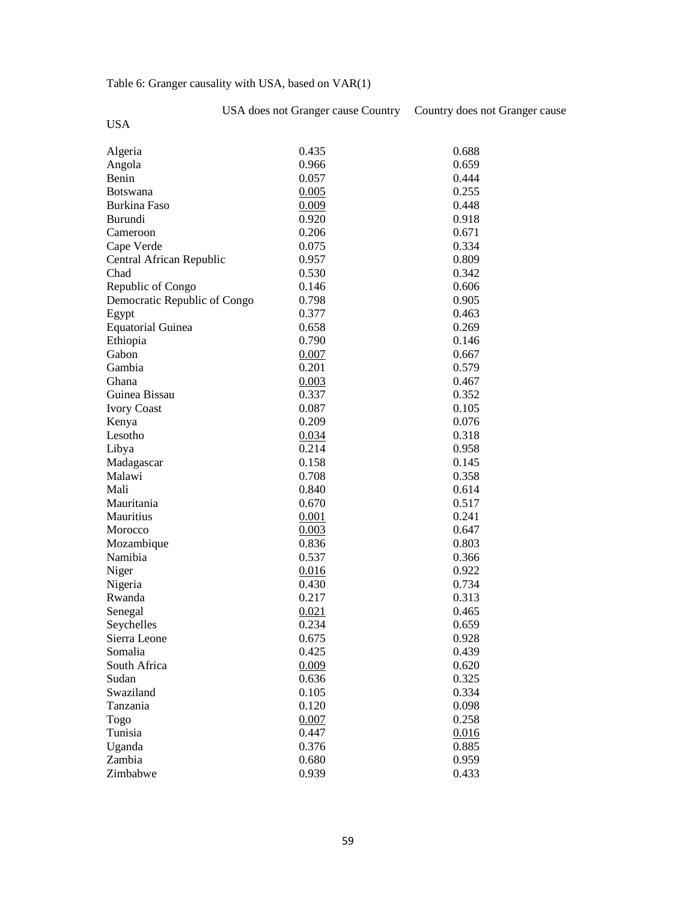## Table 6: Granger causality with USA, based on VAR(1)

## USA

| Algeria                      | 0.435 | 0.688 |
|------------------------------|-------|-------|
| Angola                       | 0.966 | 0.659 |
| Benin                        | 0.057 | 0.444 |
| <b>Botswana</b>              | 0.005 | 0.255 |
| Burkina Faso                 | 0.009 | 0.448 |
| Burundi                      | 0.920 | 0.918 |
| Cameroon                     | 0.206 | 0.671 |
| Cape Verde                   | 0.075 | 0.334 |
| Central African Republic     | 0.957 | 0.809 |
| Chad                         | 0.530 | 0.342 |
| Republic of Congo            | 0.146 | 0.606 |
| Democratic Republic of Congo | 0.798 | 0.905 |
| Egypt                        | 0.377 | 0.463 |
| <b>Equatorial Guinea</b>     | 0.658 | 0.269 |
| Ethiopia                     | 0.790 | 0.146 |
| Gabon                        | 0.007 | 0.667 |
| Gambia                       | 0.201 | 0.579 |
| Ghana                        | 0.003 | 0.467 |
| Guinea Bissau                | 0.337 | 0.352 |
| <b>Ivory Coast</b>           | 0.087 | 0.105 |
| Kenya                        | 0.209 | 0.076 |
| Lesotho                      | 0.034 | 0.318 |
| Libya                        | 0.214 | 0.958 |
| Madagascar                   | 0.158 | 0.145 |
| Malawi                       | 0.708 | 0.358 |
| Mali                         | 0.840 | 0.614 |
| Mauritania                   | 0.670 | 0.517 |
| Mauritius                    | 0.001 | 0.241 |
| Morocco                      | 0.003 | 0.647 |
| Mozambique                   | 0.836 | 0.803 |
| Namibia                      | 0.537 | 0.366 |
| Niger                        | 0.016 | 0.922 |
| Nigeria                      | 0.430 | 0.734 |
| Rwanda                       | 0.217 | 0.313 |
| Senegal                      | 0.021 | 0.465 |
| Seychelles                   | 0.234 | 0.659 |
| Sierra Leone                 | 0.675 | 0.928 |
| Somalia                      | 0.425 | 0.439 |
| South Africa                 | 0.009 | 0.620 |
| Sudan                        | 0.636 | 0.325 |
| Swaziland                    | 0.105 | 0.334 |
| Tanzania                     | 0.120 | 0.098 |
| Togo                         | 0.007 | 0.258 |
| Tunisia                      | 0.447 | 0.016 |
| Uganda                       | 0.376 | 0.885 |
| Zambia                       | 0.680 | 0.959 |
| Zimbabwe                     | 0.939 | 0.433 |
|                              |       |       |

USA does not Granger cause Country Country does not Granger cause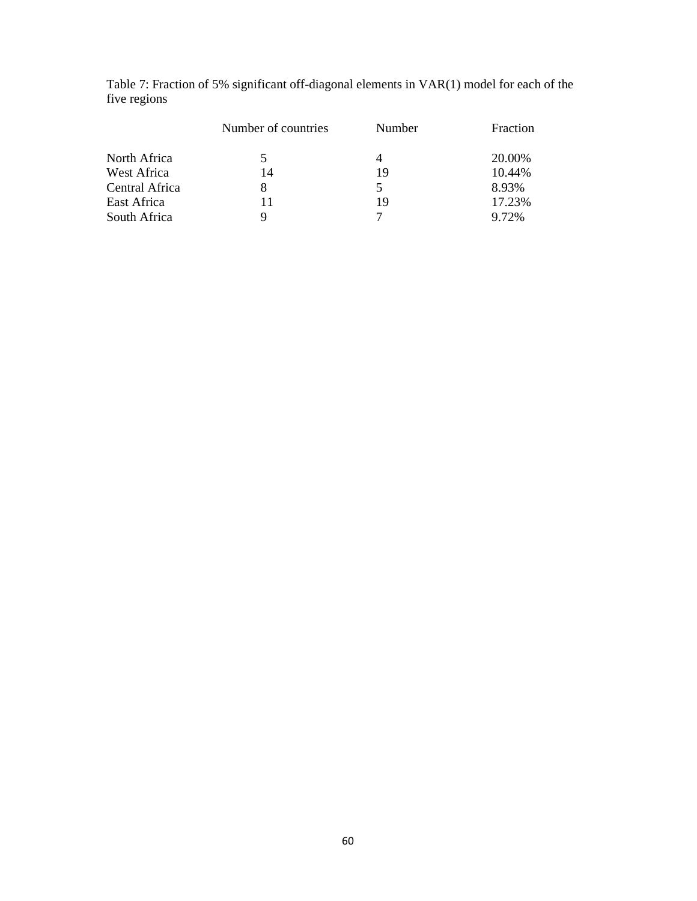| Table 7: Fraction of 5% significant off-diagonal elements in VAR(1) model for each of the |  |  |
|-------------------------------------------------------------------------------------------|--|--|
| five regions                                                                              |  |  |

|                | Number of countries | <b>Number</b> | Fraction |
|----------------|---------------------|---------------|----------|
| North Africa   | 5                   |               | 20.00%   |
| West Africa    | 14                  | 19            | 10.44%   |
| Central Africa |                     |               | 8.93%    |
| East Africa    | 11                  | 19            | 17.23%   |
| South Africa   |                     |               | 9.72%    |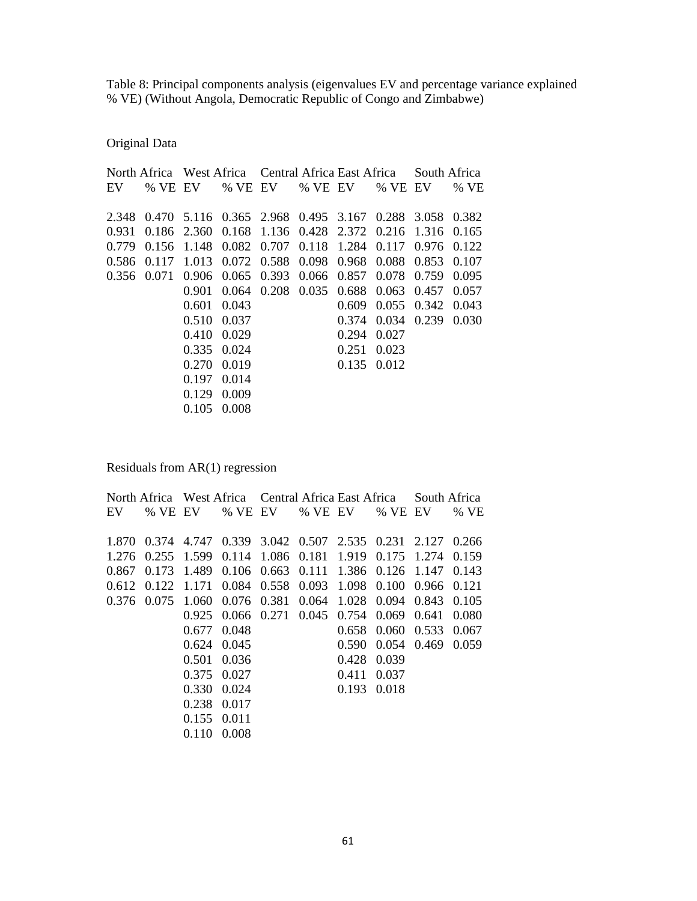Table 8: Principal components analysis (eigenvalues EV and percentage variance explained % VE) (Without Angola, Democratic Republic of Congo and Zimbabwe)

Original Data

|             |                                                             |                     |         |                                                 |                 |               | North Africa West Africa Central Africa East Africa South Africa |       |
|-------------|-------------------------------------------------------------|---------------------|---------|-------------------------------------------------|-----------------|---------------|------------------------------------------------------------------|-------|
| EV          | % VE EV                                                     |                     | % VE EV | % VE EV                                         |                 | % VE EV       |                                                                  | % VE  |
|             |                                                             |                     |         |                                                 |                 |               |                                                                  |       |
|             | 2.348 0.470 5.116 0.365 2.968 0.495 3.167 0.288 3.058 0.382 |                     |         |                                                 |                 |               |                                                                  |       |
| 0.931       |                                                             |                     |         | 0.186 2.360 0.168 1.136 0.428 2.372 0.216 1.316 |                 |               |                                                                  | 0.165 |
| 0.779       | 0.156                                                       |                     |         | 1.148 0.082 0.707 0.118 1.284 0.117             |                 |               | 0.976                                                            | 0.122 |
| 0.586 0.117 |                                                             | 1.013 0.072         |         | 0.588 0.098 0.968 0.088                         |                 |               | 0.853                                                            | 0.107 |
|             | $0.356$ $0.071$                                             |                     |         | 0.906 0.065 0.393 0.066 0.857 0.078             |                 |               | 0.759                                                            | 0.095 |
|             |                                                             |                     |         | 0.901 0.064 0.208 0.035 0.688 0.063             |                 |               | 0.457                                                            | 0.057 |
|             |                                                             | 0.601               | 0.043   |                                                 | 0.609           | $0.055$ 0.342 |                                                                  | 0.043 |
|             |                                                             | 0.510 0.037         |         |                                                 | 0.374           | 0.034 0.239   |                                                                  | 0.030 |
|             |                                                             | $0.410 \quad 0.029$ |         |                                                 | 0.294           | 0.027         |                                                                  |       |
|             |                                                             | 0.335 0.024         |         |                                                 | $0.251$ $0.023$ |               |                                                                  |       |
|             |                                                             | 0.270 0.019         |         |                                                 | 0.135 0.012     |               |                                                                  |       |
|             |                                                             | 0.197               | 0.014   |                                                 |                 |               |                                                                  |       |
|             |                                                             | 0.129               | 0.009   |                                                 |                 |               |                                                                  |       |
|             |                                                             | 0.105 0.008         |         |                                                 |                 |               |                                                                  |       |

Residuals from AR(1) regression

|                 |                                                             |             |         |                                     |             |               | North Africa West Africa Central Africa East Africa South Africa |       |
|-----------------|-------------------------------------------------------------|-------------|---------|-------------------------------------|-------------|---------------|------------------------------------------------------------------|-------|
| EV              | % VE EV                                                     |             | % VE EV | % VE EV                             |             | % VE EV       |                                                                  | % VE  |
|                 |                                                             |             |         |                                     |             |               |                                                                  |       |
|                 | 1.870 0.374 4.747 0.339 3.042 0.507 2.535 0.231 2.127 0.266 |             |         |                                     |             |               |                                                                  |       |
|                 | 1.276 0.255 1.599 0.114 1.086 0.181 1.919 0.175 1.274       |             |         |                                     |             |               |                                                                  | 0.159 |
| 0.867 0.173     |                                                             |             |         | 1.489 0.106 0.663 0.111 1.386 0.126 |             |               | 1.147                                                            | 0.143 |
| $0.612$ $0.122$ |                                                             | 1.171 0.084 |         | 0.558 0.093 1.098                   |             | 0.100         | 0.966                                                            | 0.121 |
|                 | 0.376 0.075 1.060 0.076 0.381 0.064 1.028 0.094             |             |         |                                     |             |               | 0.843                                                            | 0.105 |
|                 |                                                             |             |         | $0.925$ 0.066 0.271 0.045           | 0.754 0.069 |               | 0.641                                                            | 0.080 |
|                 |                                                             | 0.677       | 0.048   |                                     | 0.658       | 0.060         | 0.533                                                            | 0.067 |
|                 |                                                             | 0.624       | 0.045   |                                     | 0.590       | $0.054$ 0.469 |                                                                  | 0.059 |
|                 |                                                             | 0.501 0.036 |         |                                     | 0.428 0.039 |               |                                                                  |       |
|                 |                                                             | 0.375 0.027 |         |                                     | 0.411 0.037 |               |                                                                  |       |
|                 |                                                             | 0.330 0.024 |         |                                     | 0.193 0.018 |               |                                                                  |       |
|                 |                                                             | 0.238       | 0.017   |                                     |             |               |                                                                  |       |
|                 |                                                             | 0.155 0.011 |         |                                     |             |               |                                                                  |       |
|                 |                                                             | 0.110 0.008 |         |                                     |             |               |                                                                  |       |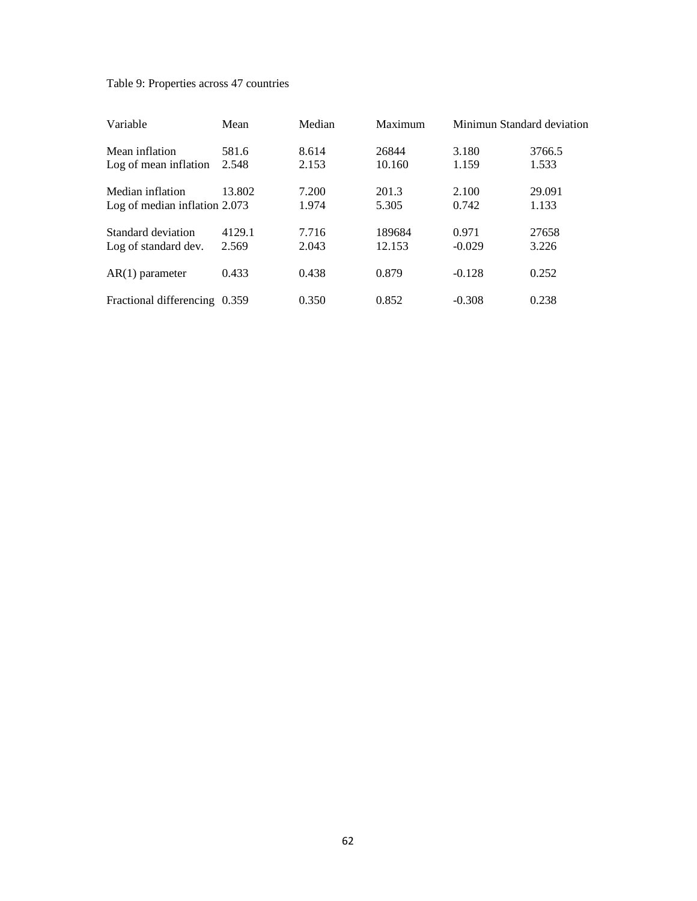## Table 9: Properties across 47 countries

| Variable                      | Mean   | Median | Maximum | Minimun Standard deviation |        |
|-------------------------------|--------|--------|---------|----------------------------|--------|
| Mean inflation                | 581.6  | 8.614  | 26844   | 3.180                      | 3766.5 |
| Log of mean inflation         | 2.548  | 2.153  | 10.160  | 1.159                      | 1.533  |
| Median inflation              | 13.802 | 7.200  | 201.3   | 2.100                      | 29.091 |
| Log of median inflation 2.073 |        | 1.974  | 5.305   | 0.742                      | 1.133  |
| Standard deviation            | 4129.1 | 7.716  | 189684  | 0.971                      | 27658  |
| Log of standard dev.          | 2.569  | 2.043  | 12.153  | $-0.029$                   | 3.226  |
| $AR(1)$ parameter             | 0.433  | 0.438  | 0.879   | $-0.128$                   | 0.252  |
| Fractional differencing 0.359 |        | 0.350  | 0.852   | $-0.308$                   | 0.238  |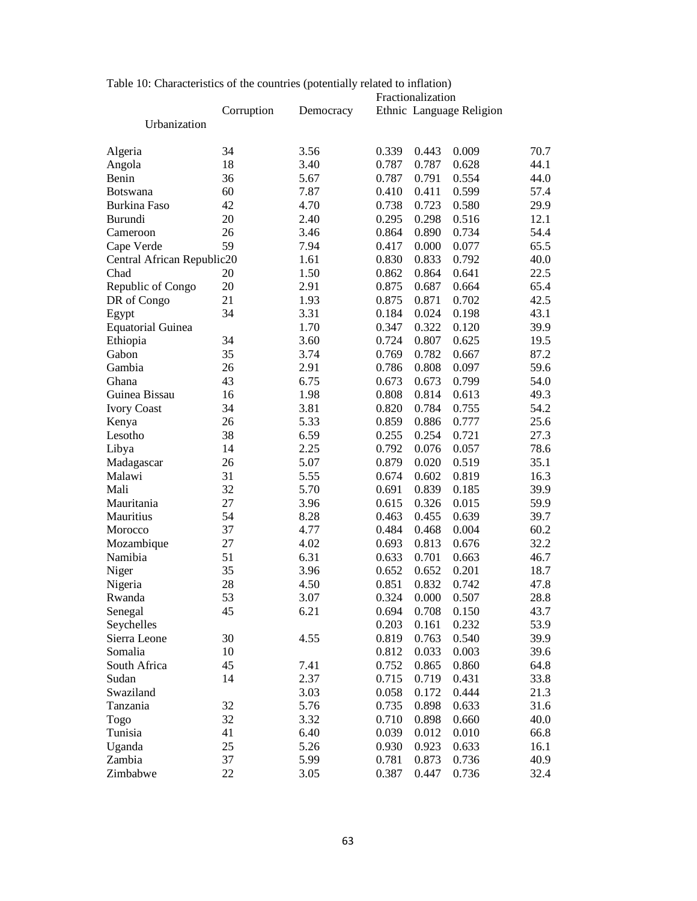|                            |            |           |       | Fractionalization |                          |      |
|----------------------------|------------|-----------|-------|-------------------|--------------------------|------|
|                            | Corruption | Democracy |       |                   | Ethnic Language Religion |      |
| Urbanization               |            |           |       |                   |                          |      |
| Algeria                    | 34         | 3.56      | 0.339 | 0.443             | 0.009                    | 70.7 |
| Angola                     | 18         | 3.40      | 0.787 | 0.787             | 0.628                    | 44.1 |
| Benin                      | 36         | 5.67      | 0.787 | 0.791             | 0.554                    | 44.0 |
| <b>Botswana</b>            | 60         | 7.87      | 0.410 | 0.411             | 0.599                    | 57.4 |
| <b>Burkina Faso</b>        | 42         | 4.70      | 0.738 | 0.723             | 0.580                    | 29.9 |
| Burundi                    | 20         | 2.40      | 0.295 | 0.298             | 0.516                    | 12.1 |
| Cameroon                   | 26         | 3.46      | 0.864 | 0.890             | 0.734                    | 54.4 |
| Cape Verde                 | 59         | 7.94      | 0.417 | 0.000             | 0.077                    | 65.5 |
| Central African Republic20 |            | 1.61      | 0.830 | 0.833             | 0.792                    | 40.0 |
| Chad                       | 20         | 1.50      | 0.862 | 0.864             | 0.641                    | 22.5 |
| Republic of Congo          | 20         | 2.91      | 0.875 | 0.687             | 0.664                    | 65.4 |
| DR of Congo                | 21         | 1.93      | 0.875 | 0.871             | 0.702                    | 42.5 |
| Egypt                      | 34         | 3.31      | 0.184 | 0.024             | 0.198                    | 43.1 |
| <b>Equatorial Guinea</b>   |            | 1.70      | 0.347 | 0.322             | 0.120                    | 39.9 |
| Ethiopia                   | 34         | 3.60      | 0.724 | 0.807             | 0.625                    | 19.5 |
| Gabon                      | 35         | 3.74      | 0.769 | 0.782             | 0.667                    | 87.2 |
| Gambia                     | 26         | 2.91      | 0.786 | 0.808             | 0.097                    | 59.6 |
| Ghana                      | 43         | 6.75      | 0.673 | 0.673             | 0.799                    | 54.0 |
| Guinea Bissau              | 16         | 1.98      | 0.808 | 0.814             | 0.613                    | 49.3 |
| <b>Ivory Coast</b>         | 34         | 3.81      | 0.820 | 0.784             | 0.755                    | 54.2 |
| Kenya                      | 26         | 5.33      | 0.859 | 0.886             | 0.777                    | 25.6 |
| Lesotho                    | 38         | 6.59      | 0.255 | 0.254             | 0.721                    | 27.3 |
| Libya                      | 14         | 2.25      | 0.792 | 0.076             | 0.057                    | 78.6 |
| Madagascar                 | 26         | 5.07      | 0.879 | 0.020             | 0.519                    | 35.1 |
| Malawi                     | 31         | 5.55      | 0.674 | 0.602             | 0.819                    | 16.3 |
| Mali                       | 32         | 5.70      | 0.691 | 0.839             | 0.185                    | 39.9 |
| Mauritania                 | 27         | 3.96      | 0.615 | 0.326             | 0.015                    | 59.9 |
| Mauritius                  | 54         | 8.28      | 0.463 | 0.455             | 0.639                    | 39.7 |
| Morocco                    | 37         | 4.77      | 0.484 | 0.468             | 0.004                    | 60.2 |
| Mozambique                 | 27         | 4.02      | 0.693 | 0.813             | 0.676                    | 32.2 |
| Namibia                    | 51         | 6.31      | 0.633 | 0.701             | 0.663                    | 46.7 |
| Niger                      | 35         | 3.96      | 0.652 | 0.652             | 0.201                    | 18.7 |
| Nigeria                    | 28         | 4.50      | 0.851 | 0.832             | 0.742                    | 47.8 |
| Rwanda                     | 53         | 3.07      | 0.324 | 0.000             | 0.507                    | 28.8 |
| Senegal                    | 45         | 6.21      | 0.694 | 0.708             | 0.150                    | 43.7 |
| Seychelles                 |            |           | 0.203 | 0.161             | 0.232                    | 53.9 |
| Sierra Leone               | 30         | 4.55      | 0.819 | 0.763             | 0.540                    | 39.9 |
| Somalia                    | 10         |           | 0.812 | 0.033             | 0.003                    | 39.6 |
| South Africa               | 45         | 7.41      | 0.752 | 0.865             | 0.860                    | 64.8 |
| Sudan                      | 14         | 2.37      | 0.715 | 0.719             | 0.431                    | 33.8 |
| Swaziland                  |            | 3.03      | 0.058 | 0.172             | 0.444                    | 21.3 |
| Tanzania                   | 32         | 5.76      | 0.735 | 0.898             | 0.633                    | 31.6 |
| Togo                       | 32         | 3.32      | 0.710 | 0.898             | 0.660                    | 40.0 |
| Tunisia                    | 41         | 6.40      | 0.039 | 0.012             | 0.010                    | 66.8 |
| Uganda                     | 25         | 5.26      | 0.930 | 0.923             | 0.633                    | 16.1 |
| Zambia                     | 37         | 5.99      | 0.781 | 0.873             | 0.736                    | 40.9 |
| Zimbabwe                   | 22         | 3.05      | 0.387 | 0.447             | 0.736                    | 32.4 |
|                            |            |           |       |                   |                          |      |

Table 10: Characteristics of the countries (potentially related to inflation)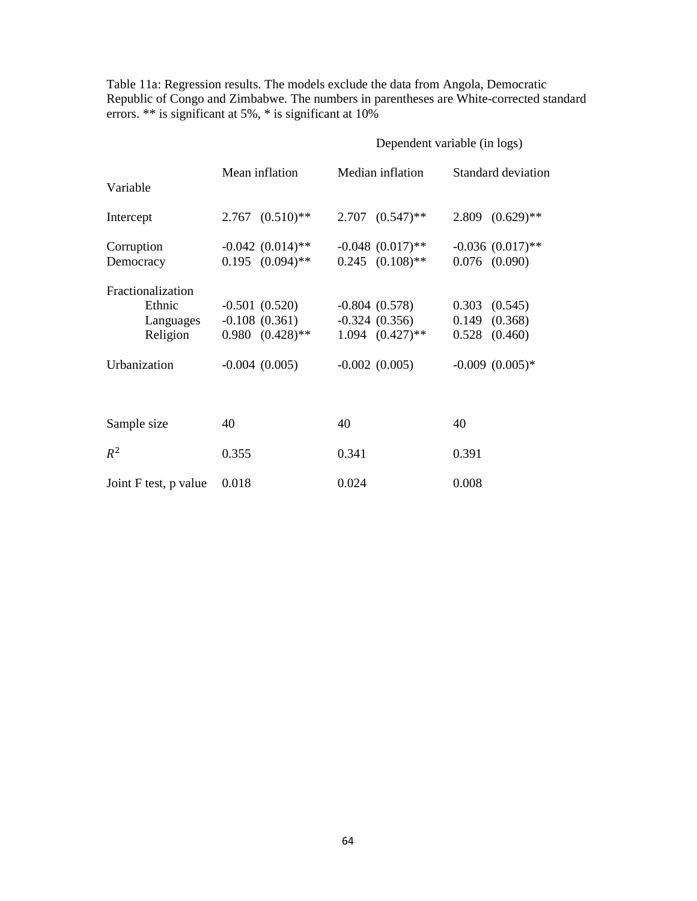Table 11a: Regression results. The models exclude the data from Angola, Democratic Republic of Congo and Zimbabwe. The numbers in parentheses are White-corrected standard errors. \*\* is significant at 5%, \* is significant at 10%

### Dependent variable (in logs)

| Variable                                                             | Mean inflation                                                                | Median inflation                                                              | Standard deviation                                                                 |
|----------------------------------------------------------------------|-------------------------------------------------------------------------------|-------------------------------------------------------------------------------|------------------------------------------------------------------------------------|
| Intercept                                                            | $2.767 (0.510)$ **                                                            | $2.707$ $(0.547)$ <sup>**</sup>                                               | $2.809$ $(0.629)$ **                                                               |
| Corruption<br>Democracy                                              | $-0.042(0.014)$ **<br>$0.195$ $(0.094)$ **                                    | $-0.048$ $(0.017)$ **<br>$0.245$ $(0.108)$ **                                 | $-0.036$ $(0.017)$ **<br>$0.076$ $(0.090)$                                         |
| Fractionalization<br>Ethnic<br>Languages<br>Religion<br>Urbanization | $-0.501(0.520)$<br>$-0.108(0.361)$<br>$0.980$ $(0.428)$ **<br>$-0.004(0.005)$ | $-0.804(0.578)$<br>$-0.324(0.356)$<br>$1.094$ $(0.427)$ **<br>$-0.002(0.005)$ | $0.303$ $(0.545)$<br>$0.149$ $(0.368)$<br>$0.528$ $(0.460)$<br>$-0.009$ $(0.005)*$ |
| Sample size                                                          | 40                                                                            | 40                                                                            | 40                                                                                 |
| $R^2$                                                                | 0.355                                                                         | 0.341                                                                         | 0.391                                                                              |
| Joint F test, p value                                                | 0.018                                                                         | 0.024                                                                         | 0.008                                                                              |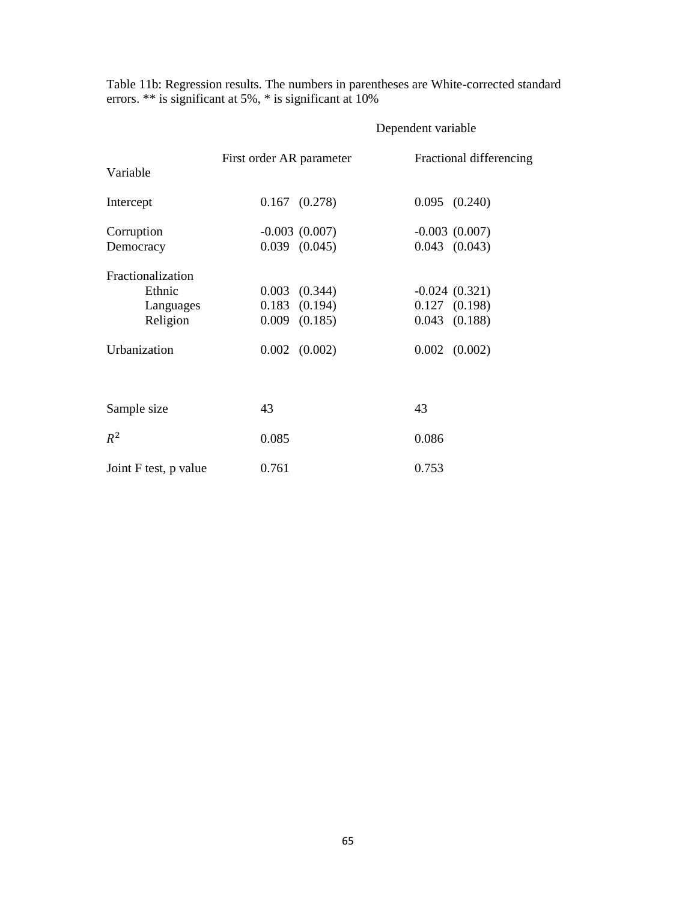Table 11b: Regression results. The numbers in parentheses are White-corrected standard errors. \*\* is significant at 5%, \* is significant at 10%

|                                                                      |                                                                                  | Dependent variable                                                             |
|----------------------------------------------------------------------|----------------------------------------------------------------------------------|--------------------------------------------------------------------------------|
| Variable                                                             | First order AR parameter                                                         | Fractional differencing                                                        |
| Intercept                                                            | $0.167$ $(0.278)$                                                                | $0.095$ $(0.240)$                                                              |
| Corruption<br>Democracy                                              | $-0.003(0.007)$<br>$0.039$ $(0.045)$                                             | $-0.003(0.007)$<br>$0.043$ $(0.043)$                                           |
| Fractionalization<br>Ethnic<br>Languages<br>Religion<br>Urbanization | $0.003$ $(0.344)$<br>$0.183$ $(0.194)$<br>$0.009$ $(0.185)$<br>$0.002$ $(0.002)$ | $-0.024(0.321)$<br>$0.127$ $(0.198)$<br>$0.043$ $(0.188)$<br>$0.002$ $(0.002)$ |
| Sample size                                                          | 43                                                                               | 43                                                                             |
| $R^2$                                                                | 0.085                                                                            | 0.086                                                                          |
| Joint F test, p value                                                | 0.761                                                                            | 0.753                                                                          |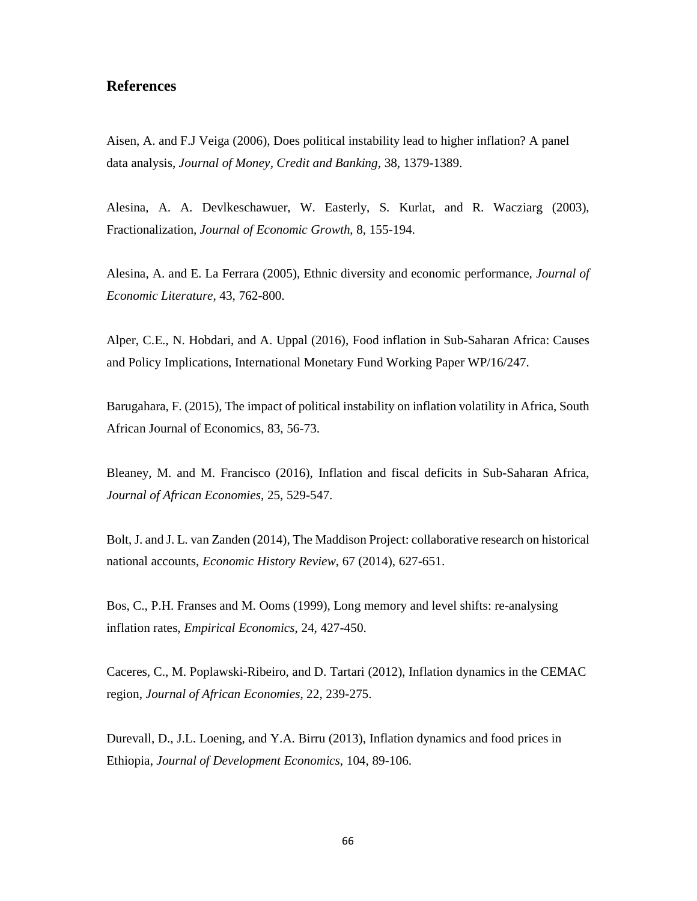### **References**

Aisen, A. and F.J Veiga (2006), Does political instability lead to higher inflation? A panel data analysis, *Journal of Money, Credit and Banking*, 38, 1379-1389.

Alesina, A. A. Devlkeschawuer, W. Easterly, S. Kurlat, and R. Wacziarg (2003), Fractionalization, *Journal of Economic Growth*, 8, 155-194.

Alesina, A. and E. La Ferrara (2005), Ethnic diversity and economic performance, *Journal of Economic Literature*, 43, 762-800.

Alper, C.E., N. Hobdari, and A. Uppal (2016), Food inflation in Sub-Saharan Africa: Causes and Policy Implications, International Monetary Fund Working Paper WP/16/247.

Barugahara, F. (2015), The impact of political instability on inflation volatility in Africa, South African Journal of Economics, 83, 56-73.

Bleaney, M. and M. Francisco (2016), Inflation and fiscal deficits in Sub-Saharan Africa, *Journal of African Economies*, 25, 529-547.

Bolt, J. and J. L. van Zanden (2014), The Maddison Project: collaborative research on historical national accounts, *Economic History Review*, 67 (2014), 627-651.

Bos, C., P.H. Franses and M. Ooms (1999), Long memory and level shifts: re-analysing inflation rates, *Empirical Economics*, 24, 427-450.

Caceres, C., M. Poplawski-Ribeiro, and D. Tartari (2012), Inflation dynamics in the CEMAC region, *Journal of African Economies*, 22, 239-275.

Durevall, D., J.L. Loening, and Y.A. Birru (2013), Inflation dynamics and food prices in Ethiopia, *Journal of Development Economics*, 104, 89-106.